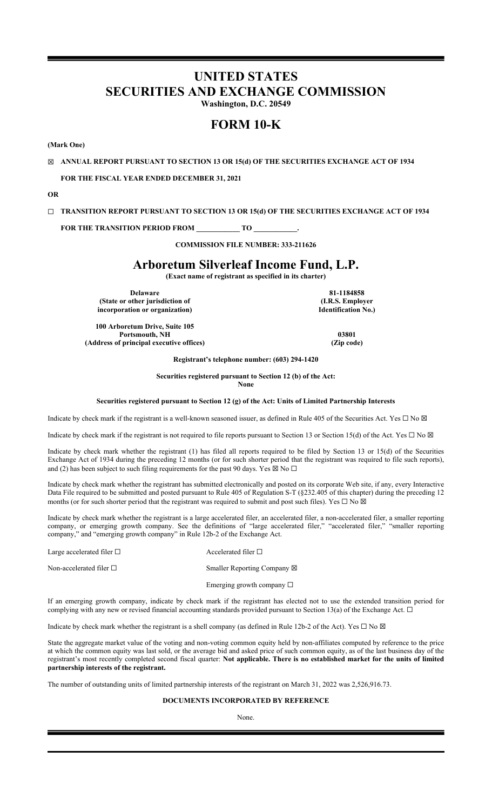# **UNITED STATES SECURITIES AND EXCHANGE COMMISSION**

**Washington, D.C. 20549**

# **FORM 10-K**

**(Mark One)**

☒ **ANNUAL REPORT PURSUANT TO SECTION 13 OR 15(d) OF THE SECURITIES EXCHANGE ACT OF 1934**

**FOR THE FISCAL YEAR ENDED DECEMBER 31, 2021**

**OR**

☐ **TRANSITION REPORT PURSUANT TO SECTION 13 OR 15(d) OF THE SECURITIES EXCHANGE ACT OF 1934**

FOR THE TRANSITION PERIOD FROM \_\_\_\_\_\_\_\_\_\_\_\_\_ TO \_\_

**COMMISSION FILE NUMBER: 333-211626**

# **Arboretum Silverleaf Income Fund, L.P.**

**(Exact name of registrant as specified in its charter)**

**Delaware 81-1184858 (State or other jurisdiction of incorporation or organization)**

**100 Arboretum Drive, Suite 105 Portsmouth, NH** 03801 **(Address of principal executive offices) (Zip code)**

**(I.R.S. Employer Identification No.)**

**Registrant's telephone number: (603) 294-1420**

**Securities registered pursuant to Section 12 (b) of the Act: None**

**Securities registered pursuant to Section 12 (g) of the Act: Units of Limited Partnership Interests**

Indicate by check mark if the registrant is a well-known seasoned issuer, as defined in Rule 405 of the Securities Act. Yes  $\Box$  No  $\boxtimes$ 

Indicate by check mark if the registrant is not required to file reports pursuant to Section 13 or Section 15(d) of the Act. Yes  $\Box$  No  $\boxtimes$ 

Indicate by check mark whether the registrant (1) has filed all reports required to be filed by Section 13 or 15(d) of the Securities Exchange Act of 1934 during the preceding 12 months (or for such shorter period that the registrant was required to file such reports), and (2) has been subject to such filing requirements for the past 90 days. Yes  $\boxtimes$  No  $\Box$ 

Indicate by check mark whether the registrant has submitted electronically and posted on its corporate Web site, if any, every Interactive Data File required to be submitted and posted pursuant to Rule 405 of Regulation S-T (§232.405 of this chapter) during the preceding 12 months (or for such shorter period that the registrant was required to submit and post such files). Yes  $\Box$  No  $\boxtimes$ 

Indicate by check mark whether the registrant is a large accelerated filer, an accelerated filer, a non-accelerated filer, a smaller reporting company, or emerging growth company. See the definitions of "large accelerated filer," "accelerated filer," "smaller reporting company," and "emerging growth company" in Rule 12b-2 of the Exchange Act.

Large accelerated filer □ Accelerated filer □

Non-accelerated filer □ Smaller Reporting Company ⊠

Emerging growth company  $\Box$ 

If an emerging growth company, indicate by check mark if the registrant has elected not to use the extended transition period for complying with any new or revised financial accounting standards provided pursuant to Section 13(a) of the Exchange Act.  $\Box$ 

Indicate by check mark whether the registrant is a shell company (as defined in Rule 12b-2 of the Act). Yes  $\Box$  No  $\boxtimes$ 

State the aggregate market value of the voting and non-voting common equity held by non-affiliates computed by reference to the price at which the common equity was last sold, or the average bid and asked price of such common equity, as of the last business day of the registrant's most recently completed second fiscal quarter: **Not applicable. There is no established market for the units of limited partnership interests of the registrant.**

The number of outstanding units of limited partnership interests of the registrant on March 31, 2022 was 2,526,916.73.

# **DOCUMENTS INCORPORATED BY REFERENCE**

None.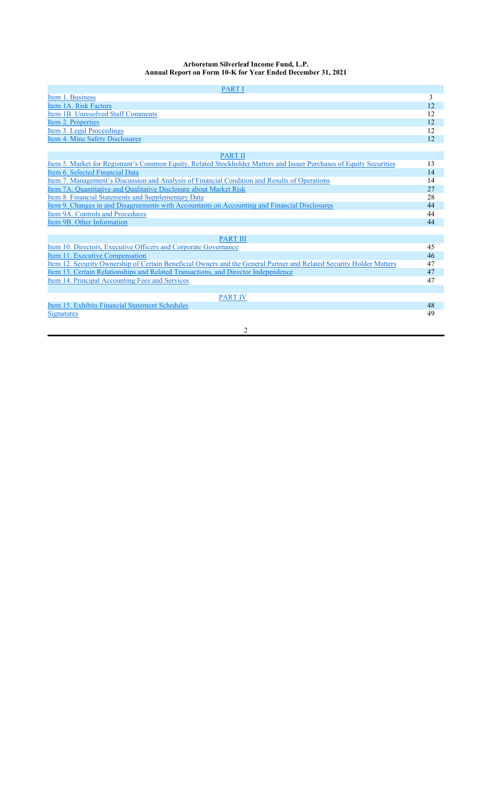# **Arboretum Silverleaf Income Fund, L.P. Annual Report on Form 10-K for Year Ended December 31, 2021**

| <b>PARTI</b>                                                                                                         |    |
|----------------------------------------------------------------------------------------------------------------------|----|
| Item 1. Business                                                                                                     | 3  |
| Item 1A. Risk Factors                                                                                                | 12 |
| Item 1B. Unresolved Staff Comments                                                                                   | 12 |
| Item 2. Properties                                                                                                   | 12 |
| Item 3. Legal Proceedings                                                                                            | 12 |
| Item 4. Mine Safety Disclosures                                                                                      | 12 |
|                                                                                                                      |    |
| <b>PART II</b>                                                                                                       |    |
| Item 5. Market for Registrant's Common Equity, Related Stockholder Matters and Issuer Purchases of Equity Securities | 13 |
| Item 6. Selected Financial Data                                                                                      | 14 |
| <u>Item 7. Management's Discussion and Analysis of Financial Condition and Results of Operations</u>                 | 14 |
| Item 7A. Quantitative and Qualitative Disclosure about Market Risk                                                   | 27 |
| Item 8. Financial Statements and Supplementary Data                                                                  | 28 |
| Item 9. Changes in and Disagreements with Accountants on Accounting and Financial Disclosures                        | 44 |
| Item 9A. Controls and Procedures                                                                                     | 44 |
| Item 9B. Other Information                                                                                           | 44 |
|                                                                                                                      |    |
| <b>PART III</b>                                                                                                      |    |
| Item 10. Directors, Executive Officers and Corporate Governance                                                      | 45 |
| Item 11. Executive Compensation                                                                                      | 46 |
| Item 12. Security Ownership of Certain Beneficial Owners and the General Partner and Related Security Holder Matters | 47 |
| Item 13. Certain Relationships and Related Transactions, and Director Independence                                   | 47 |
| Item 14. Principal Accounting Fees and Services                                                                      | 47 |
|                                                                                                                      |    |
| <b>PART IV</b>                                                                                                       |    |
| Item 15. Exhibits Financial Statement Schedules                                                                      | 48 |
| <b>Signatures</b>                                                                                                    | 49 |
|                                                                                                                      |    |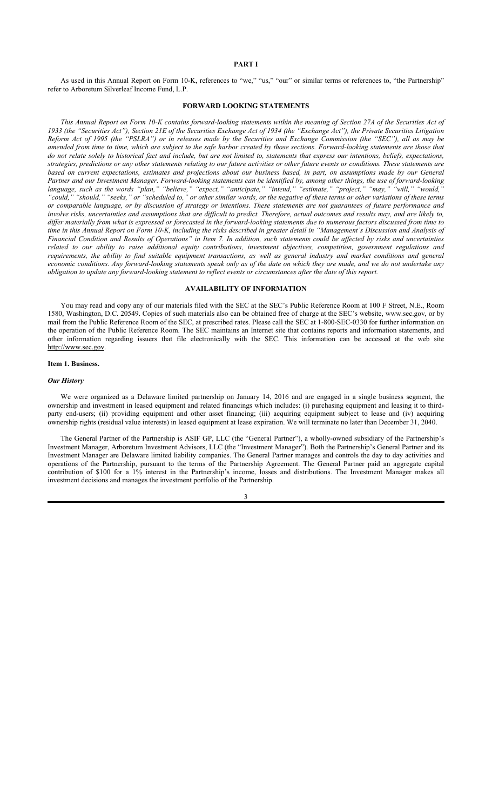# **PART I**

As used in this Annual Report on Form 10-K, references to "we," "us," "our" or similar terms or references to, "the Partnership" refer to Arboretum Silverleaf Income Fund, L.P.

# **FORWARD LOOKING STATEMENTS**

*This Annual Report on Form 10-K contains forward-looking statements within the meaning of Section 27A of the Securities Act of 1933 (the "Securities Act"), Section 21E of the Securities Exchange Act of 1934 (the "Exchange Act"), the Private Securities Litigation Reform Act of 1995 (the "PSLRA") or in releases made by the Securities and Exchange Commission (the "SEC"), all as may be amended from time to time, which are subject to the safe harbor created by those sections. Forward-looking statements are those that do not relate solely to historical fact and include, but are not limited to, statements that express our intentions, beliefs, expectations, strategies, predictions or any other statements relating to our future activities or other future events or conditions. These statements are based on current expectations, estimates and projections about our business based, in part, on assumptions made by our General Partner and our Investment Manager. Forward-looking statements can be identified by, among other things, the use of forward-looking language, such as the words "plan," "believe," "expect," "anticipate," "intend," "estimate," "project," "may," "will," "would," "could," "should," "seeks," or "scheduled to," or other similar words, or the negative of these terms or other variations of these terms or comparable language, or by discussion of strategy or intentions. These statements are not guarantees of future performance and involve risks, uncertainties and assumptions that are difficult to predict. Therefore, actual outcomes and results may, and are likely to, differ materially from what is expressed or forecasted in the forward-looking statements due to numerous factors discussed from time to time in this Annual Report on Form 10-K, including the risks described in greater detail in "Management's Discussion and Analysis of Financial Condition and Results of Operations" in Item 7. In addition, such statements could be affected by risks and uncertainties related to our ability to raise additional equity contributions, investment objectives, competition, government regulations and requirements, the ability to find suitable equipment transactions, as well as general industry and market conditions and general economic conditions. Any forward-looking statements speak only as of the date on which they are made, and we do not undertake any obligation to update any forward-looking statement to reflect events or circumstances after the date of this report.*

# **AVAILABILITY OF INFORMATION**

You may read and copy any of our materials filed with the SEC at the SEC's Public Reference Room at 100 F Street, N.E., Room 1580, Washington, D.C. 20549. Copies of such materials also can be obtained free of charge at the SEC's website, www.sec.gov, or by mail from the Public Reference Room of the SEC, at prescribed rates. Please call the SEC at 1-800-SEC-0330 for further information on the operation of the Public Reference Room. The SEC maintains an Internet site that contains reports and information statements, and other information regarding issuers that file electronically with the SEC. This information can be accessed at the web site http://www.sec.gov.

### **Item 1. Business.**

### *Our History*

We were organized as a Delaware limited partnership on January 14, 2016 and are engaged in a single business segment, the ownership and investment in leased equipment and related financings which includes: (i) purchasing equipment and leasing it to thirdparty end-users; (ii) providing equipment and other asset financing; (iii) acquiring equipment subject to lease and (iv) acquiring ownership rights (residual value interests) in leased equipment at lease expiration. We will terminate no later than December 31, 2040.

The General Partner of the Partnership is ASIF GP, LLC (the "General Partner"), a wholly-owned subsidiary of the Partnership's Investment Manager, Arboretum Investment Advisors, LLC (the "Investment Manager"). Both the Partnership's General Partner and its Investment Manager are Delaware limited liability companies. The General Partner manages and controls the day to day activities and operations of the Partnership, pursuant to the terms of the Partnership Agreement. The General Partner paid an aggregate capital contribution of \$100 for a 1% interest in the Partnership's income, losses and distributions. The Investment Manager makes all investment decisions and manages the investment portfolio of the Partnership.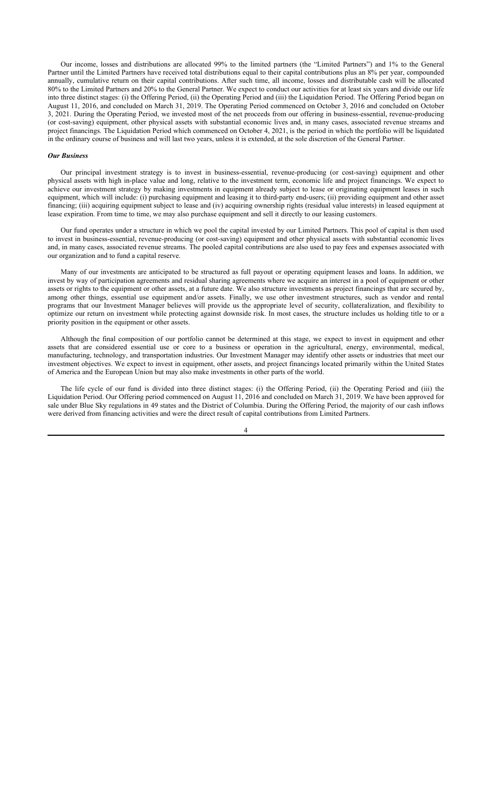Our income, losses and distributions are allocated 99% to the limited partners (the "Limited Partners") and 1% to the General Partner until the Limited Partners have received total distributions equal to their capital contributions plus an 8% per year, compounded annually, cumulative return on their capital contributions. After such time, all income, losses and distributable cash will be allocated 80% to the Limited Partners and 20% to the General Partner. We expect to conduct our activities for at least six years and divide our life into three distinct stages: (i) the Offering Period, (ii) the Operating Period and (iii) the Liquidation Period. The Offering Period began on August 11, 2016, and concluded on March 31, 2019. The Operating Period commenced on October 3, 2016 and concluded on October 3, 2021. During the Operating Period, we invested most of the net proceeds from our offering in business-essential, revenue-producing (or cost-saving) equipment, other physical assets with substantial economic lives and, in many cases, associated revenue streams and project financings. The Liquidation Period which commenced on October 4, 2021, is the period in which the portfolio will be liquidated in the ordinary course of business and will last two years, unless it is extended, at the sole discretion of the General Partner.

### *Our Business*

Our principal investment strategy is to invest in business-essential, revenue-producing (or cost-saving) equipment and other physical assets with high in-place value and long, relative to the investment term, economic life and project financings. We expect to achieve our investment strategy by making investments in equipment already subject to lease or originating equipment leases in such equipment, which will include: (i) purchasing equipment and leasing it to third-party end-users; (ii) providing equipment and other asset financing; (iii) acquiring equipment subject to lease and (iv) acquiring ownership rights (residual value interests) in leased equipment at lease expiration. From time to time, we may also purchase equipment and sell it directly to our leasing customers.

Our fund operates under a structure in which we pool the capital invested by our Limited Partners. This pool of capital is then used to invest in business-essential, revenue-producing (or cost-saving) equipment and other physical assets with substantial economic lives and, in many cases, associated revenue streams. The pooled capital contributions are also used to pay fees and expenses associated with our organization and to fund a capital reserve.

Many of our investments are anticipated to be structured as full payout or operating equipment leases and loans. In addition, we invest by way of participation agreements and residual sharing agreements where we acquire an interest in a pool of equipment or other assets or rights to the equipment or other assets, at a future date. We also structure investments as project financings that are secured by, among other things, essential use equipment and/or assets. Finally, we use other investment structures, such as vendor and rental programs that our Investment Manager believes will provide us the appropriate level of security, collateralization, and flexibility to optimize our return on investment while protecting against downside risk. In most cases, the structure includes us holding title to or a priority position in the equipment or other assets.

Although the final composition of our portfolio cannot be determined at this stage, we expect to invest in equipment and other assets that are considered essential use or core to a business or operation in the agricultural, energy, environmental, medical, manufacturing, technology, and transportation industries. Our Investment Manager may identify other assets or industries that meet our investment objectives. We expect to invest in equipment, other assets, and project financings located primarily within the United States of America and the European Union but may also make investments in other parts of the world.

The life cycle of our fund is divided into three distinct stages: (i) the Offering Period, (ii) the Operating Period and (iii) the Liquidation Period. Our Offering period commenced on August 11, 2016 and concluded on March 31, 2019. We have been approved for sale under Blue Sky regulations in 49 states and the District of Columbia. During the Offering Period, the majority of our cash inflows were derived from financing activities and were the direct result of capital contributions from Limited Partners.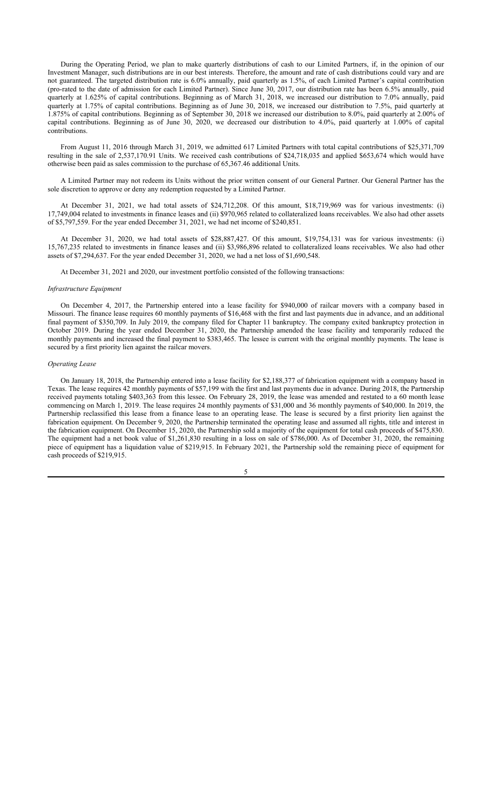During the Operating Period, we plan to make quarterly distributions of cash to our Limited Partners, if, in the opinion of our Investment Manager, such distributions are in our best interests. Therefore, the amount and rate of cash distributions could vary and are not guaranteed. The targeted distribution rate is 6.0% annually, paid quarterly as 1.5%, of each Limited Partner's capital contribution (pro-rated to the date of admission for each Limited Partner). Since June 30, 2017, our distribution rate has been 6.5% annually, paid quarterly at 1.625% of capital contributions. Beginning as of March 31, 2018, we increased our distribution to 7.0% annually, paid quarterly at 1.75% of capital contributions. Beginning as of June 30, 2018, we increased our distribution to 7.5%, paid quarterly at 1.875% of capital contributions. Beginning as of September 30, 2018 we increased our distribution to 8.0%, paid quarterly at 2.00% of capital contributions. Beginning as of June 30, 2020, we decreased our distribution to 4.0%, paid quarterly at 1.00% of capital contributions.

From August 11, 2016 through March 31, 2019, we admitted 617 Limited Partners with total capital contributions of \$25,371,709 resulting in the sale of 2,537,170.91 Units. We received cash contributions of \$24,718,035 and applied \$653,674 which would have otherwise been paid as sales commission to the purchase of 65,367.46 additional Units.

A Limited Partner may not redeem its Units without the prior written consent of our General Partner. Our General Partner has the sole discretion to approve or deny any redemption requested by a Limited Partner.

At December 31, 2021, we had total assets of \$24,712,208. Of this amount, \$18,719,969 was for various investments: (i) 17,749,004 related to investments in finance leases and (ii) \$970,965 related to collateralized loans receivables. We also had other assets of \$5,797,559. For the year ended December 31, 2021, we had net income of \$240,851.

At December 31, 2020, we had total assets of \$28,887,427. Of this amount, \$19,754,131 was for various investments: (i) 15,767,235 related to investments in finance leases and (ii) \$3,986,896 related to collateralized loans receivables. We also had other assets of \$7,294,637. For the year ended December 31, 2020, we had a net loss of \$1,690,548.

At December 31, 2021 and 2020, our investment portfolio consisted of the following transactions:

# *Infrastructure Equipment*

On December 4, 2017, the Partnership entered into a lease facility for \$940,000 of railcar movers with a company based in Missouri. The finance lease requires 60 monthly payments of \$16,468 with the first and last payments due in advance, and an additional final payment of \$350,709. In July 2019, the company filed for Chapter 11 bankruptcy. The company exited bankruptcy protection in October 2019. During the year ended December 31, 2020, the Partnership amended the lease facility and temporarily reduced the monthly payments and increased the final payment to \$383,465. The lessee is current with the original monthly payments. The lease is secured by a first priority lien against the railcar movers.

### *Operating Lease*

On January 18, 2018, the Partnership entered into a lease facility for \$2,188,377 of fabrication equipment with a company based in Texas. The lease requires 42 monthly payments of \$57,199 with the first and last payments due in advance. During 2018, the Partnership received payments totaling \$403,363 from this lessee. On February 28, 2019, the lease was amended and restated to a 60 month lease commencing on March 1, 2019. The lease requires 24 monthly payments of \$31,000 and 36 monthly payments of \$40,000. In 2019, the Partnership reclassified this lease from a finance lease to an operating lease. The lease is secured by a first priority lien against the fabrication equipment. On December 9, 2020, the Partnership terminated the operating lease and assumed all rights, title and interest in the fabrication equipment. On December 15, 2020, the Partnership sold a majority of the equipment for total cash proceeds of \$475,830. The equipment had a net book value of \$1,261,830 resulting in a loss on sale of \$786,000. As of December 31, 2020, the remaining piece of equipment has a liquidation value of \$219,915. In February 2021, the Partnership sold the remaining piece of equipment for cash proceeds of \$219,915.

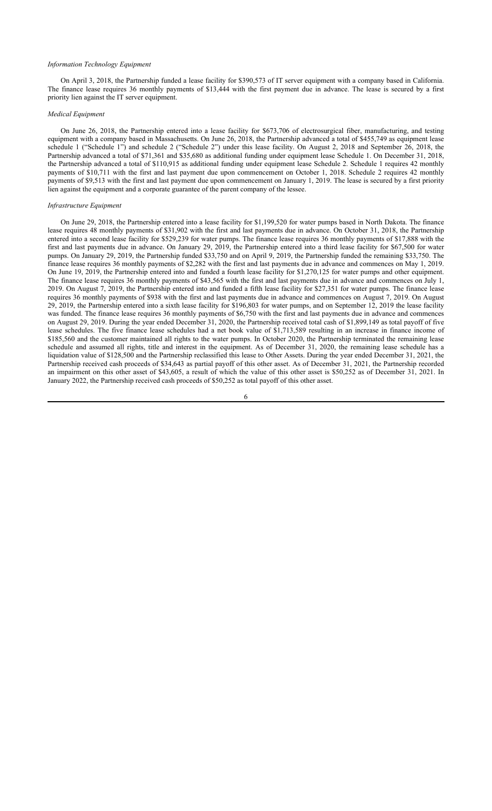# *Information Technology Equipment*

On April 3, 2018, the Partnership funded a lease facility for \$390,573 of IT server equipment with a company based in California. The finance lease requires 36 monthly payments of \$13,444 with the first payment due in advance. The lease is secured by a first priority lien against the IT server equipment.

### *Medical Equipment*

On June 26, 2018, the Partnership entered into a lease facility for \$673,706 of electrosurgical fiber, manufacturing, and testing equipment with a company based in Massachusetts. On June 26, 2018, the Partnership advanced a total of \$455,749 as equipment lease schedule 1 ("Schedule 1") and schedule 2 ("Schedule 2") under this lease facility. On August 2, 2018 and September 26, 2018, the Partnership advanced a total of \$71,361 and \$35,680 as additional funding under equipment lease Schedule 1. On December 31, 2018, the Partnership advanced a total of \$110,915 as additional funding under equipment lease Schedule 2. Schedule 1 requires 42 monthly payments of \$10,711 with the first and last payment due upon commencement on October 1, 2018. Schedule 2 requires 42 monthly payments of \$9,513 with the first and last payment due upon commencement on January 1, 2019. The lease is secured by a first priority lien against the equipment and a corporate guarantee of the parent company of the lessee.

# *Infrastructure Equipment*

On June 29, 2018, the Partnership entered into a lease facility for \$1,199,520 for water pumps based in North Dakota. The finance lease requires 48 monthly payments of \$31,902 with the first and last payments due in advance. On October 31, 2018, the Partnership entered into a second lease facility for \$529,239 for water pumps. The finance lease requires 36 monthly payments of \$17,888 with the first and last payments due in advance. On January 29, 2019, the Partnership entered into a third lease facility for \$67,500 for water pumps. On January 29, 2019, the Partnership funded \$33,750 and on April 9, 2019, the Partnership funded the remaining \$33,750. The finance lease requires 36 monthly payments of \$2,282 with the first and last payments due in advance and commences on May 1, 2019. On June 19, 2019, the Partnership entered into and funded a fourth lease facility for \$1,270,125 for water pumps and other equipment. The finance lease requires 36 monthly payments of \$43,565 with the first and last payments due in advance and commences on July 1, 2019. On August 7, 2019, the Partnership entered into and funded a fifth lease facility for \$27,351 for water pumps. The finance lease requires 36 monthly payments of \$938 with the first and last payments due in advance and commences on August 7, 2019. On August 29, 2019, the Partnership entered into a sixth lease facility for \$196,803 for water pumps, and on September 12, 2019 the lease facility was funded. The finance lease requires 36 monthly payments of \$6,750 with the first and last payments due in advance and commences on August 29, 2019. During the year ended December 31, 2020, the Partnership received total cash of \$1,899,149 as total payoff of five lease schedules. The five finance lease schedules had a net book value of \$1,713,589 resulting in an increase in finance income of \$185,560 and the customer maintained all rights to the water pumps. In October 2020, the Partnership terminated the remaining lease schedule and assumed all rights, title and interest in the equipment. As of December 31, 2020, the remaining lease schedule has a liquidation value of \$128,500 and the Partnership reclassified this lease to Other Assets. During the year ended December 31, 2021, the Partnership received cash proceeds of \$34,643 as partial payoff of this other asset. As of December 31, 2021, the Partnership recorded an impairment on this other asset of \$43,605, a result of which the value of this other asset is \$50,252 as of December 31, 2021. In January 2022, the Partnership received cash proceeds of \$50,252 as total payoff of this other asset.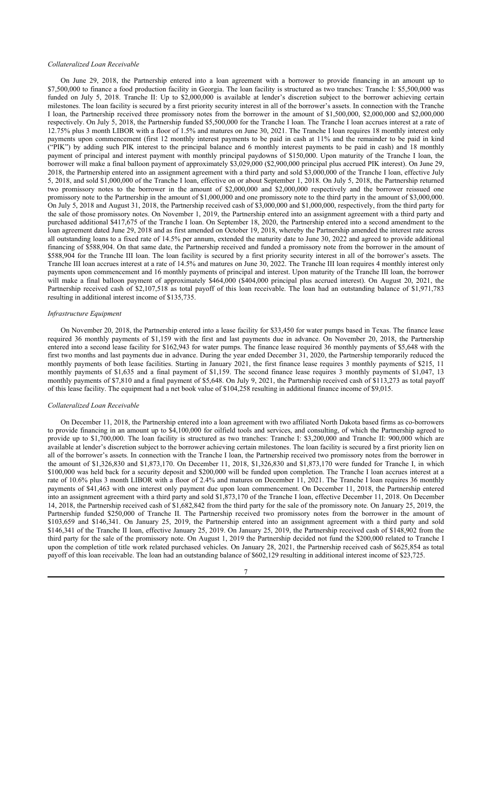### *Collateralized Loan Receivable*

On June 29, 2018, the Partnership entered into a loan agreement with a borrower to provide financing in an amount up to \$7,500,000 to finance a food production facility in Georgia. The loan facility is structured as two tranches: Tranche I: \$5,500,000 was funded on July 5, 2018. Tranche II: Up to \$2,000,000 is available at lender's discretion subject to the borrower achieving certain milestones. The loan facility is secured by a first priority security interest in all of the borrower's assets. In connection with the Tranche I loan, the Partnership received three promissory notes from the borrower in the amount of \$1,500,000, \$2,000,000 and \$2,000,000 respectively. On July 5, 2018, the Partnership funded \$5,500,000 for the Tranche I loan. The Tranche I loan accrues interest at a rate of 12.75% plus 3 month LIBOR with a floor of 1.5% and matures on June 30, 2021. The Tranche I loan requires 18 monthly interest only payments upon commencement (first 12 monthly interest payments to be paid in cash at 11% and the remainder to be paid in kind ("PIK") by adding such PIK interest to the principal balance and 6 monthly interest payments to be paid in cash) and 18 monthly payment of principal and interest payment with monthly principal paydowns of \$150,000. Upon maturity of the Tranche I loan, the borrower will make a final balloon payment of approximately \$3,029,000 (\$2,900,000 principal plus accrued PIK interest). On June 29, 2018, the Partnership entered into an assignment agreement with a third party and sold \$3,000,000 of the Tranche I loan, effective July 5, 2018, and sold \$1,000,000 of the Tranche I loan, effective on or about September 1, 2018. On July 5, 2018, the Partnership returned two promissory notes to the borrower in the amount of \$2,000,000 and \$2,000,000 respectively and the borrower reissued one promissory note to the Partnership in the amount of \$1,000,000 and one promissory note to the third party in the amount of \$3,000,000. On July 5, 2018 and August 31, 2018, the Partnership received cash of \$3,000,000 and \$1,000,000, respectively, from the third party for the sale of those promissory notes. On November 1, 2019, the Partnership entered into an assignment agreement with a third party and purchased additional \$417,675 of the Tranche I loan. On September 18, 2020, the Partnership entered into a second amendment to the loan agreement dated June 29, 2018 and as first amended on October 19, 2018, whereby the Partnership amended the interest rate across all outstanding loans to a fixed rate of 14.5% per annum, extended the maturity date to June 30, 2022 and agreed to provide additional financing of \$588,904. On that same date, the Partnership received and funded a promissory note from the borrower in the amount of \$588,904 for the Tranche III loan. The loan facility is secured by a first priority security interest in all of the borrower's assets. The Tranche III loan accrues interest at a rate of 14.5% and matures on June 30, 2022. The Tranche III loan requires 4 monthly interest only payments upon commencement and 16 monthly payments of principal and interest. Upon maturity of the Tranche III loan, the borrower will make a final balloon payment of approximately \$464,000 (\$404,000 principal plus accrued interest). On August 20, 2021, the Partnership received cash of \$2,107,518 as total payoff of this loan receivable. The loan had an outstanding balance of \$1,971,783 resulting in additional interest income of \$135,735.

### *Infrastructure Equipment*

On November 20, 2018, the Partnership entered into a lease facility for \$33,450 for water pumps based in Texas. The finance lease required 36 monthly payments of \$1,159 with the first and last payments due in advance. On November 20, 2018, the Partnership entered into a second lease facility for \$162,943 for water pumps. The finance lease required 36 monthly payments of \$5,648 with the first two months and last payments due in advance. During the year ended December 31, 2020, the Partnership temporarily reduced the monthly payments of both lease facilities. Starting in January 2021, the first finance lease requires 3 monthly payments of \$215, 11 monthly payments of \$1,635 and a final payment of \$1,159. The second finance lease requires 3 monthly payments of \$1,047, 13 monthly payments of \$7,810 and a final payment of \$5,648. On July 9, 2021, the Partnership received cash of \$113,273 as total payoff of this lease facility. The equipment had a net book value of \$104,258 resulting in additional finance income of \$9,015.

#### *Collateralized Loan Receivable*

On December 11, 2018, the Partnership entered into a loan agreement with two affiliated North Dakota based firms as co-borrowers to provide financing in an amount up to \$4,100,000 for oilfield tools and services, and consulting, of which the Partnership agreed to provide up to \$1,700,000. The loan facility is structured as two tranches: Tranche I: \$3,200,000 and Tranche II: 900,000 which are available at lender's discretion subject to the borrower achieving certain milestones. The loan facility is secured by a first priority lien on all of the borrower's assets. In connection with the Tranche I loan, the Partnership received two promissory notes from the borrower in the amount of \$1,326,830 and \$1,873,170. On December 11, 2018, \$1,326,830 and \$1,873,170 were funded for Tranche I, in which \$100,000 was held back for a security deposit and \$200,000 will be funded upon completion. The Tranche I loan accrues interest at a rate of 10.6% plus 3 month LIBOR with a floor of 2.4% and matures on December 11, 2021. The Tranche I loan requires 36 monthly payments of \$41,463 with one interest only payment due upon loan commencement. On December 11, 2018, the Partnership entered into an assignment agreement with a third party and sold \$1,873,170 of the Tranche I loan, effective December 11, 2018. On December 14, 2018, the Partnership received cash of \$1,682,842 from the third party for the sale of the promissory note. On January 25, 2019, the Partnership funded \$250,000 of Tranche II. The Partnership received two promissory notes from the borrower in the amount of \$103,659 and \$146,341. On January 25, 2019, the Partnership entered into an assignment agreement with a third party and sold \$146,341 of the Tranche II loan, effective January 25, 2019. On January 25, 2019, the Partnership received cash of \$148,902 from the third party for the sale of the promissory note. On August 1, 2019 the Partnership decided not fund the \$200,000 related to Tranche I upon the completion of title work related purchased vehicles. On January 28, 2021, the Partnership received cash of \$625,854 as total payoff of this loan receivable. The loan had an outstanding balance of \$602,129 resulting in additional interest income of \$23,725.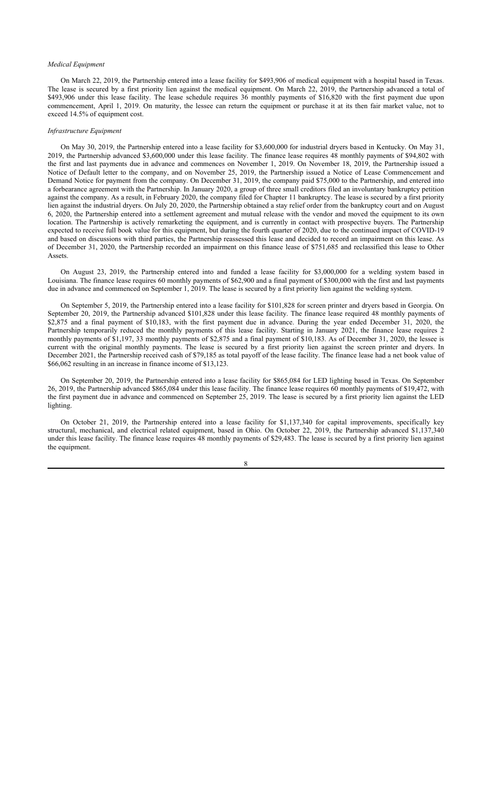# *Medical Equipment*

On March 22, 2019, the Partnership entered into a lease facility for \$493,906 of medical equipment with a hospital based in Texas. The lease is secured by a first priority lien against the medical equipment. On March 22, 2019, the Partnership advanced a total of \$493,906 under this lease facility. The lease schedule requires 36 monthly payments of \$16,820 with the first payment due upon commencement, April 1, 2019. On maturity, the lessee can return the equipment or purchase it at its then fair market value, not to exceed 14.5% of equipment cost.

#### *Infrastructure Equipment*

On May 30, 2019, the Partnership entered into a lease facility for \$3,600,000 for industrial dryers based in Kentucky. On May 31, 2019, the Partnership advanced \$3,600,000 under this lease facility. The finance lease requires 48 monthly payments of \$94,802 with the first and last payments due in advance and commences on November 1, 2019. On November 18, 2019, the Partnership issued a Notice of Default letter to the company, and on November 25, 2019, the Partnership issued a Notice of Lease Commencement and Demand Notice for payment from the company. On December 31, 2019, the company paid \$75,000 to the Partnership, and entered into a forbearance agreement with the Partnership. In January 2020, a group of three small creditors filed an involuntary bankruptcy petition against the company. As a result, in February 2020, the company filed for Chapter 11 bankruptcy. The lease is secured by a first priority lien against the industrial dryers. On July 20, 2020, the Partnership obtained a stay relief order from the bankruptcy court and on August 6, 2020, the Partnership entered into a settlement agreement and mutual release with the vendor and moved the equipment to its own location. The Partnership is actively remarketing the equipment, and is currently in contact with prospective buyers. The Partnership expected to receive full book value for this equipment, but during the fourth quarter of 2020, due to the continued impact of COVID-19 and based on discussions with third parties, the Partnership reassessed this lease and decided to record an impairment on this lease. As of December 31, 2020, the Partnership recorded an impairment on this finance lease of \$751,685 and reclassified this lease to Other Assets.

On August 23, 2019, the Partnership entered into and funded a lease facility for \$3,000,000 for a welding system based in Louisiana. The finance lease requires 60 monthly payments of \$62,900 and a final payment of \$300,000 with the first and last payments due in advance and commenced on September 1, 2019. The lease is secured by a first priority lien against the welding system.

On September 5, 2019, the Partnership entered into a lease facility for \$101,828 for screen printer and dryers based in Georgia. On September 20, 2019, the Partnership advanced \$101,828 under this lease facility. The finance lease required 48 monthly payments of \$2,875 and a final payment of \$10,183, with the first payment due in advance. During the year ended December 31, 2020, the Partnership temporarily reduced the monthly payments of this lease facility. Starting in January 2021, the finance lease requires 2 monthly payments of \$1,197, 33 monthly payments of \$2,875 and a final payment of \$10,183. As of December 31, 2020, the lessee is current with the original monthly payments. The lease is secured by a first priority lien against the screen printer and dryers. In December 2021, the Partnership received cash of \$79,185 as total payoff of the lease facility. The finance lease had a net book value of \$66,062 resulting in an increase in finance income of \$13,123.

On September 20, 2019, the Partnership entered into a lease facility for \$865,084 for LED lighting based in Texas. On September 26, 2019, the Partnership advanced \$865,084 under this lease facility. The finance lease requires 60 monthly payments of \$19,472, with the first payment due in advance and commenced on September 25, 2019. The lease is secured by a first priority lien against the LED lighting.

On October 21, 2019, the Partnership entered into a lease facility for \$1,137,340 for capital improvements, specifically key structural, mechanical, and electrical related equipment, based in Ohio. On October 22, 2019, the Partnership advanced \$1,137,340 under this lease facility. The finance lease requires 48 monthly payments of \$29,483. The lease is secured by a first priority lien against the equipment.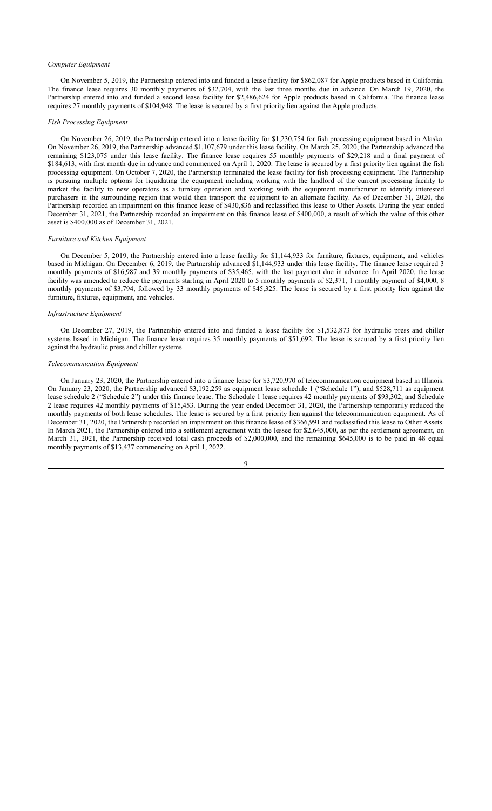# *Computer Equipment*

On November 5, 2019, the Partnership entered into and funded a lease facility for \$862,087 for Apple products based in California. The finance lease requires 30 monthly payments of \$32,704, with the last three months due in advance. On March 19, 2020, the Partnership entered into and funded a second lease facility for \$2,486,624 for Apple products based in California. The finance lease requires 27 monthly payments of \$104,948. The lease is secured by a first priority lien against the Apple products.

#### *Fish Processing Equipment*

On November 26, 2019, the Partnership entered into a lease facility for \$1,230,754 for fish processing equipment based in Alaska. On November 26, 2019, the Partnership advanced \$1,107,679 under this lease facility. On March 25, 2020, the Partnership advanced the remaining \$123,075 under this lease facility. The finance lease requires 55 monthly payments of \$29,218 and a final payment of \$184,613, with first month due in advance and commenced on April 1, 2020. The lease is secured by a first priority lien against the fish processing equipment. On October 7, 2020, the Partnership terminated the lease facility for fish processing equipment. The Partnership is pursuing multiple options for liquidating the equipment including working with the landlord of the current processing facility to market the facility to new operators as a turnkey operation and working with the equipment manufacturer to identify interested purchasers in the surrounding region that would then transport the equipment to an alternate facility. As of December 31, 2020, the Partnership recorded an impairment on this finance lease of \$430,836 and reclassified this lease to Other Assets. During the year ended December 31, 2021, the Partnership recorded an impairment on this finance lease of \$400,000, a result of which the value of this other asset is \$400,000 as of December 31, 2021.

# *Furniture and Kitchen Equipment*

On December 5, 2019, the Partnership entered into a lease facility for \$1,144,933 for furniture, fixtures, equipment, and vehicles based in Michigan. On December 6, 2019, the Partnership advanced \$1,144,933 under this lease facility. The finance lease required 3 monthly payments of \$16,987 and 39 monthly payments of \$35,465, with the last payment due in advance. In April 2020, the lease facility was amended to reduce the payments starting in April 2020 to 5 monthly payments of \$2,371, 1 monthly payment of \$4,000, 8 monthly payments of \$3,794, followed by 33 monthly payments of \$45,325. The lease is secured by a first priority lien against the furniture, fixtures, equipment, and vehicles.

# *Infrastructure Equipment*

On December 27, 2019, the Partnership entered into and funded a lease facility for \$1,532,873 for hydraulic press and chiller systems based in Michigan. The finance lease requires 35 monthly payments of \$51,692. The lease is secured by a first priority lien against the hydraulic press and chiller systems.

### *Telecommunication Equipment*

On January 23, 2020, the Partnership entered into a finance lease for \$3,720,970 of telecommunication equipment based in Illinois. On January 23, 2020, the Partnership advanced \$3,192,259 as equipment lease schedule 1 ("Schedule 1"), and \$528,711 as equipment lease schedule 2 ("Schedule 2") under this finance lease. The Schedule 1 lease requires 42 monthly payments of \$93,302, and Schedule 2 lease requires 42 monthly payments of \$15,453. During the year ended December 31, 2020, the Partnership temporarily reduced the monthly payments of both lease schedules. The lease is secured by a first priority lien against the telecommunication equipment. As of December 31, 2020, the Partnership recorded an impairment on this finance lease of \$366,991 and reclassified this lease to Other Assets. In March 2021, the Partnership entered into a settlement agreement with the lessee for \$2,645,000, as per the settlement agreement, on March 31, 2021, the Partnership received total cash proceeds of \$2,000,000, and the remaining \$645,000 is to be paid in 48 equal monthly payments of \$13,437 commencing on April 1, 2022.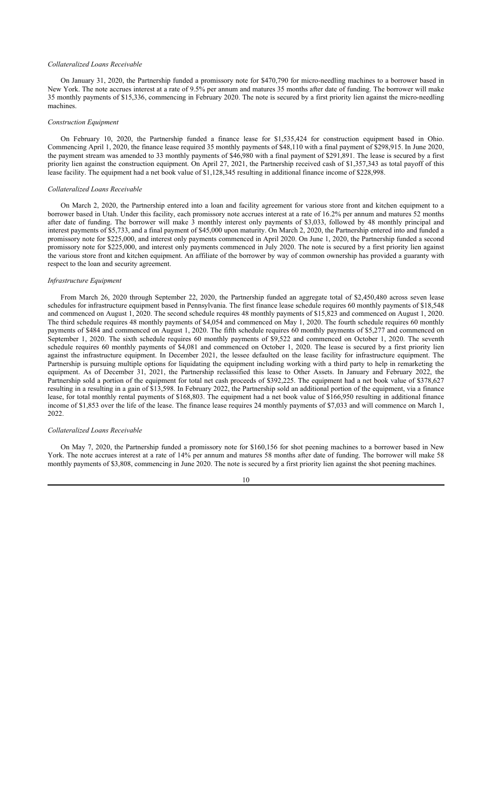### *Collateralized Loans Receivable*

On January 31, 2020, the Partnership funded a promissory note for \$470,790 for micro-needling machines to a borrower based in New York. The note accrues interest at a rate of 9.5% per annum and matures 35 months after date of funding. The borrower will make 35 monthly payments of \$15,336, commencing in February 2020. The note is secured by a first priority lien against the micro-needling machines.

### *Construction Equipment*

On February 10, 2020, the Partnership funded a finance lease for \$1,535,424 for construction equipment based in Ohio. Commencing April 1, 2020, the finance lease required 35 monthly payments of \$48,110 with a final payment of \$298,915. In June 2020, the payment stream was amended to 33 monthly payments of \$46,980 with a final payment of \$291,891. The lease is secured by a first priority lien against the construction equipment. On April 27, 2021, the Partnership received cash of \$1,357,343 as total payoff of this lease facility. The equipment had a net book value of \$1,128,345 resulting in additional finance income of \$228,998.

# *Collateralized Loans Receivable*

On March 2, 2020, the Partnership entered into a loan and facility agreement for various store front and kitchen equipment to a borrower based in Utah. Under this facility, each promissory note accrues interest at a rate of 16.2% per annum and matures 52 months after date of funding. The borrower will make  $\hat{3}$  monthly interest only payments of \$3,033, followed by 48 monthly principal and interest payments of \$5,733, and a final payment of \$45,000 upon maturity. On March 2, 2020, the Partnership entered into and funded a promissory note for \$225,000, and interest only payments commenced in April 2020. On June 1, 2020, the Partnership funded a second promissory note for \$225,000, and interest only payments commenced in July 2020. The note is secured by a first priority lien against the various store front and kitchen equipment. An affiliate of the borrower by way of common ownership has provided a guaranty with respect to the loan and security agreement.

### *Infrastructure Equipment*

From March 26, 2020 through September 22, 2020, the Partnership funded an aggregate total of \$2,450,480 across seven lease schedules for infrastructure equipment based in Pennsylvania. The first finance lease schedule requires 60 monthly payments of \$18,548 and commenced on August 1, 2020. The second schedule requires 48 monthly payments of \$15,823 and commenced on August 1, 2020. The third schedule requires 48 monthly payments of \$4,054 and commenced on May 1, 2020. The fourth schedule requires 60 monthly payments of \$484 and commenced on August 1, 2020. The fifth schedule requires 60 monthly payments of \$5,277 and commenced on September 1, 2020. The sixth schedule requires 60 monthly payments of \$9,522 and commenced on October 1, 2020. The seventh schedule requires 60 monthly payments of \$4,081 and commenced on October 1, 2020. The lease is secured by a first priority lien against the infrastructure equipment. In December 2021, the lessee defaulted on the lease facility for infrastructure equipment. The Partnership is pursuing multiple options for liquidating the equipment including working with a third party to help in remarketing the equipment. As of December 31, 2021, the Partnership reclassified this lease to Other Assets. In January and February 2022, the Partnership sold a portion of the equipment for total net cash proceeds of \$392,225. The equipment had a net book value of \$378,627 resulting in a resulting in a gain of \$13,598. In February 2022, the Partnership sold an additional portion of the equipment, via a finance lease, for total monthly rental payments of \$168,803. The equipment had a net book value of \$166,950 resulting in additional finance income of \$1,853 over the life of the lease. The finance lease requires 24 monthly payments of \$7,033 and will commence on March 1, 2022.

# *Collateralized Loans Receivable*

On May 7, 2020, the Partnership funded a promissory note for \$160,156 for shot peening machines to a borrower based in New York. The note accrues interest at a rate of 14% per annum and matures 58 months after date of funding. The borrower will make 58 monthly payments of \$3,808, commencing in June 2020. The note is secured by a first priority lien against the shot peening machines.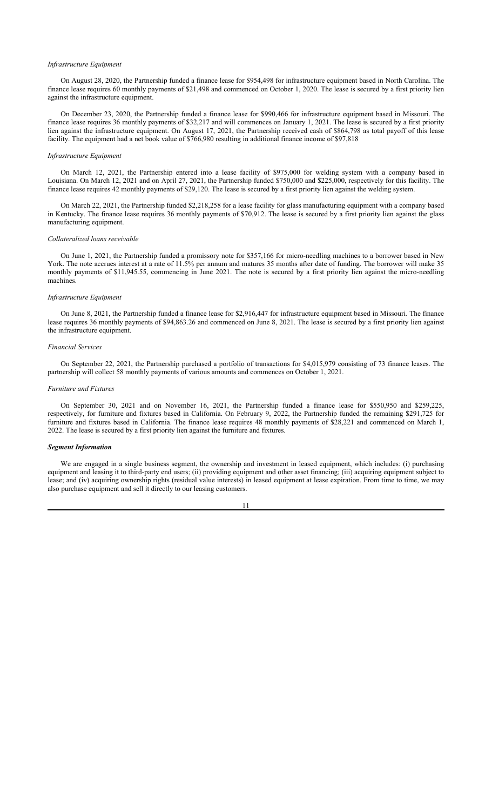# *Infrastructure Equipment*

On August 28, 2020, the Partnership funded a finance lease for \$954,498 for infrastructure equipment based in North Carolina. The finance lease requires 60 monthly payments of \$21,498 and commenced on October 1, 2020. The lease is secured by a first priority lien against the infrastructure equipment.

On December 23, 2020, the Partnership funded a finance lease for \$990,466 for infrastructure equipment based in Missouri. The finance lease requires 36 monthly payments of \$32,217 and will commences on January 1, 2021. The lease is secured by a first priority lien against the infrastructure equipment. On August 17, 2021, the Partnership received cash of \$864,798 as total payoff of this lease facility. The equipment had a net book value of \$766,980 resulting in additional finance income of \$97,818

### *Infrastructure Equipment*

On March 12, 2021, the Partnership entered into a lease facility of \$975,000 for welding system with a company based in Louisiana. On March 12, 2021 and on April 27, 2021, the Partnership funded \$750,000 and \$225,000, respectively for this facility. The finance lease requires 42 monthly payments of \$29,120. The lease is secured by a first priority lien against the welding system.

On March 22, 2021, the Partnership funded \$2,218,258 for a lease facility for glass manufacturing equipment with a company based in Kentucky. The finance lease requires 36 monthly payments of \$70,912. The lease is secured by a first priority lien against the glass manufacturing equipment.

# *Collateralized loans receivable*

On June 1, 2021, the Partnership funded a promissory note for \$357,166 for micro-needling machines to a borrower based in New York. The note accrues interest at a rate of 11.5% per annum and matures 35 months after date of funding. The borrower will make 35 monthly payments of \$11,945.55, commencing in June 2021. The note is secured by a first priority lien against the micro-needling machines.

### *Infrastructure Equipment*

On June 8, 2021, the Partnership funded a finance lease for \$2,916,447 for infrastructure equipment based in Missouri. The finance lease requires 36 monthly payments of \$94,863.26 and commenced on June 8, 2021. The lease is secured by a first priority lien against the infrastructure equipment.

### *Financial Services*

On September 22, 2021, the Partnership purchased a portfolio of transactions for \$4,015,979 consisting of 73 finance leases. The partnership will collect 58 monthly payments of various amounts and commences on October 1, 2021.

#### *Furniture and Fixtures*

On September 30, 2021 and on November 16, 2021, the Partnership funded a finance lease for \$550,950 and \$259,225, respectively, for furniture and fixtures based in California. On February 9, 2022, the Partnership funded the remaining \$291,725 for furniture and fixtures based in California. The finance lease requires 48 monthly payments of \$28,221 and commenced on March 1, 2022. The lease is secured by a first priority lien against the furniture and fixtures.

# *Segment Information*

We are engaged in a single business segment, the ownership and investment in leased equipment, which includes: (i) purchasing equipment and leasing it to third-party end users; (ii) providing equipment and other asset financing; (iii) acquiring equipment subject to lease; and (iv) acquiring ownership rights (residual value interests) in leased equipment at lease expiration. From time to time, we may also purchase equipment and sell it directly to our leasing customers.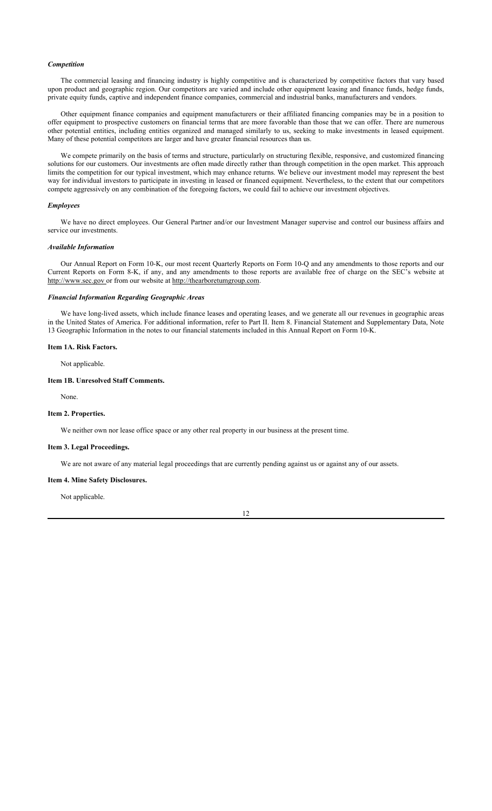# *Competition*

The commercial leasing and financing industry is highly competitive and is characterized by competitive factors that vary based upon product and geographic region. Our competitors are varied and include other equipment leasing and finance funds, hedge funds, private equity funds, captive and independent finance companies, commercial and industrial banks, manufacturers and vendors.

Other equipment finance companies and equipment manufacturers or their affiliated financing companies may be in a position to offer equipment to prospective customers on financial terms that are more favorable than those that we can offer. There are numerous other potential entities, including entities organized and managed similarly to us, seeking to make investments in leased equipment. Many of these potential competitors are larger and have greater financial resources than us.

We compete primarily on the basis of terms and structure, particularly on structuring flexible, responsive, and customized financing solutions for our customers. Our investments are often made directly rather than through competition in the open market. This approach limits the competition for our typical investment, which may enhance returns. We believe our investment model may represent the best way for individual investors to participate in investing in leased or financed equipment. Nevertheless, to the extent that our competitors compete aggressively on any combination of the foregoing factors, we could fail to achieve our investment objectives.

# *Employees*

We have no direct employees. Our General Partner and/or our Investment Manager supervise and control our business affairs and service our investments.

### *Available Information*

Our Annual Report on Form 10-K, our most recent Quarterly Reports on Form 10-Q and any amendments to those reports and our Current Reports on Form 8-K, if any, and any amendments to those reports are available free of charge on the SEC's website at http://www.sec.gov or from our website at http://thearboretumgroup.com.

# *Financial Information Regarding Geographic Areas*

We have long-lived assets, which include finance leases and operating leases, and we generate all our revenues in geographic areas in the United States of America. For additional information, refer to Part II. Item 8. Financial Statement and Supplementary Data, Note 13 Geographic Information in the notes to our financial statements included in this Annual Report on Form 10-K.

# **Item 1A. Risk Factors.**

Not applicable.

# **Item 1B. Unresolved Staff Comments.**

None.

# **Item 2. Properties.**

We neither own nor lease office space or any other real property in our business at the present time.

# **Item 3. Legal Proceedings.**

We are not aware of any material legal proceedings that are currently pending against us or against any of our assets.

# **Item 4. Mine Safety Disclosures.**

Not applicable.

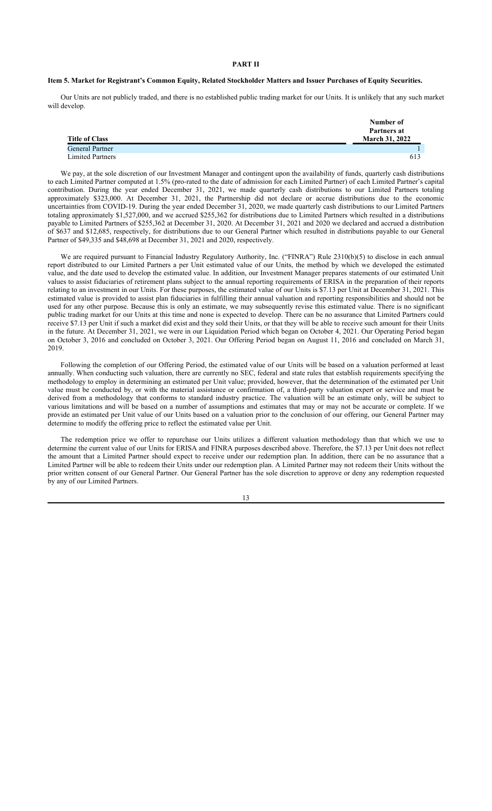### **PART II**

# **Item 5. Market for Registrant's Common Equity, Related Stockholder Matters and Issuer Purchases of Equity Securities.**

Our Units are not publicly traded, and there is no established public trading market for our Units. It is unlikely that any such market will develop.

| <b>Title of Class</b>   | Number of<br>Partners at<br><b>March 31, 2022</b> |
|-------------------------|---------------------------------------------------|
| General Partner         |                                                   |
| <b>Limited Partners</b> | 613                                               |

We pay, at the sole discretion of our Investment Manager and contingent upon the availability of funds, quarterly cash distributions to each Limited Partner computed at 1.5% (pro-rated to the date of admission for each Limited Partner) of each Limited Partner's capital contribution. During the year ended December 31, 2021, we made quarterly cash distributions to our Limited Partners totaling approximately \$323,000. At December 31, 2021, the Partnership did not declare or accrue distributions due to the economic uncertainties from COVID-19. During the year ended December 31, 2020, we made quarterly cash distributions to our Limited Partners totaling approximately \$1,527,000, and we accrued \$255,362 for distributions due to Limited Partners which resulted in a distributions payable to Limited Partners of \$255,362 at December 31, 2020. At December 31, 2021 and 2020 we declared and accrued a distribution of \$637 and \$12,685, respectively, for distributions due to our General Partner which resulted in distributions payable to our General Partner of \$49,335 and \$48,698 at December 31, 2021 and 2020, respectively.

We are required pursuant to Financial Industry Regulatory Authority, Inc. ("FINRA") Rule 2310(b)(5) to disclose in each annual report distributed to our Limited Partners a per Unit estimated value of our Units, the method by which we developed the estimated value, and the date used to develop the estimated value. In addition, our Investment Manager prepares statements of our estimated Unit values to assist fiduciaries of retirement plans subject to the annual reporting requirements of ERISA in the preparation of their reports relating to an investment in our Units. For these purposes, the estimated value of our Units is \$7.13 per Unit at December 31, 2021. This estimated value is provided to assist plan fiduciaries in fulfilling their annual valuation and reporting responsibilities and should not be used for any other purpose. Because this is only an estimate, we may subsequently revise this estimated value. There is no significant public trading market for our Units at this time and none is expected to develop. There can be no assurance that Limited Partners could receive \$7.13 per Unit if such a market did exist and they sold their Units, or that they will be able to receive such amount for their Units in the future. At December 31, 2021, we were in our Liquidation Period which began on October 4, 2021. Our Operating Period began on October 3, 2016 and concluded on October 3, 2021. Our Offering Period began on August 11, 2016 and concluded on March 31, 2019.

Following the completion of our Offering Period, the estimated value of our Units will be based on a valuation performed at least annually. When conducting such valuation, there are currently no SEC, federal and state rules that establish requirements specifying the methodology to employ in determining an estimated per Unit value; provided, however, that the determination of the estimated per Unit value must be conducted by, or with the material assistance or confirmation of, a third-party valuation expert or service and must be derived from a methodology that conforms to standard industry practice. The valuation will be an estimate only, will be subject to various limitations and will be based on a number of assumptions and estimates that may or may not be accurate or complete. If we provide an estimated per Unit value of our Units based on a valuation prior to the conclusion of our offering, our General Partner may determine to modify the offering price to reflect the estimated value per Unit.

The redemption price we offer to repurchase our Units utilizes a different valuation methodology than that which we use to determine the current value of our Units for ERISA and FINRA purposes described above. Therefore, the \$7.13 per Unit does not reflect the amount that a Limited Partner should expect to receive under our redemption plan. In addition, there can be no assurance that a Limited Partner will be able to redeem their Units under our redemption plan. A Limited Partner may not redeem their Units without the prior written consent of our General Partner. Our General Partner has the sole discretion to approve or deny any redemption requested by any of our Limited Partners.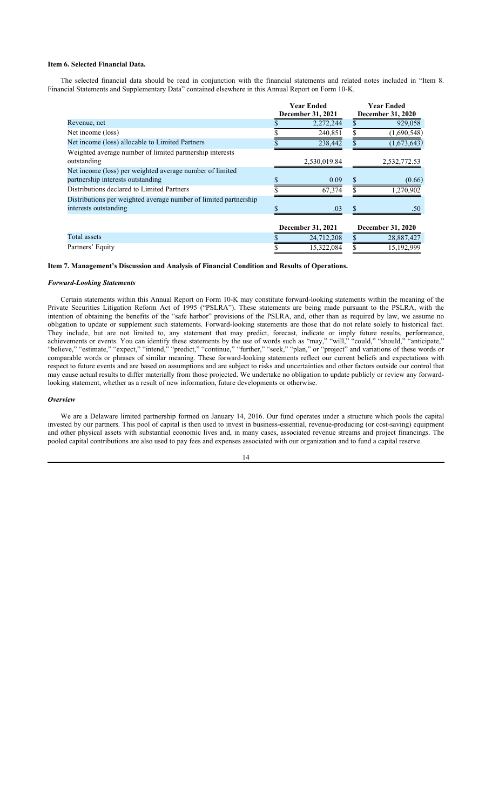# **Item 6. Selected Financial Data.**

The selected financial data should be read in conjunction with the financial statements and related notes included in "Item 8. Financial Statements and Supplementary Data" contained elsewhere in this Annual Report on Form 10-K.

|                                                                  | <b>Year Ended</b> |                   |   | <b>Year Ended</b>        |
|------------------------------------------------------------------|-------------------|-------------------|---|--------------------------|
|                                                                  |                   | December 31, 2021 |   | December 31, 2020        |
| Revenue, net                                                     |                   | 2,272,244         |   | 929,058                  |
| Net income (loss)                                                |                   | 240,851           |   | (1,690,548)              |
| Net income (loss) allocable to Limited Partners                  |                   | 238,442           |   | (1,673,643)              |
| Weighted average number of limited partnership interests         |                   |                   |   |                          |
| outstanding                                                      |                   | 2,530,019.84      |   | 2,532,772.53             |
| Net income (loss) per weighted average number of limited         |                   |                   |   |                          |
| partnership interests outstanding                                |                   | 0.09              | S | (0.66)                   |
| Distributions declared to Limited Partners                       |                   | 67,374            |   | 1,270,902                |
| Distributions per weighted average number of limited partnership |                   |                   |   |                          |
| interests outstanding                                            | \$                | .03               |   | .50                      |
|                                                                  |                   |                   |   |                          |
|                                                                  |                   | December 31, 2021 |   | <b>December 31, 2020</b> |
| Total assets                                                     |                   | 24,712,208        |   | 28,887,427               |
| Partners' Equity                                                 |                   | 15,322,084        |   | 15,192,999               |

**Item 7. Management's Discussion and Analysis of Financial Condition and Results of Operations.**

# *Forward-Looking Statements*

Certain statements within this Annual Report on Form 10-K may constitute forward-looking statements within the meaning of the Private Securities Litigation Reform Act of 1995 ("PSLRA"). These statements are being made pursuant to the PSLRA, with the intention of obtaining the benefits of the "safe harbor" provisions of the PSLRA, and, other than as required by law, we assume no obligation to update or supplement such statements. Forward-looking statements are those that do not relate solely to historical fact. They include, but are not limited to, any statement that may predict, forecast, indicate or imply future results, performance, achievements or events. You can identify these statements by the use of words such as "may," "will," "could," "should," "anticipate," "believe," "estimate," "expect," "intend," "predict," "continue," "further," "seek," "plan," or "project" and variations of these words or comparable words or phrases of similar meaning. These forward-looking statements reflect our current beliefs and expectations with respect to future events and are based on assumptions and are subject to risks and uncertainties and other factors outside our control that may cause actual results to differ materially from those projected. We undertake no obligation to update publicly or review any forwardlooking statement, whether as a result of new information, future developments or otherwise.

#### *Overview*

We are a Delaware limited partnership formed on January 14, 2016. Our fund operates under a structure which pools the capital invested by our partners. This pool of capital is then used to invest in business-essential, revenue-producing (or cost-saving) equipment and other physical assets with substantial economic lives and, in many cases, associated revenue streams and project financings. The pooled capital contributions are also used to pay fees and expenses associated with our organization and to fund a capital reserve.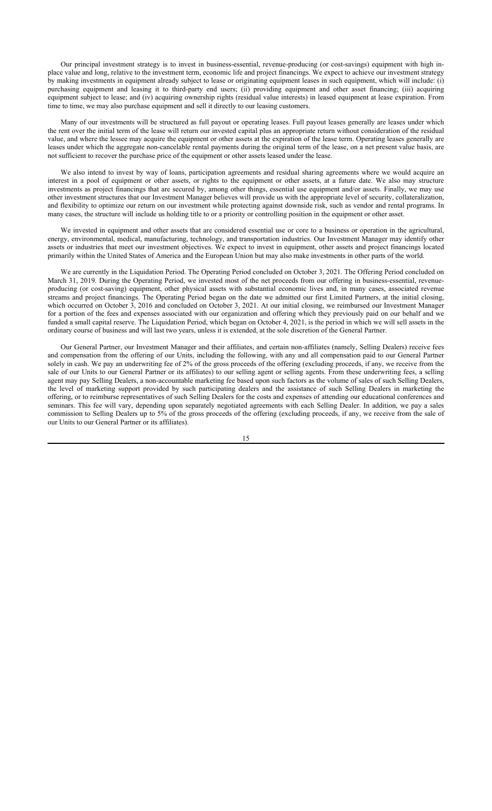Our principal investment strategy is to invest in business-essential, revenue-producing (or cost-savings) equipment with high inplace value and long, relative to the investment term, economic life and project financings. We expect to achieve our investment strategy by making investments in equipment already subject to lease or originating equipment leases in such equipment, which will include: (i) purchasing equipment and leasing it to third-party end users; (ii) providing equipment and other asset financing; (iii) acquiring equipment subject to lease; and (iv) acquiring ownership rights (residual value interests) in leased equipment at lease expiration. From time to time, we may also purchase equipment and sell it directly to our leasing customers.

Many of our investments will be structured as full payout or operating leases. Full payout leases generally are leases under which the rent over the initial term of the lease will return our invested capital plus an appropriate return without consideration of the residual value, and where the lessee may acquire the equipment or other assets at the expiration of the lease term. Operating leases generally are leases under which the aggregate non-cancelable rental payments during the original term of the lease, on a net present value basis, are not sufficient to recover the purchase price of the equipment or other assets leased under the lease.

We also intend to invest by way of loans, participation agreements and residual sharing agreements where we would acquire an interest in a pool of equipment or other assets, or rights to the equipment or other assets, at a future date. We also may structure investments as project financings that are secured by, among other things, essential use equipment and/or assets. Finally, we may use other investment structures that our Investment Manager believes will provide us with the appropriate level of security, collateralization, and flexibility to optimize our return on our investment while protecting against downside risk, such as vendor and rental programs. In many cases, the structure will include us holding title to or a priority or controlling position in the equipment or other asset.

We invested in equipment and other assets that are considered essential use or core to a business or operation in the agricultural, energy, environmental, medical, manufacturing, technology, and transportation industries. Our Investment Manager may identify other assets or industries that meet our investment objectives. We expect to invest in equipment, other assets and project financings located primarily within the United States of America and the European Union but may also make investments in other parts of the world.

We are currently in the Liquidation Period. The Operating Period concluded on October 3, 2021. The Offering Period concluded on March 31, 2019. During the Operating Period, we invested most of the net proceeds from our offering in business-essential, revenueproducing (or cost-saving) equipment, other physical assets with substantial economic lives and, in many cases, associated revenue streams and project financings. The Operating Period began on the date we admitted our first Limited Partners, at the initial closing, which occurred on October 3, 2016 and concluded on October 3, 2021. At our initial closing, we reimbursed our Investment Manager for a portion of the fees and expenses associated with our organization and offering which they previously paid on our behalf and we funded a small capital reserve. The Liquidation Period, which began on October 4, 2021, is the period in which we will sell assets in the ordinary course of business and will last two years, unless it is extended, at the sole discretion of the General Partner.

Our General Partner, our Investment Manager and their affiliates, and certain non-affiliates (namely, Selling Dealers) receive fees and compensation from the offering of our Units, including the following, with any and all compensation paid to our General Partner solely in cash. We pay an underwriting fee of 2% of the gross proceeds of the offering (excluding proceeds, if any, we receive from the sale of our Units to our General Partner or its affiliates) to our selling agent or selling agents. From these underwriting fees, a selling agent may pay Selling Dealers, a non-accountable marketing fee based upon such factors as the volume of sales of such Selling Dealers, the level of marketing support provided by such participating dealers and the assistance of such Selling Dealers in marketing the offering, or to reimburse representatives of such Selling Dealers for the costs and expenses of attending our educational conferences and seminars. This fee will vary, depending upon separately negotiated agreements with each Selling Dealer. In addition, we pay a sales commission to Selling Dealers up to 5% of the gross proceeds of the offering (excluding proceeds, if any, we receive from the sale of our Units to our General Partner or its affiliates).

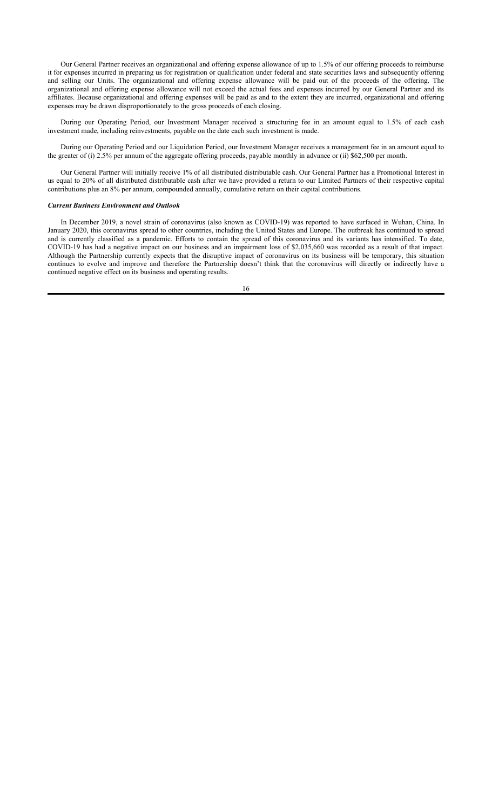Our General Partner receives an organizational and offering expense allowance of up to 1.5% of our offering proceeds to reimburse it for expenses incurred in preparing us for registration or qualification under federal and state securities laws and subsequently offering and selling our Units. The organizational and offering expense allowance will be paid out of the proceeds of the offering. The organizational and offering expense allowance will not exceed the actual fees and expenses incurred by our General Partner and its affiliates. Because organizational and offering expenses will be paid as and to the extent they are incurred, organizational and offering expenses may be drawn disproportionately to the gross proceeds of each closing.

During our Operating Period, our Investment Manager received a structuring fee in an amount equal to 1.5% of each cash investment made, including reinvestments, payable on the date each such investment is made.

During our Operating Period and our Liquidation Period, our Investment Manager receives a management fee in an amount equal to the greater of (i) 2.5% per annum of the aggregate offering proceeds, payable monthly in advance or (ii) \$62,500 per month.

Our General Partner will initially receive 1% of all distributed distributable cash. Our General Partner has a Promotional Interest in us equal to 20% of all distributed distributable cash after we have provided a return to our Limited Partners of their respective capital contributions plus an 8% per annum, compounded annually, cumulative return on their capital contributions.

# *Current Business Environment and Outlook*

In December 2019, a novel strain of coronavirus (also known as COVID-19) was reported to have surfaced in Wuhan, China. In January 2020, this coronavirus spread to other countries, including the United States and Europe. The outbreak has continued to spread and is currently classified as a pandemic. Efforts to contain the spread of this coronavirus and its variants has intensified. To date, COVID-19 has had a negative impact on our business and an impairment loss of \$2,035,660 was recorded as a result of that impact. Although the Partnership currently expects that the disruptive impact of coronavirus on its business will be temporary, this situation continues to evolve and improve and therefore the Partnership doesn't think that the coronavirus will directly or indirectly have a continued negative effect on its business and operating results.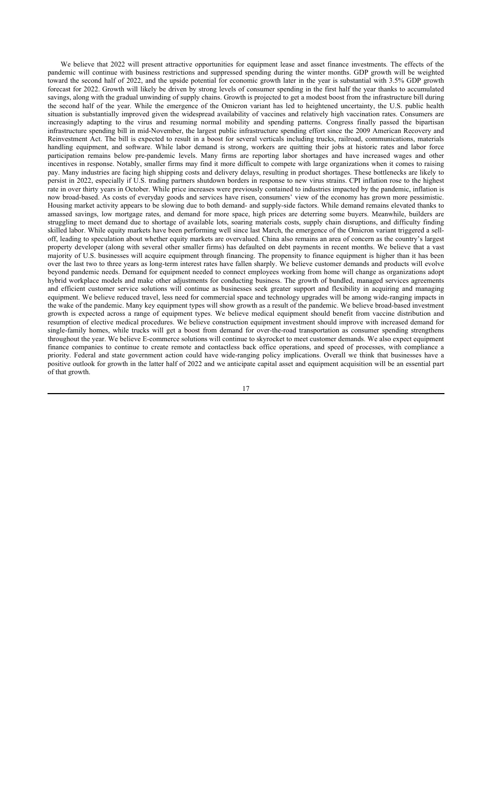We believe that 2022 will present attractive opportunities for equipment lease and asset finance investments. The effects of the pandemic will continue with business restrictions and suppressed spending during the winter months. GDP growth will be weighted toward the second half of 2022, and the upside potential for economic growth later in the year is substantial with 3.5% GDP growth forecast for 2022. Growth will likely be driven by strong levels of consumer spending in the first half the year thanks to accumulated savings, along with the gradual unwinding of supply chains. Growth is projected to get a modest boost from the infrastructure bill during the second half of the year. While the emergence of the Omicron variant has led to heightened uncertainty, the U.S. public health situation is substantially improved given the widespread availability of vaccines and relatively high vaccination rates. Consumers are increasingly adapting to the virus and resuming normal mobility and spending patterns. Congress finally passed the bipartisan infrastructure spending bill in mid-November, the largest public infrastructure spending effort since the 2009 American Recovery and Reinvestment Act. The bill is expected to result in a boost for several verticals including trucks, railroad, communications, materials handling equipment, and software. While labor demand is strong, workers are quitting their jobs at historic rates and labor force participation remains below pre-pandemic levels. Many firms are reporting labor shortages and have increased wages and other incentives in response. Notably, smaller firms may find it more difficult to compete with large organizations when it comes to raising pay. Many industries are facing high shipping costs and delivery delays, resulting in product shortages. These bottlenecks are likely to persist in 2022, especially if U.S. trading partners shutdown borders in response to new virus strains. CPI inflation rose to the highest rate in over thirty years in October. While price increases were previously contained to industries impacted by the pandemic, inflation is now broad-based. As costs of everyday goods and services have risen, consumers' view of the economy has grown more pessimistic. Housing market activity appears to be slowing due to both demand- and supply-side factors. While demand remains elevated thanks to amassed savings, low mortgage rates, and demand for more space, high prices are deterring some buyers. Meanwhile, builders are struggling to meet demand due to shortage of available lots, soaring materials costs, supply chain disruptions, and difficulty finding skilled labor. While equity markets have been performing well since last March, the emergence of the Omicron variant triggered a selloff, leading to speculation about whether equity markets are overvalued. China also remains an area of concern as the country's largest property developer (along with several other smaller firms) has defaulted on debt payments in recent months. We believe that a vast majority of U.S. businesses will acquire equipment through financing. The propensity to finance equipment is higher than it has been over the last two to three years as long-term interest rates have fallen sharply. We believe customer demands and products will evolve beyond pandemic needs. Demand for equipment needed to connect employees working from home will change as organizations adopt hybrid workplace models and make other adjustments for conducting business. The growth of bundled, managed services agreements and efficient customer service solutions will continue as businesses seek greater support and flexibility in acquiring and managing equipment. We believe reduced travel, less need for commercial space and technology upgrades will be among wide-ranging impacts in the wake of the pandemic. Many key equipment types will show growth as a result of the pandemic. We believe broad-based investment growth is expected across a range of equipment types. We believe medical equipment should benefit from vaccine distribution and resumption of elective medical procedures. We believe construction equipment investment should improve with increased demand for single-family homes, while trucks will get a boost from demand for over-the-road transportation as consumer spending strengthens throughout the year. We believe E-commerce solutions will continue to skyrocket to meet customer demands. We also expect equipment finance companies to continue to create remote and contactless back office operations, and speed of processes, with compliance a priority. Federal and state government action could have wide-ranging policy implications. Overall we think that businesses have a positive outlook for growth in the latter half of 2022 and we anticipate capital asset and equipment acquisition will be an essential part of that growth.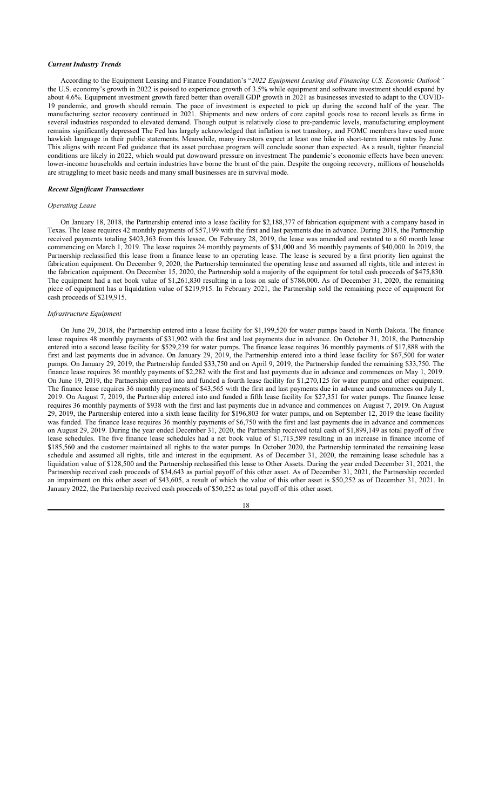### *Current Industry Trends*

According to the Equipment Leasing and Finance Foundation's "*2022 Equipment Leasing and Financing U.S. Economic Outlook"*  the U.S. economy's growth in 2022 is poised to experience growth of 3.5% while equipment and software investment should expand by about 4.6%. Equipment investment growth fared better than overall GDP growth in 2021 as businesses invested to adapt to the COVID-19 pandemic, and growth should remain. The pace of investment is expected to pick up during the second half of the year. The manufacturing sector recovery continued in 2021. Shipments and new orders of core capital goods rose to record levels as firms in several industries responded to elevated demand. Though output is relatively close to pre-pandemic levels, manufacturing employment remains significantly depressed The Fed has largely acknowledged that inflation is not transitory, and FOMC members have used more hawkish language in their public statements. Meanwhile, many investors expect at least one hike in short-term interest rates by June. This aligns with recent Fed guidance that its asset purchase program will conclude sooner than expected. As a result, tighter financial conditions are likely in 2022, which would put downward pressure on investment The pandemic's economic effects have been uneven: lower-income households and certain industries have borne the brunt of the pain. Despite the ongoing recovery, millions of households are struggling to meet basic needs and many small businesses are in survival mode.

### *Recent Significant Transactions*

### *Operating Lease*

On January 18, 2018, the Partnership entered into a lease facility for \$2,188,377 of fabrication equipment with a company based in Texas. The lease requires 42 monthly payments of \$57,199 with the first and last payments due in advance. During 2018, the Partnership received payments totaling \$403,363 from this lessee. On February 28, 2019, the lease was amended and restated to a 60 month lease commencing on March 1, 2019. The lease requires 24 monthly payments of \$31,000 and 36 monthly payments of \$40,000. In 2019, the Partnership reclassified this lease from a finance lease to an operating lease. The lease is secured by a first priority lien against the fabrication equipment. On December 9, 2020, the Partnership terminated the operating lease and assumed all rights, title and interest in the fabrication equipment. On December 15, 2020, the Partnership sold a majority of the equipment for total cash proceeds of \$475,830. The equipment had a net book value of \$1,261,830 resulting in a loss on sale of \$786,000. As of December 31, 2020, the remaining piece of equipment has a liquidation value of \$219,915. In February 2021, the Partnership sold the remaining piece of equipment for cash proceeds of \$219,915.

# *Infrastructure Equipment*

On June 29, 2018, the Partnership entered into a lease facility for \$1,199,520 for water pumps based in North Dakota. The finance lease requires 48 monthly payments of \$31,902 with the first and last payments due in advance. On October 31, 2018, the Partnership entered into a second lease facility for \$529,239 for water pumps. The finance lease requires 36 monthly payments of \$17,888 with the first and last payments due in advance. On January 29, 2019, the Partnership entered into a third lease facility for \$67,500 for water pumps. On January 29, 2019, the Partnership funded \$33,750 and on April 9, 2019, the Partnership funded the remaining \$33,750. The finance lease requires 36 monthly payments of \$2,282 with the first and last payments due in advance and commences on May 1, 2019. On June 19, 2019, the Partnership entered into and funded a fourth lease facility for \$1,270,125 for water pumps and other equipment. The finance lease requires 36 monthly payments of \$43,565 with the first and last payments due in advance and commences on July 1, 2019. On August 7, 2019, the Partnership entered into and funded a fifth lease facility for \$27,351 for water pumps. The finance lease requires 36 monthly payments of \$938 with the first and last payments due in advance and commences on August 7, 2019. On August 29, 2019, the Partnership entered into a sixth lease facility for \$196,803 for water pumps, and on September 12, 2019 the lease facility was funded. The finance lease requires 36 monthly payments of \$6,750 with the first and last payments due in advance and commences on August 29, 2019. During the year ended December 31, 2020, the Partnership received total cash of \$1,899,149 as total payoff of five lease schedules. The five finance lease schedules had a net book value of \$1,713,589 resulting in an increase in finance income of \$185,560 and the customer maintained all rights to the water pumps. In October 2020, the Partnership terminated the remaining lease schedule and assumed all rights, title and interest in the equipment. As of December 31, 2020, the remaining lease schedule has a liquidation value of \$128,500 and the Partnership reclassified this lease to Other Assets. During the year ended December 31, 2021, the Partnership received cash proceeds of \$34,643 as partial payoff of this other asset. As of December 31, 2021, the Partnership recorded an impairment on this other asset of \$43,605, a result of which the value of this other asset is \$50,252 as of December 31, 2021. In January 2022, the Partnership received cash proceeds of \$50,252 as total payoff of this other asset.

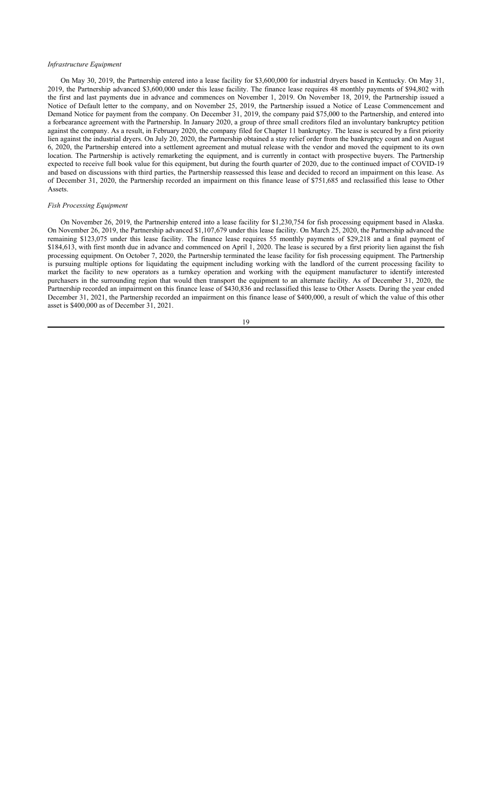# *Infrastructure Equipment*

On May 30, 2019, the Partnership entered into a lease facility for \$3,600,000 for industrial dryers based in Kentucky. On May 31, 2019, the Partnership advanced \$3,600,000 under this lease facility. The finance lease requires 48 monthly payments of \$94,802 with the first and last payments due in advance and commences on November 1, 2019. On November 18, 2019, the Partnership issued a Notice of Default letter to the company, and on November 25, 2019, the Partnership issued a Notice of Lease Commencement and Demand Notice for payment from the company. On December 31, 2019, the company paid \$75,000 to the Partnership, and entered into a forbearance agreement with the Partnership. In January 2020, a group of three small creditors filed an involuntary bankruptcy petition against the company. As a result, in February 2020, the company filed for Chapter 11 bankruptcy. The lease is secured by a first priority lien against the industrial dryers. On July 20, 2020, the Partnership obtained a stay relief order from the bankruptcy court and on August 6, 2020, the Partnership entered into a settlement agreement and mutual release with the vendor and moved the equipment to its own location. The Partnership is actively remarketing the equipment, and is currently in contact with prospective buyers. The Partnership expected to receive full book value for this equipment, but during the fourth quarter of 2020, due to the continued impact of COVID-19 and based on discussions with third parties, the Partnership reassessed this lease and decided to record an impairment on this lease. As of December 31, 2020, the Partnership recorded an impairment on this finance lease of \$751,685 and reclassified this lease to Other Assets.

# *Fish Processing Equipment*

On November 26, 2019, the Partnership entered into a lease facility for \$1,230,754 for fish processing equipment based in Alaska. On November 26, 2019, the Partnership advanced \$1,107,679 under this lease facility. On March 25, 2020, the Partnership advanced the remaining \$123,075 under this lease facility. The finance lease requires 55 monthly payments of \$29,218 and a final payment of \$184,613, with first month due in advance and commenced on April 1, 2020. The lease is secured by a first priority lien against the fish processing equipment. On October 7, 2020, the Partnership terminated the lease facility for fish processing equipment. The Partnership is pursuing multiple options for liquidating the equipment including working with the landlord of the current processing facility to market the facility to new operators as a turnkey operation and working with the equipment manufacturer to identify interested purchasers in the surrounding region that would then transport the equipment to an alternate facility. As of December 31, 2020, the Partnership recorded an impairment on this finance lease of \$430,836 and reclassified this lease to Other Assets. During the year ended December 31, 2021, the Partnership recorded an impairment on this finance lease of \$400,000, a result of which the value of this other asset is \$400,000 as of December 31, 2021.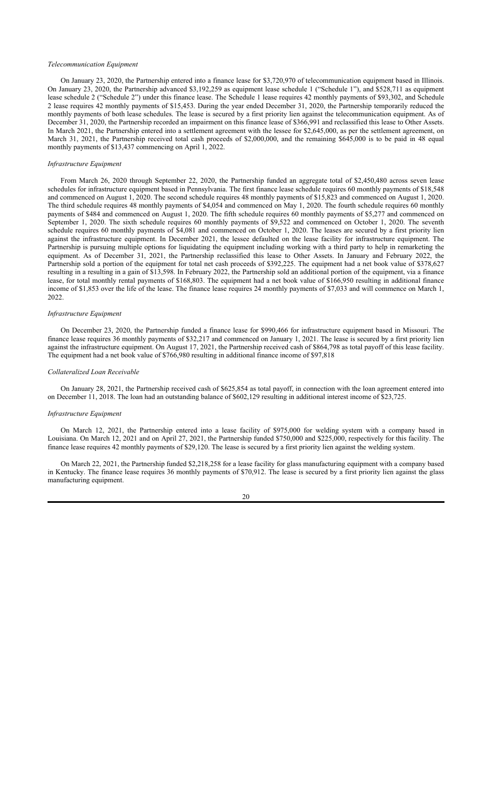# *Telecommunication Equipment*

On January 23, 2020, the Partnership entered into a finance lease for \$3,720,970 of telecommunication equipment based in Illinois. On January 23, 2020, the Partnership advanced \$3,192,259 as equipment lease schedule 1 ("Schedule 1"), and \$528,711 as equipment lease schedule 2 ("Schedule 2") under this finance lease. The Schedule 1 lease requires 42 monthly payments of \$93,302, and Schedule 2 lease requires 42 monthly payments of \$15,453. During the year ended December 31, 2020, the Partnership temporarily reduced the monthly payments of both lease schedules. The lease is secured by a first priority lien against the telecommunication equipment. As of December 31, 2020, the Partnership recorded an impairment on this finance lease of \$366,991 and reclassified this lease to Other Assets. In March 2021, the Partnership entered into a settlement agreement with the lessee for \$2,645,000, as per the settlement agreement, on March 31, 2021, the Partnership received total cash proceeds of \$2,000,000, and the remaining \$645,000 is to be paid in 48 equal monthly payments of \$13,437 commencing on April 1, 2022.

# *Infrastructure Equipment*

From March 26, 2020 through September 22, 2020, the Partnership funded an aggregate total of \$2,450,480 across seven lease schedules for infrastructure equipment based in Pennsylvania. The first finance lease schedule requires 60 monthly payments of \$18,548 and commenced on August 1, 2020. The second schedule requires 48 monthly payments of \$15,823 and commenced on August 1, 2020. The third schedule requires 48 monthly payments of \$4,054 and commenced on May 1, 2020. The fourth schedule requires 60 monthly payments of \$484 and commenced on August 1, 2020. The fifth schedule requires 60 monthly payments of \$5,277 and commenced on September 1, 2020. The sixth schedule requires 60 monthly payments of \$9,522 and commenced on October 1, 2020. The seventh schedule requires 60 monthly payments of \$4,081 and commenced on October 1, 2020. The leases are secured by a first priority lien against the infrastructure equipment. In December 2021, the lessee defaulted on the lease facility for infrastructure equipment. The Partnership is pursuing multiple options for liquidating the equipment including working with a third party to help in remarketing the equipment. As of December 31, 2021, the Partnership reclassified this lease to Other Assets. In January and February 2022, the Partnership sold a portion of the equipment for total net cash proceeds of \$392,225. The equipment had a net book value of \$378,627 resulting in a resulting in a gain of \$13,598. In February 2022, the Partnership sold an additional portion of the equipment, via a finance lease, for total monthly rental payments of \$168,803. The equipment had a net book value of \$166,950 resulting in additional finance income of \$1,853 over the life of the lease. The finance lease requires 24 monthly payments of \$7,033 and will commence on March 1, 2022.

# *Infrastructure Equipment*

On December 23, 2020, the Partnership funded a finance lease for \$990,466 for infrastructure equipment based in Missouri. The finance lease requires 36 monthly payments of \$32,217 and commenced on January 1, 2021. The lease is secured by a first priority lien against the infrastructure equipment. On August 17, 2021, the Partnership received cash of \$864,798 as total payoff of this lease facility. The equipment had a net book value of \$766,980 resulting in additional finance income of \$97,818

### *Collateralized Loan Receivable*

On January 28, 2021, the Partnership received cash of \$625,854 as total payoff, in connection with the loan agreement entered into on December 11, 2018. The loan had an outstanding balance of \$602,129 resulting in additional interest income of \$23,725.

### *Infrastructure Equipment*

On March 12, 2021, the Partnership entered into a lease facility of \$975,000 for welding system with a company based in Louisiana. On March 12, 2021 and on April 27, 2021, the Partnership funded \$750,000 and \$225,000, respectively for this facility. The finance lease requires 42 monthly payments of \$29,120. The lease is secured by a first priority lien against the welding system.

On March 22, 2021, the Partnership funded \$2,218,258 for a lease facility for glass manufacturing equipment with a company based in Kentucky. The finance lease requires 36 monthly payments of \$70,912. The lease is secured by a first priority lien against the glass manufacturing equipment.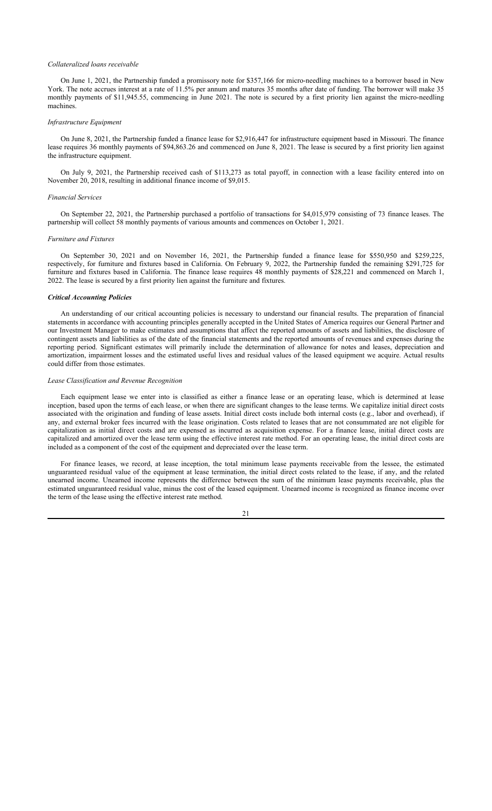### *Collateralized loans receivable*

On June 1, 2021, the Partnership funded a promissory note for \$357,166 for micro-needling machines to a borrower based in New York. The note accrues interest at a rate of 11.5% per annum and matures 35 months after date of funding. The borrower will make 35 monthly payments of \$11,945.55, commencing in June 2021. The note is secured by a first priority lien against the micro-needling machines.

# *Infrastructure Equipment*

On June 8, 2021, the Partnership funded a finance lease for \$2,916,447 for infrastructure equipment based in Missouri. The finance lease requires 36 monthly payments of \$94,863.26 and commenced on June 8, 2021. The lease is secured by a first priority lien against the infrastructure equipment.

On July 9, 2021, the Partnership received cash of \$113,273 as total payoff, in connection with a lease facility entered into on November 20, 2018, resulting in additional finance income of \$9,015.

#### *Financial Services*

On September 22, 2021, the Partnership purchased a portfolio of transactions for \$4,015,979 consisting of 73 finance leases. The partnership will collect 58 monthly payments of various amounts and commences on October 1, 2021.

#### *Furniture and Fixtures*

On September 30, 2021 and on November 16, 2021, the Partnership funded a finance lease for \$550,950 and \$259,225, respectively, for furniture and fixtures based in California. On February 9, 2022, the Partnership funded the remaining \$291,725 for furniture and fixtures based in California. The finance lease requires 48 monthly payments of \$28,221 and commenced on March 1, 2022. The lease is secured by a first priority lien against the furniture and fixtures.

#### *Critical Accounting Policies*

An understanding of our critical accounting policies is necessary to understand our financial results. The preparation of financial statements in accordance with accounting principles generally accepted in the United States of America requires our General Partner and our Investment Manager to make estimates and assumptions that affect the reported amounts of assets and liabilities, the disclosure of contingent assets and liabilities as of the date of the financial statements and the reported amounts of revenues and expenses during the reporting period. Significant estimates will primarily include the determination of allowance for notes and leases, depreciation and amortization, impairment losses and the estimated useful lives and residual values of the leased equipment we acquire. Actual results could differ from those estimates.

# *Lease Classification and Revenue Recognition*

Each equipment lease we enter into is classified as either a finance lease or an operating lease, which is determined at lease inception, based upon the terms of each lease, or when there are significant changes to the lease terms. We capitalize initial direct costs associated with the origination and funding of lease assets. Initial direct costs include both internal costs (e.g., labor and overhead), if any, and external broker fees incurred with the lease origination. Costs related to leases that are not consummated are not eligible for capitalization as initial direct costs and are expensed as incurred as acquisition expense. For a finance lease, initial direct costs are capitalized and amortized over the lease term using the effective interest rate method. For an operating lease, the initial direct costs are included as a component of the cost of the equipment and depreciated over the lease term.

For finance leases, we record, at lease inception, the total minimum lease payments receivable from the lessee, the estimated unguaranteed residual value of the equipment at lease termination, the initial direct costs related to the lease, if any, and the related unearned income. Unearned income represents the difference between the sum of the minimum lease payments receivable, plus the estimated unguaranteed residual value, minus the cost of the leased equipment. Unearned income is recognized as finance income over the term of the lease using the effective interest rate method.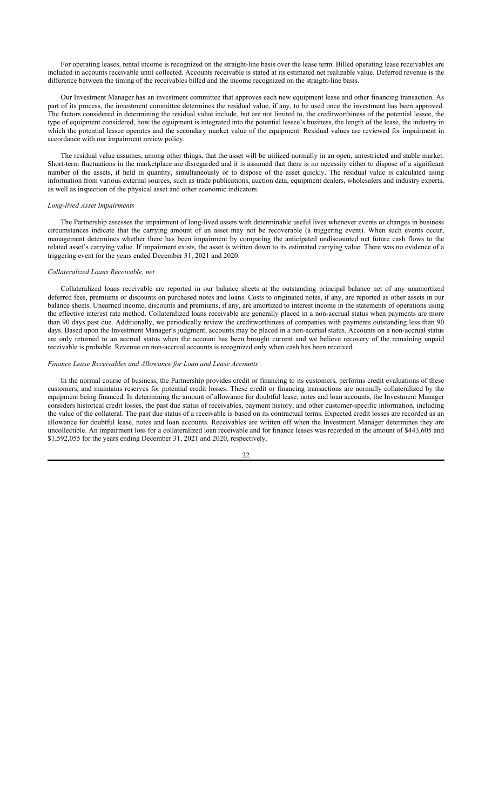For operating leases, rental income is recognized on the straight-line basis over the lease term. Billed operating lease receivables are included in accounts receivable until collected. Accounts receivable is stated at its estimated net realizable value. Deferred revenue is the difference between the timing of the receivables billed and the income recognized on the straight-line basis.

Our Investment Manager has an investment committee that approves each new equipment lease and other financing transaction. As part of its process, the investment committee determines the residual value, if any, to be used once the investment has been approved. The factors considered in determining the residual value include, but are not limited to, the creditworthiness of the potential lessee, the type of equipment considered, how the equipment is integrated into the potential lessee's business, the length of the lease, the industry in which the potential lessee operates and the secondary market value of the equipment. Residual values are reviewed for impairment in accordance with our impairment review policy.

The residual value assumes, among other things, that the asset will be utilized normally in an open, unrestricted and stable market. Short-term fluctuations in the marketplace are disregarded and it is assumed that there is no necessity either to dispose of a significant number of the assets, if held in quantity, simultaneously or to dispose of the asset quickly. The residual value is calculated using information from various external sources, such as trade publications, auction data, equipment dealers, wholesalers and industry experts, as well as inspection of the physical asset and other economic indicators.

# *Long-lived Asset Impairments*

The Partnership assesses the impairment of long-lived assets with determinable useful lives whenever events or changes in business circumstances indicate that the carrying amount of an asset may not be recoverable (a triggering event). When such events occur, management determines whether there has been impairment by comparing the anticipated undiscounted net future cash flows to the related asset's carrying value. If impairment exists, the asset is written down to its estimated carrying value. There was no evidence of a triggering event for the years ended December 31, 2021 and 2020.

# *Collateralized Loans Receivable, net*

Collateralized loans receivable are reported in our balance sheets at the outstanding principal balance net of any unamortized deferred fees, premiums or discounts on purchased notes and loans. Costs to originated notes, if any, are reported as other assets in our balance sheets. Unearned income, discounts and premiums, if any, are amortized to interest income in the statements of operations using the effective interest rate method. Collateralized loans receivable are generally placed in a non-accrual status when payments are more than 90 days past due. Additionally, we periodically review the creditworthiness of companies with payments outstanding less than 90 days. Based upon the Investment Manager's judgment, accounts may be placed in a non-accrual status. Accounts on a non-accrual status are only returned to an accrual status when the account has been brought current and we believe recovery of the remaining unpaid receivable is probable. Revenue on non-accrual accounts is recognized only when cash has been received.

### *Finance Lease Receivables and Allowance for Loan and Lease Accounts*

In the normal course of business, the Partnership provides credit or financing to its customers, performs credit evaluations of these customers, and maintains reserves for potential credit losses. These credit or financing transactions are normally collateralized by the equipment being financed. In determining the amount of allowance for doubtful lease, notes and loan accounts, the Investment Manager considers historical credit losses, the past due status of receivables, payment history, and other customer-specific information, including the value of the collateral. The past due status of a receivable is based on its contractual terms. Expected credit losses are recorded as an allowance for doubtful lease, notes and loan accounts. Receivables are written off when the Investment Manager determines they are uncollectible. An impairment loss for a collateralized loan receivable and for finance leases was recorded in the amount of \$443,605 and \$1,592,055 for the years ending December 31, 2021 and 2020, respectively.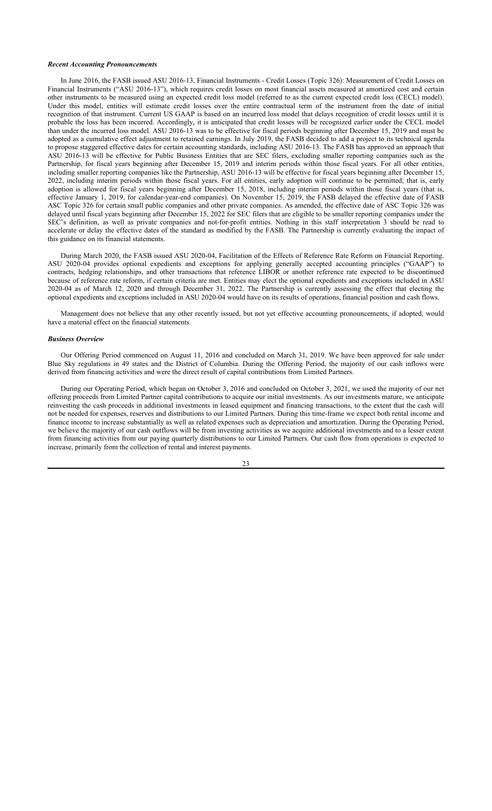# *Recent Accounting Pronouncements*

In June 2016, the FASB issued ASU 2016-13, Financial Instruments - Credit Losses (Topic 326): Measurement of Credit Losses on Financial Instruments ("ASU 2016-13"), which requires credit losses on most financial assets measured at amortized cost and certain other instruments to be measured using an expected credit loss model (referred to as the current expected credit loss (CECL) model). Under this model, entities will estimate credit losses over the entire contractual term of the instrument from the date of initial recognition of that instrument. Current US GAAP is based on an incurred loss model that delays recognition of credit losses until it is probable the loss has been incurred. Accordingly, it is anticipated that credit losses will be recognized earlier under the CECL model than under the incurred loss model. ASU 2016-13 was to be effective for fiscal periods beginning after December 15, 2019 and must be adopted as a cumulative effect adjustment to retained earnings. In July 2019, the FASB decided to add a project to its technical agenda to propose staggered effective dates for certain accounting standards, including ASU 2016-13. The FASB has approved an approach that ASU 2016-13 will be effective for Public Business Entities that are SEC filers, excluding smaller reporting companies such as the Partnership, for fiscal years beginning after December 15, 2019 and interim periods within those fiscal years. For all other entities, including smaller reporting companies like the Partnership, ASU 2016-13 will be effective for fiscal years beginning after December 15, 2022, including interim periods within those fiscal years. For all entities, early adoption will continue to be permitted; that is, early adoption is allowed for fiscal years beginning after December 15, 2018, including interim periods within those fiscal years (that is, effective January 1, 2019, for calendar-year-end companies). On November 15, 2019, the FASB delayed the effective date of FASB ASC Topic 326 for certain small public companies and other private companies. As amended, the effective date of ASC Topic 326 was delayed until fiscal years beginning after December 15, 2022 for SEC filers that are eligible to be smaller reporting companies under the SEC's definition, as well as private companies and not-for-profit entities. Nothing in this staff interpretation 3 should be read to accelerate or delay the effective dates of the standard as modified by the FASB. The Partnership is currently evaluating the impact of this guidance on its financial statements.

During March 2020, the FASB issued ASU 2020-04, Facilitation of the Effects of Reference Rate Reform on Financial Reporting. ASU 2020-04 provides optional expedients and exceptions for applying generally accepted accounting principles ("GAAP") to contracts, hedging relationships, and other transactions that reference LIBOR or another reference rate expected to be discontinued because of reference rate reform, if certain criteria are met. Entities may elect the optional expedients and exceptions included in ASU 2020-04 as of March 12, 2020 and through December 31, 2022. The Partnership is currently assessing the effect that electing the optional expedients and exceptions included in ASU 2020-04 would have on its results of operations, financial position and cash flows.

Management does not believe that any other recently issued, but not yet effective accounting pronouncements, if adopted, would have a material effect on the financial statements.

### *Business Overview*

Our Offering Period commenced on August 11, 2016 and concluded on March 31, 2019. We have been approved for sale under Blue Sky regulations in 49 states and the District of Columbia. During the Offering Period, the majority of our cash inflows were derived from financing activities and were the direct result of capital contributions from Limited Partners.

During our Operating Period, which began on October 3, 2016 and concluded on October 3, 2021, we used the majority of our net offering proceeds from Limited Partner capital contributions to acquire our initial investments. As our investments mature, we anticipate reinvesting the cash proceeds in additional investments in leased equipment and financing transactions, to the extent that the cash will not be needed for expenses, reserves and distributions to our Limited Partners. During this time-frame we expect both rental income and finance income to increase substantially as well as related expenses such as depreciation and amortization. During the Operating Period, we believe the majority of our cash outflows will be from investing activities as we acquire additional investments and to a lesser extent from financing activities from our paying quarterly distributions to our Limited Partners. Our cash flow from operations is expected to increase, primarily from the collection of rental and interest payments.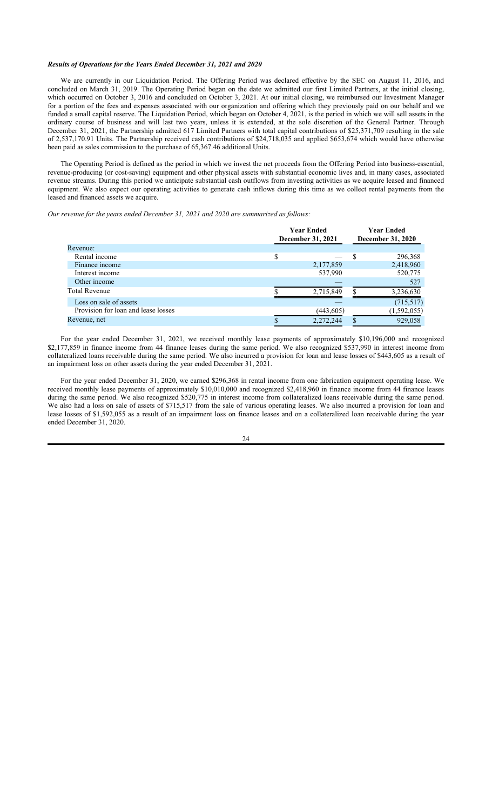# *Results of Operations for the Years Ended December 31, 2021 and 2020*

We are currently in our Liquidation Period. The Offering Period was declared effective by the SEC on August 11, 2016, and concluded on March 31, 2019. The Operating Period began on the date we admitted our first Limited Partners, at the initial closing, which occurred on October 3, 2016 and concluded on October 3, 2021. At our initial closing, we reimbursed our Investment Manager for a portion of the fees and expenses associated with our organization and offering which they previously paid on our behalf and we funded a small capital reserve. The Liquidation Period, which began on October 4, 2021, is the period in which we will sell assets in the ordinary course of business and will last two years, unless it is extended, at the sole discretion of the General Partner. Through December 31, 2021, the Partnership admitted 617 Limited Partners with total capital contributions of \$25,371,709 resulting in the sale of 2,537,170.91 Units. The Partnership received cash contributions of \$24,718,035 and applied \$653,674 which would have otherwise been paid as sales commission to the purchase of 65,367.46 additional Units.

The Operating Period is defined as the period in which we invest the net proceeds from the Offering Period into business-essential, revenue-producing (or cost-saving) equipment and other physical assets with substantial economic lives and, in many cases, associated revenue streams. During this period we anticipate substantial cash outflows from investing activities as we acquire leased and financed equipment. We also expect our operating activities to generate cash inflows during this time as we collect rental payments from the leased and financed assets we acquire.

*Our revenue for the years ended December 31, 2021 and 2020 are summarized as follows:*

|                                     | <b>Year Ended</b><br>December 31, 2021 |    | <b>Year Ended</b><br><b>December 31, 2020</b> |
|-------------------------------------|----------------------------------------|----|-----------------------------------------------|
| Revenue:                            |                                        |    |                                               |
| Rental income                       |                                        | S  | 296,368                                       |
| Finance income                      | 2,177,859                              |    | 2,418,960                                     |
| Interest income                     | 537,990                                |    | 520,775                                       |
| Other income                        |                                        |    | 527                                           |
| <b>Total Revenue</b>                | 2,715,849                              | \$ | 3,236,630                                     |
| Loss on sale of assets              |                                        |    | (715, 517)                                    |
| Provision for loan and lease losses | (443, 605)                             |    | (1,592,055)                                   |
| Revenue, net                        | 2,272,244                              |    | 929,058                                       |

For the year ended December 31, 2021, we received monthly lease payments of approximately \$10,196,000 and recognized \$2,177,859 in finance income from 44 finance leases during the same period. We also recognized \$537,990 in interest income from collateralized loans receivable during the same period. We also incurred a provision for loan and lease losses of \$443,605 as a result of an impairment loss on other assets during the year ended December 31, 2021.

For the year ended December 31, 2020, we earned \$296,368 in rental income from one fabrication equipment operating lease. We received monthly lease payments of approximately \$10,010,000 and recognized \$2,418,960 in finance income from 44 finance leases during the same period. We also recognized \$520,775 in interest income from collateralized loans receivable during the same period. We also had a loss on sale of assets of \$715,517 from the sale of various operating leases. We also incurred a provision for loan and lease losses of \$1,592,055 as a result of an impairment loss on finance leases and on a collateralized loan receivable during the year ended December 31, 2020.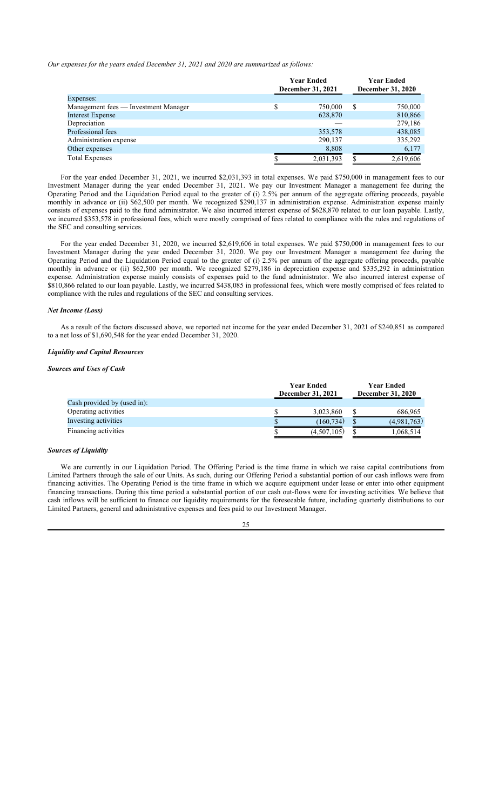*Our expenses for the years ended December 31, 2021 and 2020 are summarized as follows:*

|                                      | <b>Year Ended</b><br>December 31, 2021 |           | <b>Year Ended</b><br>December 31, 2020 |
|--------------------------------------|----------------------------------------|-----------|----------------------------------------|
| Expenses:                            |                                        |           |                                        |
| Management fees — Investment Manager |                                        | 750,000   | \$<br>750,000                          |
| <b>Interest Expense</b>              |                                        | 628,870   | 810,866                                |
| Depreciation                         |                                        |           | 279,186                                |
| Professional fees                    |                                        | 353,578   | 438,085                                |
| Administration expense               |                                        | 290,137   | 335,292                                |
| Other expenses                       |                                        | 8,808     | 6,177                                  |
| <b>Total Expenses</b>                |                                        | 2,031,393 | 2,619,606                              |

For the year ended December 31, 2021, we incurred \$2,031,393 in total expenses. We paid \$750,000 in management fees to our Investment Manager during the year ended December 31, 2021. We pay our Investment Manager a management fee during the Operating Period and the Liquidation Period equal to the greater of (i) 2.5% per annum of the aggregate offering proceeds, payable monthly in advance or (ii) \$62,500 per month. We recognized \$290,137 in administration expense. Administration expense mainly consists of expenses paid to the fund administrator. We also incurred interest expense of \$628,870 related to our loan payable. Lastly, we incurred \$353,578 in professional fees, which were mostly comprised of fees related to compliance with the rules and regulations of the SEC and consulting services.

For the year ended December 31, 2020, we incurred \$2,619,606 in total expenses. We paid \$750,000 in management fees to our Investment Manager during the year ended December 31, 2020. We pay our Investment Manager a management fee during the Operating Period and the Liquidation Period equal to the greater of (i) 2.5% per annum of the aggregate offering proceeds, payable monthly in advance or (ii) \$62,500 per month. We recognized \$279,186 in depreciation expense and \$335,292 in administration expense. Administration expense mainly consists of expenses paid to the fund administrator. We also incurred interest expense of \$810,866 related to our loan payable. Lastly, we incurred \$438,085 in professional fees, which were mostly comprised of fees related to compliance with the rules and regulations of the SEC and consulting services.

### *Net Income (Loss)*

As a result of the factors discussed above, we reported net income for the year ended December 31, 2021 of \$240,851 as compared to a net loss of \$1,690,548 for the year ended December 31, 2020.

# *Liquidity and Capital Resources*

# *Sources and Uses of Cash*

|                             | <b>Year Ended</b> | <b>Year Ended</b>        |
|-----------------------------|-------------------|--------------------------|
|                             | December 31, 2021 | <b>December 31, 2020</b> |
| Cash provided by (used in): |                   |                          |
| Operating activities        | 3,023,860         | 686,965                  |
| Investing activities        | (160, 734)        | (4,981,763)              |
| Financing activities        | (4,507,105)       | 1,068,514                |

### *Sources of Liquidity*

We are currently in our Liquidation Period. The Offering Period is the time frame in which we raise capital contributions from Limited Partners through the sale of our Units. As such, during our Offering Period a substantial portion of our cash inflows were from financing activities. The Operating Period is the time frame in which we acquire equipment under lease or enter into other equipment financing transactions. During this time period a substantial portion of our cash out-flows were for investing activities. We believe that cash inflows will be sufficient to finance our liquidity requirements for the foreseeable future, including quarterly distributions to our Limited Partners, general and administrative expenses and fees paid to our Investment Manager.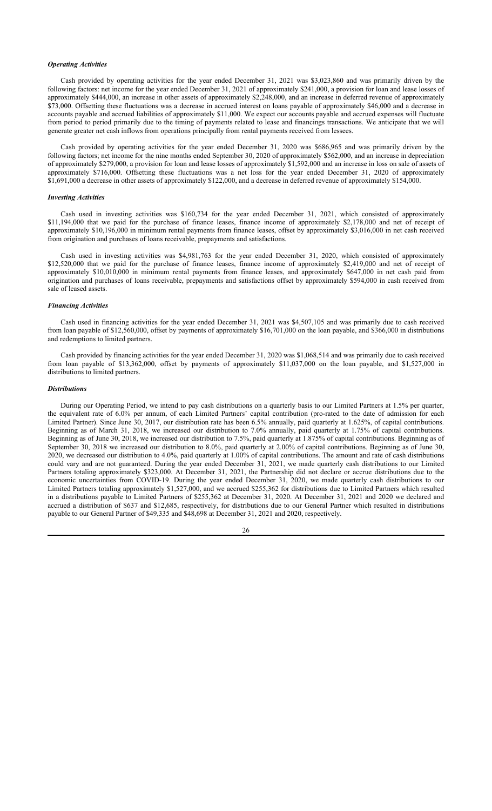# *Operating Activities*

Cash provided by operating activities for the year ended December 31, 2021 was \$3,023,860 and was primarily driven by the following factors: net income for the year ended December 31, 2021 of approximately \$241,000, a provision for loan and lease losses of approximately \$444,000, an increase in other assets of approximately \$2,248,000, and an increase in deferred revenue of approximately \$73,000. Offsetting these fluctuations was a decrease in accrued interest on loans payable of approximately \$46,000 and a decrease in accounts payable and accrued liabilities of approximately \$11,000. We expect our accounts payable and accrued expenses will fluctuate from period to period primarily due to the timing of payments related to lease and financings transactions. We anticipate that we will generate greater net cash inflows from operations principally from rental payments received from lessees.

Cash provided by operating activities for the year ended December 31, 2020 was \$686,965 and was primarily driven by the following factors; net income for the nine months ended September 30, 2020 of approximately \$562,000, and an increase in depreciation of approximately \$279,000, a provision for loan and lease losses of approximately \$1,592,000 and an increase in loss on sale of assets of approximately \$716,000. Offsetting these fluctuations was a net loss for the year ended December 31, 2020 of approximately \$1,691,000 a decrease in other assets of approximately \$122,000, and a decrease in deferred revenue of approximately \$154,000.

### *Investing Activities*

Cash used in investing activities was \$160,734 for the year ended December 31, 2021, which consisted of approximately \$11,194,000 that we paid for the purchase of finance leases, finance income of approximately \$2,178,000 and net of receipt of approximately \$10,196,000 in minimum rental payments from finance leases, offset by approximately \$3,016,000 in net cash received from origination and purchases of loans receivable, prepayments and satisfactions.

Cash used in investing activities was \$4,981,763 for the year ended December 31, 2020, which consisted of approximately \$12,520,000 that we paid for the purchase of finance leases, finance income of approximately \$2,419,000 and net of receipt of approximately \$10,010,000 in minimum rental payments from finance leases, and approximately \$647,000 in net cash paid from origination and purchases of loans receivable, prepayments and satisfactions offset by approximately \$594,000 in cash received from sale of leased assets.

# *Financing Activities*

Cash used in financing activities for the year ended December 31, 2021 was \$4,507,105 and was primarily due to cash received from loan payable of \$12,560,000, offset by payments of approximately \$16,701,000 on the loan payable, and \$366,000 in distributions and redemptions to limited partners.

Cash provided by financing activities for the year ended December 31, 2020 was \$1,068,514 and was primarily due to cash received from loan payable of \$13,362,000, offset by payments of approximately \$11,037,000 on the loan payable, and \$1,527,000 in distributions to limited partners.

# *Distributions*

During our Operating Period, we intend to pay cash distributions on a quarterly basis to our Limited Partners at 1.5% per quarter, the equivalent rate of 6.0% per annum, of each Limited Partners' capital contribution (pro-rated to the date of admission for each Limited Partner). Since June 30, 2017, our distribution rate has been 6.5% annually, paid quarterly at 1.625%, of capital contributions. Beginning as of March 31, 2018, we increased our distribution to 7.0% annually, paid quarterly at 1.75% of capital contributions. Beginning as of June 30, 2018, we increased our distribution to 7.5%, paid quarterly at 1.875% of capital contributions. Beginning as of September 30, 2018 we increased our distribution to 8.0%, paid quarterly at 2.00% of capital contributions. Beginning as of June 30, 2020, we decreased our distribution to 4.0%, paid quarterly at 1.00% of capital contributions. The amount and rate of cash distributions could vary and are not guaranteed. During the year ended December 31, 2021, we made quarterly cash distributions to our Limited Partners totaling approximately \$323,000. At December 31, 2021, the Partnership did not declare or accrue distributions due to the economic uncertainties from COVID-19. During the year ended December 31, 2020, we made quarterly cash distributions to our Limited Partners totaling approximately \$1,527,000, and we accrued \$255,362 for distributions due to Limited Partners which resulted in a distributions payable to Limited Partners of \$255,362 at December 31, 2020. At December 31, 2021 and 2020 we declared and accrued a distribution of \$637 and \$12,685, respectively, for distributions due to our General Partner which resulted in distributions payable to our General Partner of \$49,335 and \$48,698 at December 31, 2021 and 2020, respectively.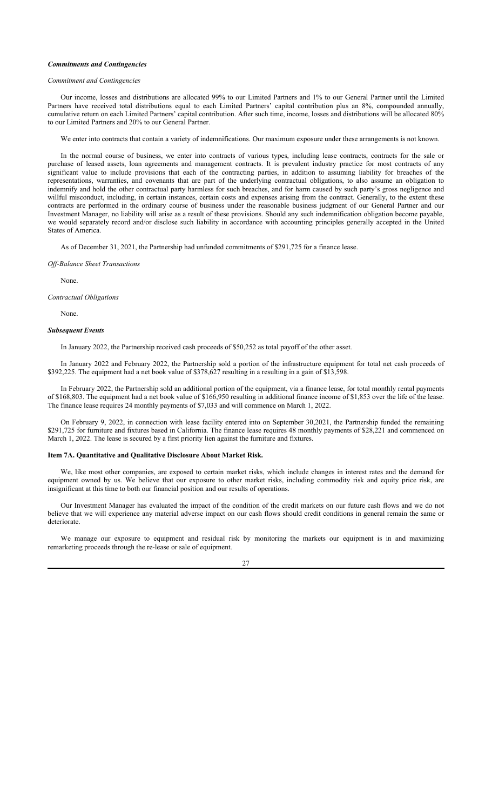# *Commitments and Contingencies*

### *Commitment and Contingencies*

Our income, losses and distributions are allocated 99% to our Limited Partners and 1% to our General Partner until the Limited Partners have received total distributions equal to each Limited Partners' capital contribution plus an 8%, compounded annually, cumulative return on each Limited Partners' capital contribution. After such time, income, losses and distributions will be allocated 80% to our Limited Partners and 20% to our General Partner.

We enter into contracts that contain a variety of indemnifications. Our maximum exposure under these arrangements is not known.

In the normal course of business, we enter into contracts of various types, including lease contracts, contracts for the sale or purchase of leased assets, loan agreements and management contracts. It is prevalent industry practice for most contracts of any significant value to include provisions that each of the contracting parties, in addition to assuming liability for breaches of the representations, warranties, and covenants that are part of the underlying contractual obligations, to also assume an obligation to indemnify and hold the other contractual party harmless for such breaches, and for harm caused by such party's gross negligence and willful misconduct, including, in certain instances, certain costs and expenses arising from the contract. Generally, to the extent these contracts are performed in the ordinary course of business under the reasonable business judgment of our General Partner and our Investment Manager, no liability will arise as a result of these provisions. Should any such indemnification obligation become payable, we would separately record and/or disclose such liability in accordance with accounting principles generally accepted in the United States of America.

As of December 31, 2021, the Partnership had unfunded commitments of \$291,725 for a finance lease.

### *Off-Balance Sheet Transactions*

None.

*Contractual Obligations*

None.

#### *Subsequent Events*

In January 2022, the Partnership received cash proceeds of \$50,252 as total payoff of the other asset.

In January 2022 and February 2022, the Partnership sold a portion of the infrastructure equipment for total net cash proceeds of \$392,225. The equipment had a net book value of \$378,627 resulting in a resulting in a gain of \$13,598.

In February 2022, the Partnership sold an additional portion of the equipment, via a finance lease, for total monthly rental payments of \$168,803. The equipment had a net book value of \$166,950 resulting in additional finance income of \$1,853 over the life of the lease. The finance lease requires 24 monthly payments of \$7,033 and will commence on March 1, 2022.

On February 9, 2022, in connection with lease facility entered into on September 30,2021, the Partnership funded the remaining \$291,725 for furniture and fixtures based in California. The finance lease requires 48 monthly payments of \$28,221 and commenced on March 1, 2022. The lease is secured by a first priority lien against the furniture and fixtures.

### **Item 7A. Quantitative and Qualitative Disclosure About Market Risk.**

We, like most other companies, are exposed to certain market risks, which include changes in interest rates and the demand for equipment owned by us. We believe that our exposure to other market risks, including commodity risk and equity price risk, are insignificant at this time to both our financial position and our results of operations.

Our Investment Manager has evaluated the impact of the condition of the credit markets on our future cash flows and we do not believe that we will experience any material adverse impact on our cash flows should credit conditions in general remain the same or deteriorate.

We manage our exposure to equipment and residual risk by monitoring the markets our equipment is in and maximizing remarketing proceeds through the re-lease or sale of equipment.

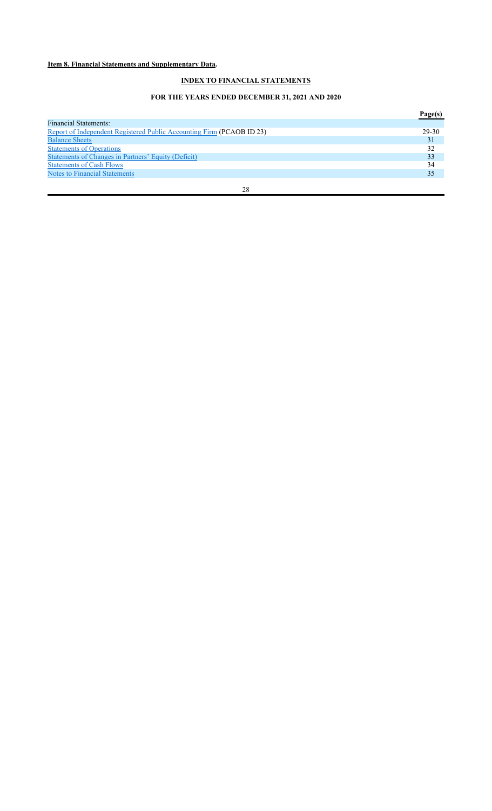# **Item 8. Financial Statements and Supplementary Data.**

# **INDEX TO FINANCIAL STATEMENTS**

# **FOR THE YEARS ENDED DECEMBER 31, 2021 AND 2020**

|                                                                       | Page(s) |
|-----------------------------------------------------------------------|---------|
| <b>Financial Statements:</b>                                          |         |
| Report of Independent Registered Public Accounting Firm (PCAOB ID 23) | 29-30   |
| <b>Balance Sheets</b>                                                 | 31      |
| <b>Statements of Operations</b>                                       | 32      |
| Statements of Changes in Partners' Equity (Deficit)                   | 33      |
| <b>Statements of Cash Flows</b>                                       | 34      |
| <b>Notes to Financial Statements</b>                                  | 35      |
| 28                                                                    |         |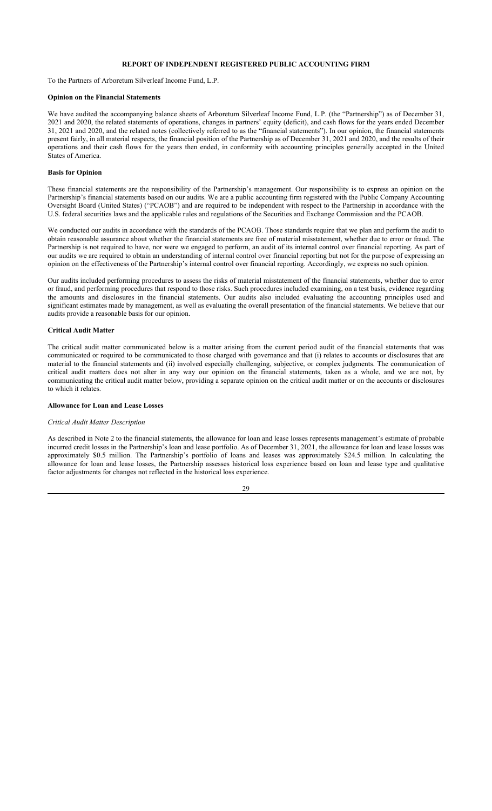# **REPORT OF INDEPENDENT REGISTERED PUBLIC ACCOUNTING FIRM**

To the Partners of Arboretum Silverleaf Income Fund, L.P.

# **Opinion on the Financial Statements**

We have audited the accompanying balance sheets of Arboretum Silverleaf Income Fund, L.P. (the "Partnership") as of December 31, 2021 and 2020, the related statements of operations, changes in partners' equity (deficit), and cash flows for the years ended December 31, 2021 and 2020, and the related notes (collectively referred to as the "financial statements"). In our opinion, the financial statements present fairly, in all material respects, the financial position of the Partnership as of December 31, 2021 and 2020, and the results of their operations and their cash flows for the years then ended, in conformity with accounting principles generally accepted in the United States of America.

# **Basis for Opinion**

These financial statements are the responsibility of the Partnership's management. Our responsibility is to express an opinion on the Partnership's financial statements based on our audits. We are a public accounting firm registered with the Public Company Accounting Oversight Board (United States) ("PCAOB") and are required to be independent with respect to the Partnership in accordance with the U.S. federal securities laws and the applicable rules and regulations of the Securities and Exchange Commission and the PCAOB.

We conducted our audits in accordance with the standards of the PCAOB. Those standards require that we plan and perform the audit to obtain reasonable assurance about whether the financial statements are free of material misstatement, whether due to error or fraud. The Partnership is not required to have, nor were we engaged to perform, an audit of its internal control over financial reporting. As part of our audits we are required to obtain an understanding of internal control over financial reporting but not for the purpose of expressing an opinion on the effectiveness of the Partnership's internal control over financial reporting. Accordingly, we express no such opinion.

Our audits included performing procedures to assess the risks of material misstatement of the financial statements, whether due to error or fraud, and performing procedures that respond to those risks. Such procedures included examining, on a test basis, evidence regarding the amounts and disclosures in the financial statements. Our audits also included evaluating the accounting principles used and significant estimates made by management, as well as evaluating the overall presentation of the financial statements. We believe that our audits provide a reasonable basis for our opinion.

### **Critical Audit Matter**

The critical audit matter communicated below is a matter arising from the current period audit of the financial statements that was communicated or required to be communicated to those charged with governance and that (i) relates to accounts or disclosures that are material to the financial statements and (ii) involved especially challenging, subjective, or complex judgments. The communication of critical audit matters does not alter in any way our opinion on the financial statements, taken as a whole, and we are not, by communicating the critical audit matter below, providing a separate opinion on the critical audit matter or on the accounts or disclosures to which it relates.

# **Allowance for Loan and Lease Losses**

### *Critical Audit Matter Description*

As described in Note 2 to the financial statements, the allowance for loan and lease losses represents management's estimate of probable incurred credit losses in the Partnership's loan and lease portfolio. As of December 31, 2021, the allowance for loan and lease losses was approximately \$0.5 million. The Partnership's portfolio of loans and leases was approximately \$24.5 million. In calculating the allowance for loan and lease losses, the Partnership assesses historical loss experience based on loan and lease type and qualitative factor adjustments for changes not reflected in the historical loss experience.

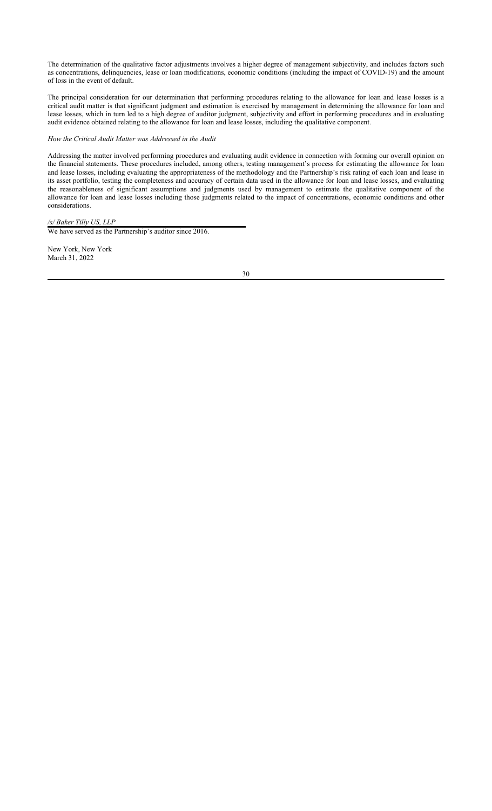The determination of the qualitative factor adjustments involves a higher degree of management subjectivity, and includes factors such as concentrations, delinquencies, lease or loan modifications, economic conditions (including the impact of COVID-19) and the amount of loss in the event of default.

The principal consideration for our determination that performing procedures relating to the allowance for loan and lease losses is a critical audit matter is that significant judgment and estimation is exercised by management in determining the allowance for loan and lease losses, which in turn led to a high degree of auditor judgment, subjectivity and effort in performing procedures and in evaluating audit evidence obtained relating to the allowance for loan and lease losses, including the qualitative component.

# *How the Critical Audit Matter was Addressed in the Audit*

Addressing the matter involved performing procedures and evaluating audit evidence in connection with forming our overall opinion on the financial statements. These procedures included, among others, testing management's process for estimating the allowance for loan and lease losses, including evaluating the appropriateness of the methodology and the Partnership's risk rating of each loan and lease in its asset portfolio, testing the completeness and accuracy of certain data used in the allowance for loan and lease losses, and evaluating the reasonableness of significant assumptions and judgments used by management to estimate the qualitative component of the allowance for loan and lease losses including those judgments related to the impact of concentrations, economic conditions and other considerations.

# */s/ Baker Tilly US, LLP*

We have served as the Partnership's auditor since 2016.

New York, New York March 31, 2022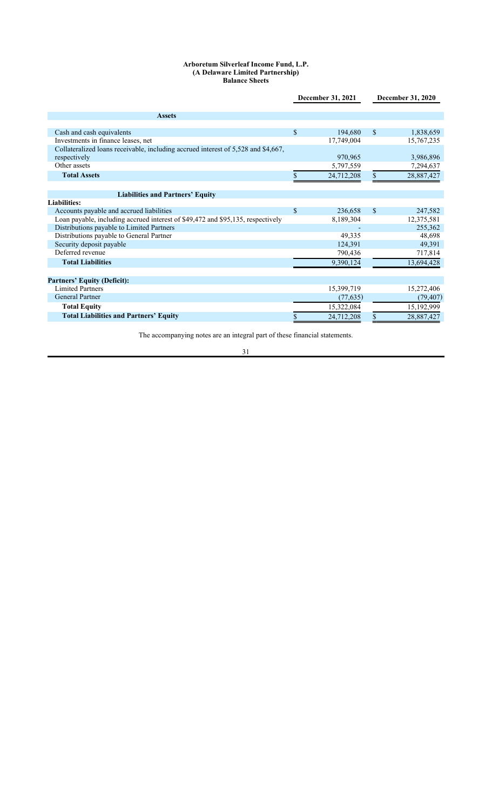# **Arboretum Silverleaf Income Fund, L.P. (A Delaware Limited Partnership) Balance Sheets**

|                                                                                   | December 31, 2021  |            |               | <b>December 31, 2020</b> |
|-----------------------------------------------------------------------------------|--------------------|------------|---------------|--------------------------|
|                                                                                   |                    |            |               |                          |
| <b>Assets</b>                                                                     |                    |            |               |                          |
|                                                                                   |                    |            |               |                          |
| Cash and cash equivalents                                                         | $\mathbf{\hat{S}}$ | 194,680    | <sup>\$</sup> | 1,838,659                |
| Investments in finance leases, net                                                |                    | 17,749,004 |               | 15,767,235               |
| Collateralized loans receivable, including accrued interest of 5,528 and \$4,667, |                    |            |               |                          |
| respectively                                                                      |                    | 970,965    |               | 3,986,896                |
| Other assets                                                                      |                    | 5,797,559  |               | 7,294,637                |
| <b>Total Assets</b>                                                               |                    | 24,712,208 | \$            | 28,887,427               |
|                                                                                   |                    |            |               |                          |
| <b>Liabilities and Partners' Equity</b>                                           |                    |            |               |                          |
| <b>Liabilities:</b>                                                               |                    |            |               |                          |
| Accounts payable and accrued liabilities                                          | \$                 | 236,658    | $\mathbf S$   | 247,582                  |
| Loan payable, including accrued interest of \$49,472 and \$95,135, respectively   |                    | 8,189,304  |               | 12,375,581               |
| Distributions payable to Limited Partners                                         |                    |            |               | 255,362                  |
| Distributions payable to General Partner                                          |                    | 49,335     |               | 48,698                   |
| Security deposit payable                                                          |                    | 124,391    |               | 49,391                   |
| Deferred revenue                                                                  |                    | 790,436    |               | 717,814                  |
| <b>Total Liabilities</b>                                                          |                    | 9,390,124  |               | 13,694,428               |
|                                                                                   |                    |            |               |                          |
| <b>Partners' Equity (Deficit):</b>                                                |                    |            |               |                          |
| <b>Limited Partners</b>                                                           |                    | 15,399,719 |               | 15,272,406               |
| <b>General Partner</b>                                                            |                    | (77, 635)  |               | (79, 407)                |
| <b>Total Equity</b>                                                               |                    | 15,322,084 |               | 15,192,999               |
| <b>Total Liabilities and Partners' Equity</b>                                     |                    | 24,712,208 |               | 28,887,427               |

The accompanying notes are an integral part of these financial statements.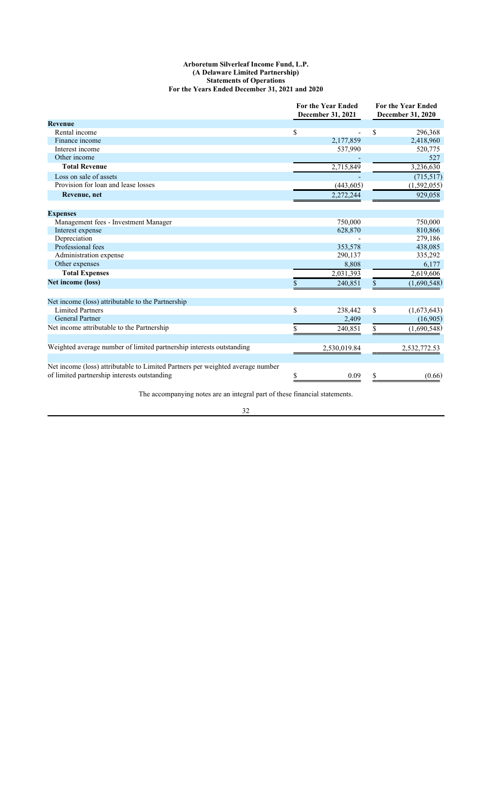# **Arboretum Silverleaf Income Fund, L.P. (A Delaware Limited Partnership) Statements of Operations For the Years Ended December 31, 2021 and 2020**

|                                                                                                                                |                         | <b>For the Year Ended</b><br>December 31, 2021 | <b>For the Year Ended</b><br>December 31, 2020 |              |  |
|--------------------------------------------------------------------------------------------------------------------------------|-------------------------|------------------------------------------------|------------------------------------------------|--------------|--|
| <b>Revenue</b>                                                                                                                 |                         |                                                |                                                |              |  |
| Rental income                                                                                                                  | \$                      |                                                | \$                                             | 296,368      |  |
| Finance income                                                                                                                 |                         | 2,177,859                                      |                                                | 2,418,960    |  |
| Interest income                                                                                                                |                         | 537,990                                        |                                                | 520,775      |  |
| Other income                                                                                                                   |                         |                                                |                                                | 527          |  |
| <b>Total Revenue</b>                                                                                                           |                         | 2,715,849                                      |                                                | 3,236,630    |  |
| Loss on sale of assets                                                                                                         |                         |                                                |                                                | (715,517)    |  |
| Provision for loan and lease losses                                                                                            |                         | (443, 605)                                     |                                                | (1,592,055)  |  |
| Revenue, net                                                                                                                   |                         | 2,272,244                                      |                                                | 929,058      |  |
| <b>Expenses</b>                                                                                                                |                         |                                                |                                                |              |  |
| Management fees - Investment Manager                                                                                           |                         | 750,000                                        |                                                | 750,000      |  |
| Interest expense                                                                                                               |                         | 628,870                                        |                                                | 810,866      |  |
| Depreciation                                                                                                                   |                         |                                                |                                                | 279,186      |  |
| Professional fees                                                                                                              |                         | 353,578                                        |                                                | 438,085      |  |
| Administration expense                                                                                                         |                         | 290,137                                        |                                                | 335,292      |  |
| Other expenses                                                                                                                 |                         | 8,808                                          |                                                | 6,177        |  |
| <b>Total Expenses</b>                                                                                                          |                         | 2,031,393                                      |                                                | 2,619,606    |  |
| Net income (loss)                                                                                                              |                         | 240,851                                        | \$                                             | (1,690,548)  |  |
| Net income (loss) attributable to the Partnership                                                                              |                         |                                                |                                                |              |  |
| <b>Limited Partners</b>                                                                                                        | $\overline{\mathbb{S}}$ | 238,442                                        | \$                                             | (1,673,643)  |  |
| <b>General Partner</b>                                                                                                         |                         | 2,409                                          |                                                | (16,905)     |  |
| Net income attributable to the Partnership                                                                                     |                         | 240,851                                        | \$                                             | (1,690,548)  |  |
| Weighted average number of limited partnership interests outstanding                                                           |                         | 2,530,019.84                                   |                                                | 2,532,772.53 |  |
|                                                                                                                                |                         |                                                |                                                |              |  |
| Net income (loss) attributable to Limited Partners per weighted average number<br>of limited partnership interests outstanding | \$                      | 0.09                                           | \$                                             | (0.66)       |  |

The accompanying notes are an integral part of these financial statements.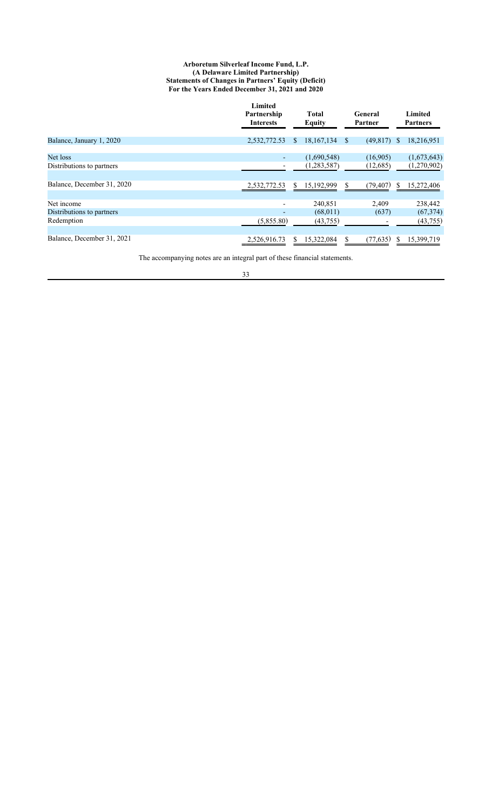# **Arboretum Silverleaf Income Fund, L.P. (A Delaware Limited Partnership) Statements of Changes in Partners' Equity (Deficit) For the Years Ended December 31, 2021 and 2020**

|                                         | Limited<br>Partnership<br><b>Interests</b> | <b>Total</b><br><b>Equity</b> |               |                      |               |                            |  |  |  |  |  |  |  |  |  | General<br>Partner |  | Limited<br><b>Partners</b> |
|-----------------------------------------|--------------------------------------------|-------------------------------|---------------|----------------------|---------------|----------------------------|--|--|--|--|--|--|--|--|--|--------------------|--|----------------------------|
| Balance, January 1, 2020                | 2,532,772.53                               | 18, 167, 134<br><sup>S</sup>  | <sup>\$</sup> | (49, 817)            | <sup>\$</sup> | 18,216,951                 |  |  |  |  |  |  |  |  |  |                    |  |                            |
| Net loss<br>Distributions to partners   |                                            | (1,690,548)<br>(1,283,587)    |               | (16,905)<br>(12,685) |               | (1,673,643)<br>(1,270,902) |  |  |  |  |  |  |  |  |  |                    |  |                            |
| Balance, December 31, 2020              | 2,532,772.53                               | 15,192,999<br>\$              | \$.           | (79,407)             | S.            | 15,272,406                 |  |  |  |  |  |  |  |  |  |                    |  |                            |
| Net income<br>Distributions to partners |                                            | 240,851<br>(68,011)           |               | 2,409<br>(637)       |               | 238,442<br>(67, 374)       |  |  |  |  |  |  |  |  |  |                    |  |                            |
| Redemption                              | (5,855.80)                                 | (43,755)                      |               |                      |               | (43,755)                   |  |  |  |  |  |  |  |  |  |                    |  |                            |
| Balance, December 31, 2021              | 2,526,916.73                               | 15,322,084<br>S.              | \$            | (77, 635)            |               | 15,399,719                 |  |  |  |  |  |  |  |  |  |                    |  |                            |

The accompanying notes are an integral part of these financial statements.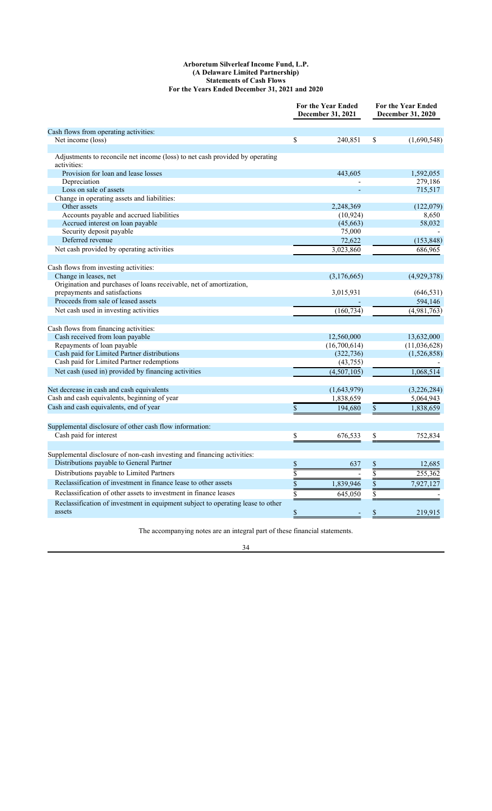# **Arboretum Silverleaf Income Fund, L.P. (A Delaware Limited Partnership) Statements of Cash Flows For the Years Ended December 31, 2021 and 2020**

|                                                                                             |                 | <b>For the Year Ended</b><br>December 31, 2021 | <b>For the Year Ended</b><br>December 31, 2020 |              |  |
|---------------------------------------------------------------------------------------------|-----------------|------------------------------------------------|------------------------------------------------|--------------|--|
| Cash flows from operating activities:                                                       |                 |                                                |                                                |              |  |
| Net income (loss)                                                                           | \$              | 240,851                                        | \$                                             | (1,690,548)  |  |
| Adjustments to reconcile net income (loss) to net cash provided by operating<br>activities: |                 |                                                |                                                |              |  |
| Provision for loan and lease losses                                                         |                 | 443,605                                        |                                                | 1,592,055    |  |
| Depreciation                                                                                |                 |                                                |                                                | 279,186      |  |
| Loss on sale of assets                                                                      |                 |                                                |                                                | 715,517      |  |
| Change in operating assets and liabilities:                                                 |                 |                                                |                                                |              |  |
| Other assets                                                                                |                 | 2,248,369                                      |                                                | (122,079)    |  |
| Accounts payable and accrued liabilities                                                    |                 | (10, 924)                                      |                                                | 8,650        |  |
| Accrued interest on loan payable                                                            |                 | (45,663)                                       |                                                | 58,032       |  |
| Security deposit payable                                                                    |                 | 75,000                                         |                                                |              |  |
| Deferred revenue                                                                            |                 | 72,622                                         |                                                | (153, 848)   |  |
| Net cash provided by operating activities                                                   |                 | 3,023,860                                      |                                                | 686,965      |  |
|                                                                                             |                 |                                                |                                                |              |  |
| Cash flows from investing activities:<br>Change in leases, net                              |                 | (3,176,665)                                    |                                                | (4,929,378)  |  |
| Origination and purchases of loans receivable, net of amortization,                         |                 |                                                |                                                |              |  |
| prepayments and satisfactions                                                               |                 | 3,015,931                                      |                                                | (646, 531)   |  |
| Proceeds from sale of leased assets                                                         |                 |                                                |                                                | 594,146      |  |
| Net cash used in investing activities                                                       |                 | (160, 734)                                     |                                                | (4,981,763)  |  |
|                                                                                             |                 |                                                |                                                |              |  |
| Cash flows from financing activities:                                                       |                 |                                                |                                                |              |  |
| Cash received from loan payable                                                             |                 | 12,560,000                                     |                                                | 13,632,000   |  |
| Repayments of loan payable                                                                  |                 | (16,700,614)                                   |                                                | (11,036,628) |  |
| Cash paid for Limited Partner distributions                                                 |                 | (322, 736)                                     |                                                | (1,526,858)  |  |
| Cash paid for Limited Partner redemptions                                                   |                 | (43,755)                                       |                                                |              |  |
| Net cash (used in) provided by financing activities                                         |                 | (4,507,105)                                    |                                                | 1,068,514    |  |
|                                                                                             |                 |                                                |                                                |              |  |
| Net decrease in cash and cash equivalents                                                   |                 | (1,643,979)                                    |                                                | (3,226,284)  |  |
| Cash and cash equivalents, beginning of year                                                |                 | 1,838,659                                      |                                                | 5,064,943    |  |
| Cash and cash equivalents, end of year                                                      | \$              | 194,680                                        | \$                                             | 1,838,659    |  |
|                                                                                             |                 |                                                |                                                |              |  |
| Supplemental disclosure of other cash flow information:                                     |                 |                                                |                                                |              |  |
| Cash paid for interest                                                                      | \$              | 676,533                                        | \$                                             | 752,834      |  |
| Supplemental disclosure of non-cash investing and financing activities:                     |                 |                                                |                                                |              |  |
| Distributions payable to General Partner                                                    | \$              | 637                                            | \$                                             | 12,685       |  |
| Distributions payable to Limited Partners                                                   |                 |                                                |                                                |              |  |
|                                                                                             | $\overline{\$}$ |                                                | $\overline{\$}$                                | 255,362      |  |
| Reclassification of investment in finance lease to other assets                             | $\overline{\$}$ | 1,839,946                                      | $\overline{\mathbb{S}}$                        | 7,927,127    |  |
| Reclassification of other assets to investment in finance leases                            | $\overline{\$}$ | 645,050                                        |                                                |              |  |
| Reclassification of investment in equipment subject to operating lease to other             |                 |                                                |                                                |              |  |
| assets                                                                                      | \$              | ٠                                              | \$                                             | 219,915      |  |

The accompanying notes are an integral part of these financial statements.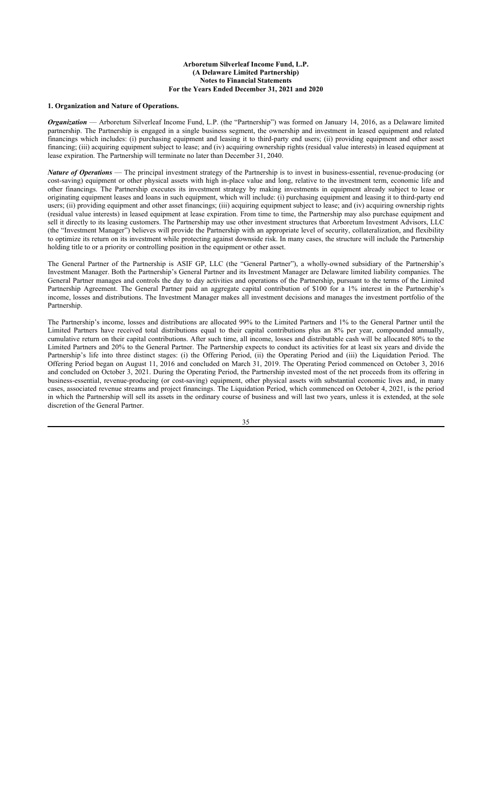# **Arboretum Silverleaf Income Fund, L.P. (A Delaware Limited Partnership) Notes to Financial Statements For the Years Ended December 31, 2021 and 2020**

# **1. Organization and Nature of Operations.**

*Organization* — Arboretum Silverleaf Income Fund, L.P. (the "Partnership") was formed on January 14, 2016, as a Delaware limited partnership. The Partnership is engaged in a single business segment, the ownership and investment in leased equipment and related financings which includes: (i) purchasing equipment and leasing it to third-party end users; (ii) providing equipment and other asset financing; (iii) acquiring equipment subject to lease; and (iv) acquiring ownership rights (residual value interests) in leased equipment at lease expiration. The Partnership will terminate no later than December 31, 2040.

*Nature of Operations* — The principal investment strategy of the Partnership is to invest in business-essential, revenue-producing (or cost-saving) equipment or other physical assets with high in-place value and long, relative to the investment term, economic life and other financings. The Partnership executes its investment strategy by making investments in equipment already subject to lease or originating equipment leases and loans in such equipment, which will include: (i) purchasing equipment and leasing it to third-party end users; (ii) providing equipment and other asset financings; (iii) acquiring equipment subject to lease; and (iv) acquiring ownership rights (residual value interests) in leased equipment at lease expiration. From time to time, the Partnership may also purchase equipment and sell it directly to its leasing customers. The Partnership may use other investment structures that Arboretum Investment Advisors, LLC (the "Investment Manager") believes will provide the Partnership with an appropriate level of security, collateralization, and flexibility to optimize its return on its investment while protecting against downside risk. In many cases, the structure will include the Partnership holding title to or a priority or controlling position in the equipment or other asset.

The General Partner of the Partnership is ASIF GP, LLC (the "General Partner"), a wholly-owned subsidiary of the Partnership's Investment Manager. Both the Partnership's General Partner and its Investment Manager are Delaware limited liability companies. The General Partner manages and controls the day to day activities and operations of the Partnership, pursuant to the terms of the Limited Partnership Agreement. The General Partner paid an aggregate capital contribution of \$100 for a 1% interest in the Partnership's income, losses and distributions. The Investment Manager makes all investment decisions and manages the investment portfolio of the Partnership.

The Partnership's income, losses and distributions are allocated 99% to the Limited Partners and 1% to the General Partner until the Limited Partners have received total distributions equal to their capital contributions plus an 8% per year, compounded annually, cumulative return on their capital contributions. After such time, all income, losses and distributable cash will be allocated 80% to the Limited Partners and 20% to the General Partner. The Partnership expects to conduct its activities for at least six years and divide the Partnership's life into three distinct stages: (i) the Offering Period, (ii) the Operating Period and (iii) the Liquidation Period. The Offering Period began on August 11, 2016 and concluded on March 31, 2019. The Operating Period commenced on October 3, 2016 and concluded on October 3, 2021. During the Operating Period, the Partnership invested most of the net proceeds from its offering in business-essential, revenue-producing (or cost-saving) equipment, other physical assets with substantial economic lives and, in many cases, associated revenue streams and project financings. The Liquidation Period, which commenced on October 4, 2021, is the period in which the Partnership will sell its assets in the ordinary course of business and will last two years, unless it is extended, at the sole discretion of the General Partner.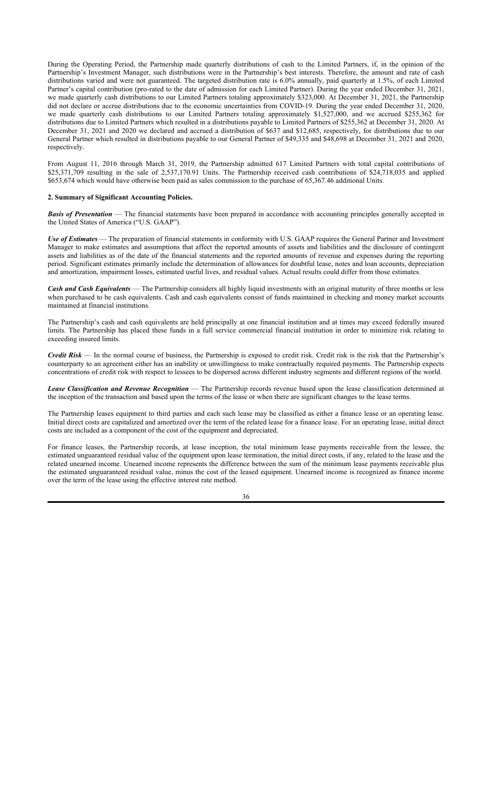During the Operating Period, the Partnership made quarterly distributions of cash to the Limited Partners, if, in the opinion of the Partnership's Investment Manager, such distributions were in the Partnership's best interests. Therefore, the amount and rate of cash distributions varied and were not guaranteed. The targeted distribution rate is 6.0% annually, paid quarterly at 1.5%, of each Limited Partner's capital contribution (pro-rated to the date of admission for each Limited Partner). During the year ended December 31, 2021, we made quarterly cash distributions to our Limited Partners totaling approximately \$323,000. At December 31, 2021, the Partnership did not declare or accrue distributions due to the economic uncertainties from COVID-19. During the year ended December 31, 2020, we made quarterly cash distributions to our Limited Partners totaling approximately \$1,527,000, and we accrued \$255,362 for distributions due to Limited Partners which resulted in a distributions payable to Limited Partners of \$255,362 at December 31, 2020. At December 31, 2021 and 2020 we declared and accrued a distribution of \$637 and \$12,685, respectively, for distributions due to our General Partner which resulted in distributions payable to our General Partner of \$49,335 and \$48,698 at December 31, 2021 and 2020, respectively.

From August 11, 2016 through March 31, 2019, the Partnership admitted 617 Limited Partners with total capital contributions of \$25,371,709 resulting in the sale of 2,537,170.91 Units. The Partnership received cash contributions of \$24,718,035 and applied \$653,674 which would have otherwise been paid as sales commission to the purchase of 65,367.46 additional Units.

### **2. Summary of Significant Accounting Policies.**

*Basis of Presentation* — The financial statements have been prepared in accordance with accounting principles generally accepted in the United States of America ("U.S. GAAP").

*Use of Estimates* — The preparation of financial statements in conformity with U.S. GAAP requires the General Partner and Investment Manager to make estimates and assumptions that affect the reported amounts of assets and liabilities and the disclosure of contingent assets and liabilities as of the date of the financial statements and the reported amounts of revenue and expenses during the reporting period. Significant estimates primarily include the determination of allowances for doubtful lease, notes and loan accounts, depreciation and amortization, impairment losses, estimated useful lives, and residual values. Actual results could differ from those estimates.

*Cash and Cash Equivalents* — The Partnership considers all highly liquid investments with an original maturity of three months or less when purchased to be cash equivalents. Cash and cash equivalents consist of funds maintained in checking and money market accounts maintained at financial institutions.

The Partnership's cash and cash equivalents are held principally at one financial institution and at times may exceed federally insured limits. The Partnership has placed these funds in a full service commercial financial institution in order to minimize risk relating to exceeding insured limits.

*Credit Risk* — In the normal course of business, the Partnership is exposed to credit risk. Credit risk is the risk that the Partnership's counterparty to an agreement either has an inability or unwillingness to make contractually required payments. The Partnership expects concentrations of credit risk with respect to lessees to be dispersed across different industry segments and different regions of the world.

*Lease Classification and Revenue Recognition* — The Partnership records revenue based upon the lease classification determined at the inception of the transaction and based upon the terms of the lease or when there are significant changes to the lease terms.

The Partnership leases equipment to third parties and each such lease may be classified as either a finance lease or an operating lease. Initial direct costs are capitalized and amortized over the term of the related lease for a finance lease. For an operating lease, initial direct costs are included as a component of the cost of the equipment and depreciated.

For finance leases, the Partnership records, at lease inception, the total minimum lease payments receivable from the lessee, the estimated unguaranteed residual value of the equipment upon lease termination, the initial direct costs, if any, related to the lease and the related unearned income. Unearned income represents the difference between the sum of the minimum lease payments receivable plus the estimated unguaranteed residual value, minus the cost of the leased equipment. Unearned income is recognized as finance income over the term of the lease using the effective interest rate method.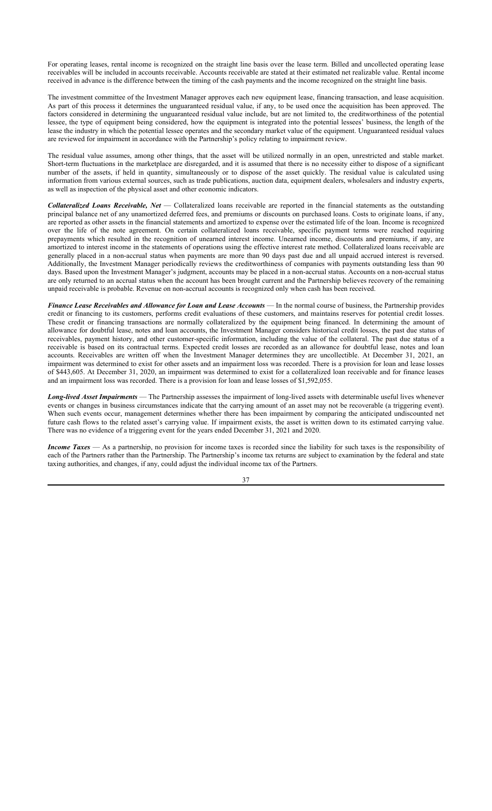For operating leases, rental income is recognized on the straight line basis over the lease term. Billed and uncollected operating lease receivables will be included in accounts receivable. Accounts receivable are stated at their estimated net realizable value. Rental income received in advance is the difference between the timing of the cash payments and the income recognized on the straight line basis.

The investment committee of the Investment Manager approves each new equipment lease, financing transaction, and lease acquisition. As part of this process it determines the unguaranteed residual value, if any, to be used once the acquisition has been approved. The factors considered in determining the unguaranteed residual value include, but are not limited to, the creditworthiness of the potential lessee, the type of equipment being considered, how the equipment is integrated into the potential lessees' business, the length of the lease the industry in which the potential lessee operates and the secondary market value of the equipment. Unguaranteed residual values are reviewed for impairment in accordance with the Partnership's policy relating to impairment review.

The residual value assumes, among other things, that the asset will be utilized normally in an open, unrestricted and stable market. Short-term fluctuations in the marketplace are disregarded, and it is assumed that there is no necessity either to dispose of a significant number of the assets, if held in quantity, simultaneously or to dispose of the asset quickly. The residual value is calculated using information from various external sources, such as trade publications, auction data, equipment dealers, wholesalers and industry experts, as well as inspection of the physical asset and other economic indicators.

*Collateralized Loans Receivable, Net* — Collateralized loans receivable are reported in the financial statements as the outstanding principal balance net of any unamortized deferred fees, and premiums or discounts on purchased loans. Costs to originate loans, if any, are reported as other assets in the financial statements and amortized to expense over the estimated life of the loan. Income is recognized over the life of the note agreement. On certain collateralized loans receivable, specific payment terms were reached requiring prepayments which resulted in the recognition of unearned interest income. Unearned income, discounts and premiums, if any, are amortized to interest income in the statements of operations using the effective interest rate method. Collateralized loans receivable are generally placed in a non-accrual status when payments are more than 90 days past due and all unpaid accrued interest is reversed. Additionally, the Investment Manager periodically reviews the creditworthiness of companies with payments outstanding less than 90 days. Based upon the Investment Manager's judgment, accounts may be placed in a non-accrual status. Accounts on a non-accrual status are only returned to an accrual status when the account has been brought current and the Partnership believes recovery of the remaining unpaid receivable is probable. Revenue on non-accrual accounts is recognized only when cash has been received.

*Finance Lease Receivables and Allowance for Loan and Lease Accounts* — In the normal course of business, the Partnership provides credit or financing to its customers, performs credit evaluations of these customers, and maintains reserves for potential credit losses. These credit or financing transactions are normally collateralized by the equipment being financed. In determining the amount of allowance for doubtful lease, notes and loan accounts, the Investment Manager considers historical credit losses, the past due status of receivables, payment history, and other customer-specific information, including the value of the collateral. The past due status of a receivable is based on its contractual terms. Expected credit losses are recorded as an allowance for doubtful lease, notes and loan accounts. Receivables are written off when the Investment Manager determines they are uncollectible. At December 31, 2021, an impairment was determined to exist for other assets and an impairment loss was recorded. There is a provision for loan and lease losses of \$443,605. At December 31, 2020, an impairment was determined to exist for a collateralized loan receivable and for finance leases and an impairment loss was recorded. There is a provision for loan and lease losses of \$1,592,055.

*Long-lived Asset Impairments* — The Partnership assesses the impairment of long-lived assets with determinable useful lives whenever events or changes in business circumstances indicate that the carrying amount of an asset may not be recoverable (a triggering event). When such events occur, management determines whether there has been impairment by comparing the anticipated undiscounted net future cash flows to the related asset's carrying value. If impairment exists, the asset is written down to its estimated carrying value. There was no evidence of a triggering event for the years ended December 31, 2021 and 2020.

*Income Taxes* — As a partnership, no provision for income taxes is recorded since the liability for such taxes is the responsibility of each of the Partners rather than the Partnership. The Partnership's income tax returns are subject to examination by the federal and state taxing authorities, and changes, if any, could adjust the individual income tax of the Partners.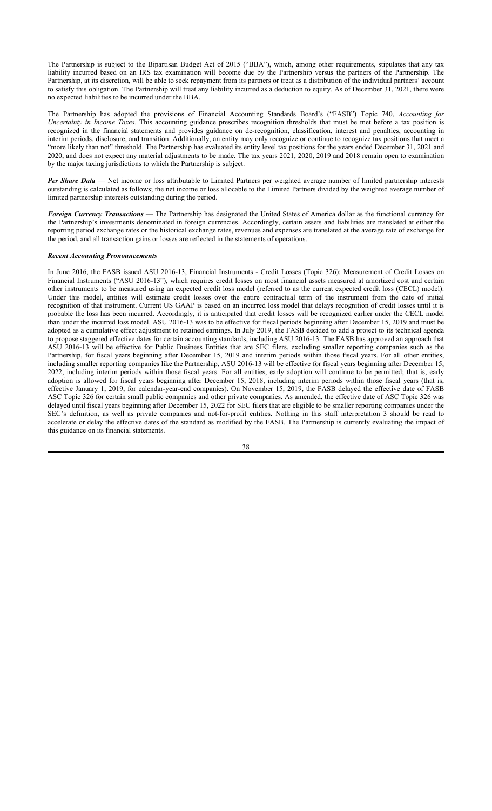The Partnership is subject to the Bipartisan Budget Act of 2015 ("BBA"), which, among other requirements, stipulates that any tax liability incurred based on an IRS tax examination will become due by the Partnership versus the partners of the Partnership. The Partnership, at its discretion, will be able to seek repayment from its partners or treat as a distribution of the individual partners' account to satisfy this obligation. The Partnership will treat any liability incurred as a deduction to equity. As of December 31, 2021, there were no expected liabilities to be incurred under the BBA.

The Partnership has adopted the provisions of Financial Accounting Standards Board's ("FASB") Topic 740, *Accounting for Uncertainty in Income Taxes.* This accounting guidance prescribes recognition thresholds that must be met before a tax position is recognized in the financial statements and provides guidance on de-recognition, classification, interest and penalties, accounting in interim periods, disclosure, and transition. Additionally, an entity may only recognize or continue to recognize tax positions that meet a "more likely than not" threshold. The Partnership has evaluated its entity level tax positions for the years ended December 31, 2021 and 2020, and does not expect any material adjustments to be made. The tax years 2021, 2020, 2019 and 2018 remain open to examination by the major taxing jurisdictions to which the Partnership is subject.

*Per Share Data* — Net income or loss attributable to Limited Partners per weighted average number of limited partnership interests outstanding is calculated as follows; the net income or loss allocable to the Limited Partners divided by the weighted average number of limited partnership interests outstanding during the period.

*Foreign Currency Transactions* — The Partnership has designated the United States of America dollar as the functional currency for the Partnership's investments denominated in foreign currencies. Accordingly, certain assets and liabilities are translated at either the reporting period exchange rates or the historical exchange rates, revenues and expenses are translated at the average rate of exchange for the period, and all transaction gains or losses are reflected in the statements of operations.

# *Recent Accounting Pronouncements*

In June 2016, the FASB issued ASU 2016-13, Financial Instruments - Credit Losses (Topic 326): Measurement of Credit Losses on Financial Instruments ("ASU 2016-13"), which requires credit losses on most financial assets measured at amortized cost and certain other instruments to be measured using an expected credit loss model (referred to as the current expected credit loss (CECL) model). Under this model, entities will estimate credit losses over the entire contractual term of the instrument from the date of initial recognition of that instrument. Current US GAAP is based on an incurred loss model that delays recognition of credit losses until it is probable the loss has been incurred. Accordingly, it is anticipated that credit losses will be recognized earlier under the CECL model than under the incurred loss model. ASU 2016-13 was to be effective for fiscal periods beginning after December 15, 2019 and must be adopted as a cumulative effect adjustment to retained earnings. In July 2019, the FASB decided to add a project to its technical agenda to propose staggered effective dates for certain accounting standards, including ASU 2016-13. The FASB has approved an approach that ASU 2016-13 will be effective for Public Business Entities that are SEC filers, excluding smaller reporting companies such as the Partnership, for fiscal years beginning after December 15, 2019 and interim periods within those fiscal years. For all other entities, including smaller reporting companies like the Partnership, ASU 2016-13 will be effective for fiscal years beginning after December 15, 2022, including interim periods within those fiscal years. For all entities, early adoption will continue to be permitted; that is, early adoption is allowed for fiscal years beginning after December 15, 2018, including interim periods within those fiscal years (that is, effective January 1, 2019, for calendar-year-end companies). On November 15, 2019, the FASB delayed the effective date of FASB ASC Topic 326 for certain small public companies and other private companies. As amended, the effective date of ASC Topic 326 was delayed until fiscal years beginning after December 15, 2022 for SEC filers that are eligible to be smaller reporting companies under the SEC's definition, as well as private companies and not-for-profit entities. Nothing in this staff interpretation 3 should be read to accelerate or delay the effective dates of the standard as modified by the FASB. The Partnership is currently evaluating the impact of this guidance on its financial statements.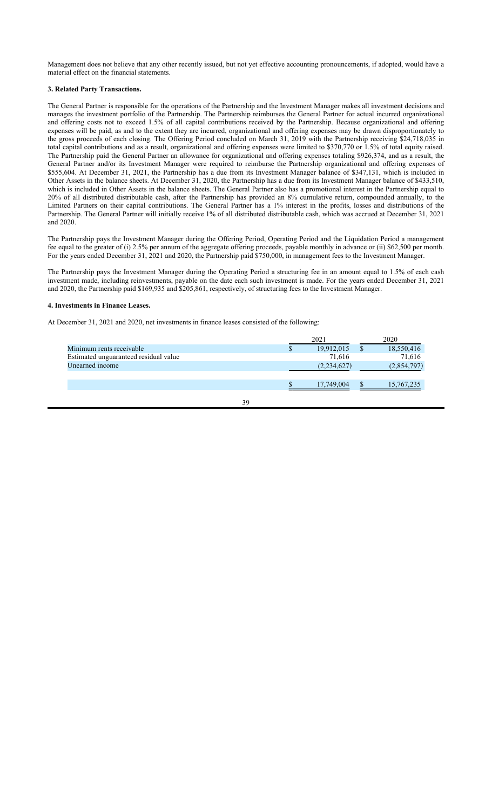Management does not believe that any other recently issued, but not yet effective accounting pronouncements, if adopted, would have a material effect on the financial statements.

# **3. Related Party Transactions.**

The General Partner is responsible for the operations of the Partnership and the Investment Manager makes all investment decisions and manages the investment portfolio of the Partnership. The Partnership reimburses the General Partner for actual incurred organizational and offering costs not to exceed 1.5% of all capital contributions received by the Partnership. Because organizational and offering expenses will be paid, as and to the extent they are incurred, organizational and offering expenses may be drawn disproportionately to the gross proceeds of each closing. The Offering Period concluded on March 31, 2019 with the Partnership receiving \$24,718,035 in total capital contributions and as a result, organizational and offering expenses were limited to \$370,770 or 1.5% of total equity raised. The Partnership paid the General Partner an allowance for organizational and offering expenses totaling \$926,374, and as a result, the General Partner and/or its Investment Manager were required to reimburse the Partnership organizational and offering expenses of \$555,604. At December 31, 2021, the Partnership has a due from its Investment Manager balance of \$347,131, which is included in Other Assets in the balance sheets. At December 31, 2020, the Partnership has a due from its Investment Manager balance of \$433,510, which is included in Other Assets in the balance sheets. The General Partner also has a promotional interest in the Partnership equal to 20% of all distributed distributable cash, after the Partnership has provided an 8% cumulative return, compounded annually, to the Limited Partners on their capital contributions. The General Partner has a 1% interest in the profits, losses and distributions of the Partnership. The General Partner will initially receive 1% of all distributed distributable cash, which was accrued at December 31, 2021 and 2020.

The Partnership pays the Investment Manager during the Offering Period, Operating Period and the Liquidation Period a management fee equal to the greater of (i) 2.5% per annum of the aggregate offering proceeds, payable monthly in advance or (ii) \$62,500 per month. For the years ended December 31, 2021 and 2020, the Partnership paid \$750,000, in management fees to the Investment Manager.

The Partnership pays the Investment Manager during the Operating Period a structuring fee in an amount equal to 1.5% of each cash investment made, including reinvestments, payable on the date each such investment is made. For the years ended December 31, 2021 and 2020, the Partnership paid \$169,935 and \$205,861, respectively, of structuring fees to the Investment Manager.

# **4. Investments in Finance Leases.**

At December 31, 2021 and 2020, net investments in finance leases consisted of the following:

|                                       |  | 2021        |  |             |  | 2020 |  |
|---------------------------------------|--|-------------|--|-------------|--|------|--|
| Minimum rents receivable              |  | 19,912,015  |  | 18,550,416  |  |      |  |
| Estimated unguaranteed residual value |  | 71,616      |  | 71,616      |  |      |  |
| Unearned income                       |  | (2,234,627) |  | (2,854,797) |  |      |  |
|                                       |  |             |  |             |  |      |  |
|                                       |  | 17,749,004  |  | 15,767,235  |  |      |  |
|                                       |  |             |  |             |  |      |  |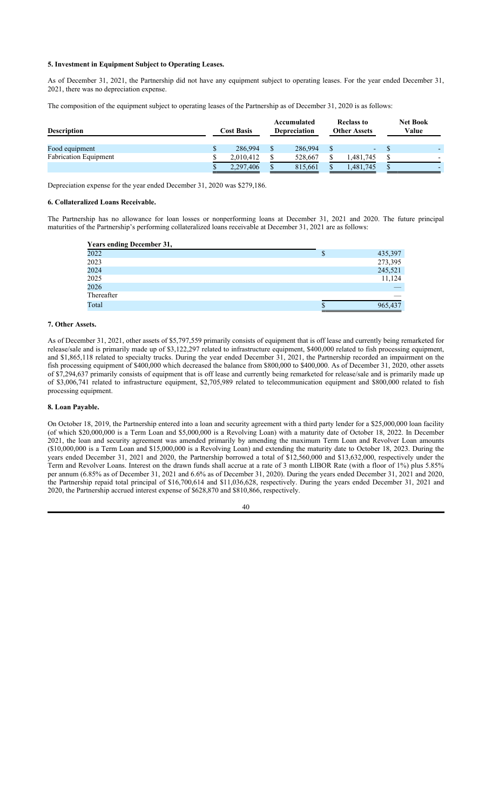# **5. Investment in Equipment Subject to Operating Leases.**

As of December 31, 2021, the Partnership did not have any equipment subject to operating leases. For the year ended December 31, 2021, there was no depreciation expense.

The composition of the equipment subject to operating leases of the Partnership as of December 31, 2020 is as follows:

| <b>Description</b>           |    | <b>Cost Basis</b> |               | Accumulated<br><b>Depreciation</b> | <b>Reclass to</b><br><b>Other Assets</b> | <b>Net Book</b><br>Value |
|------------------------------|----|-------------------|---------------|------------------------------------|------------------------------------------|--------------------------|
| Food equipment               | ۰D | 286,994           | $\mathcal{S}$ | 286,994                            |                                          |                          |
| <b>Fabrication Equipment</b> |    | 2.010.412         | \$            | 528,667                            | 1.481.745                                |                          |
|                              |    | 2,297,406         |               | 815,661                            | 1,481,745                                |                          |

Depreciation expense for the year ended December 31, 2020 was \$279,186.

# **6. Collateralized Loans Receivable.**

The Partnership has no allowance for loan losses or nonperforming loans at December 31, 2021 and 2020. The future principal maturities of the Partnership's performing collateralized loans receivable at December 31, 2021 are as follows:

| <b>Years ending December 31,</b> |   |         |
|----------------------------------|---|---------|
| 2022                             | S | 435,397 |
| 2023                             |   | 273,395 |
| 2024                             |   | 245,521 |
| 2025                             |   | 11,124  |
| 2026                             |   |         |
| Thereafter                       |   |         |
| Total                            | Ф | 965,437 |

# **7. Other Assets.**

As of December 31, 2021, other assets of \$5,797,559 primarily consists of equipment that is off lease and currently being remarketed for release/sale and is primarily made up of \$3,122,297 related to infrastructure equipment, \$400,000 related to fish processing equipment, and \$1,865,118 related to specialty trucks. During the year ended December 31, 2021, the Partnership recorded an impairment on the fish processing equipment of \$400,000 which decreased the balance from \$800,000 to \$400,000. As of December 31, 2020, other assets of \$7,294,637 primarily consists of equipment that is off lease and currently being remarketed for release/sale and is primarily made up of \$3,006,741 related to infrastructure equipment, \$2,705,989 related to telecommunication equipment and \$800,000 related to fish processing equipment.

# **8. Loan Payable.**

On October 18, 2019, the Partnership entered into a loan and security agreement with a third party lender for a \$25,000,000 loan facility (of which \$20,000,000 is a Term Loan and \$5,000,000 is a Revolving Loan) with a maturity date of October 18, 2022. In December 2021, the loan and security agreement was amended primarily by amending the maximum Term Loan and Revolver Loan amounts (\$10,000,000 is a Term Loan and \$15,000,000 is a Revolving Loan) and extending the maturity date to October 18, 2023. During the years ended December 31, 2021 and 2020, the Partnership borrowed a total of \$12,560,000 and \$13,632,000, respectively under the Term and Revolver Loans. Interest on the drawn funds shall accrue at a rate of 3 month LIBOR Rate (with a floor of 1%) plus 5.85% per annum (6.85% as of December 31, 2021 and 6.6% as of December 31, 2020). During the years ended December 31, 2021 and 2020, the Partnership repaid total principal of \$16,700,614 and \$11,036,628, respectively. During the years ended December 31, 2021 and 2020, the Partnership accrued interest expense of \$628,870 and \$810,866, respectively.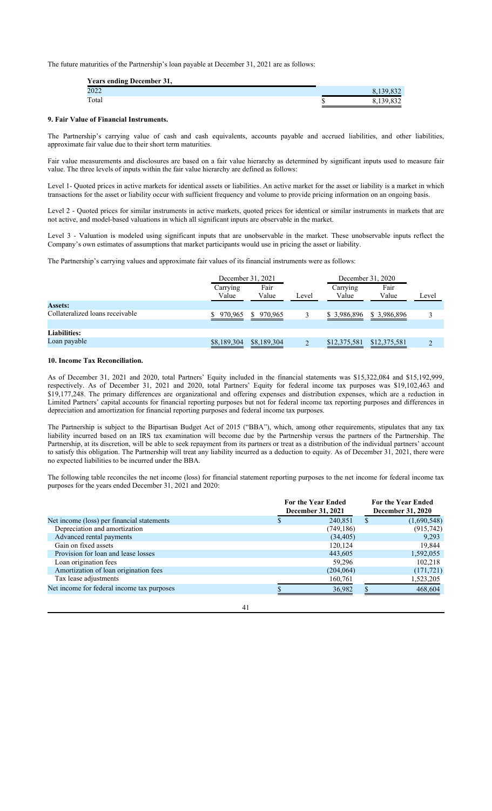The future maturities of the Partnership's loan payable at December 31, 2021 are as follows:

| <b>Years ending December 31,</b> |           |
|----------------------------------|-----------|
| 2022                             | 8,139,832 |
| Total                            | 8,139,832 |

# **9. Fair Value of Financial Instruments.**

The Partnership's carrying value of cash and cash equivalents, accounts payable and accrued liabilities, and other liabilities, approximate fair value due to their short term maturities.

Fair value measurements and disclosures are based on a fair value hierarchy as determined by significant inputs used to measure fair value. The three levels of inputs within the fair value hierarchy are defined as follows:

Level 1- Quoted prices in active markets for identical assets or liabilities. An active market for the asset or liability is a market in which transactions for the asset or liability occur with sufficient frequency and volume to provide pricing information on an ongoing basis.

Level 2 - Quoted prices for similar instruments in active markets, quoted prices for identical or similar instruments in markets that are not active, and model-based valuations in which all significant inputs are observable in the market.

Level 3 - Valuation is modeled using significant inputs that are unobservable in the market. These unobservable inputs reflect the Company's own estimates of assumptions that market participants would use in pricing the asset or liability.

The Partnership's carrying values and approximate fair values of its financial instruments were as follows:

|                                 | December 31, 2021 |               |       | December 31, 2020 |               |       |  |
|---------------------------------|-------------------|---------------|-------|-------------------|---------------|-------|--|
|                                 | Carrying<br>Value | Fair<br>Value | Level | Carrying<br>Value | Fair<br>Value | Level |  |
| <b>Assets:</b>                  |                   |               |       |                   |               |       |  |
| Collateralized loans receivable | 970,965           | \$970,965     |       | \$3,986,896       | \$ 3,986,896  |       |  |
| <b>Liabilities:</b>             |                   |               |       |                   |               |       |  |
| Loan payable                    | \$8,189,304       | \$8,189,304   |       | \$12,375,581      | \$12,375,581  |       |  |

### **10. Income Tax Reconciliation.**

As of December 31, 2021 and 2020, total Partners' Equity included in the financial statements was \$15,322,084 and \$15,192,999, respectively. As of December 31, 2021 and 2020, total Partners' Equity for federal income tax purposes was \$19,102,463 and \$19,177,248. The primary differences are organizational and offering expenses and distribution expenses, which are a reduction in Limited Partners' capital accounts for financial reporting purposes but not for federal income tax reporting purposes and differences in depreciation and amortization for financial reporting purposes and federal income tax purposes.

The Partnership is subject to the Bipartisan Budget Act of 2015 ("BBA"), which, among other requirements, stipulates that any tax liability incurred based on an IRS tax examination will become due by the Partnership versus the partners of the Partnership. The Partnership, at its discretion, will be able to seek repayment from its partners or treat as a distribution of the individual partners' account to satisfy this obligation. The Partnership will treat any liability incurred as a deduction to equity. As of December 31, 2021, there were no expected liabilities to be incurred under the BBA.

The following table reconciles the net income (loss) for financial statement reporting purposes to the net income for federal income tax purposes for the years ended December 31, 2021 and 2020:

|                                            | <b>For the Year Ended</b><br>December 31, 2021 |              | <b>For the Year Ended</b><br>December 31, 2020 |
|--------------------------------------------|------------------------------------------------|--------------|------------------------------------------------|
| Net income (loss) per financial statements | 240,851                                        | <sup>S</sup> | (1,690,548)                                    |
| Depreciation and amortization              | (749, 186)                                     |              | (915,742)                                      |
| Advanced rental payments                   | (34, 405)                                      |              | 9,293                                          |
| Gain on fixed assets                       | 120,124                                        |              | 19,844                                         |
| Provision for loan and lease losses        | 443,605                                        |              | 1,592,055                                      |
| Loan origination fees                      | 59,296                                         |              | 102,218                                        |
| Amortization of loan origination fees      | (204, 064)                                     |              | (171, 721)                                     |
| Tax lease adjustments                      | 160,761                                        |              | 1,523,205                                      |
| Net income for federal income tax purposes | 36,982                                         |              | 468,604                                        |

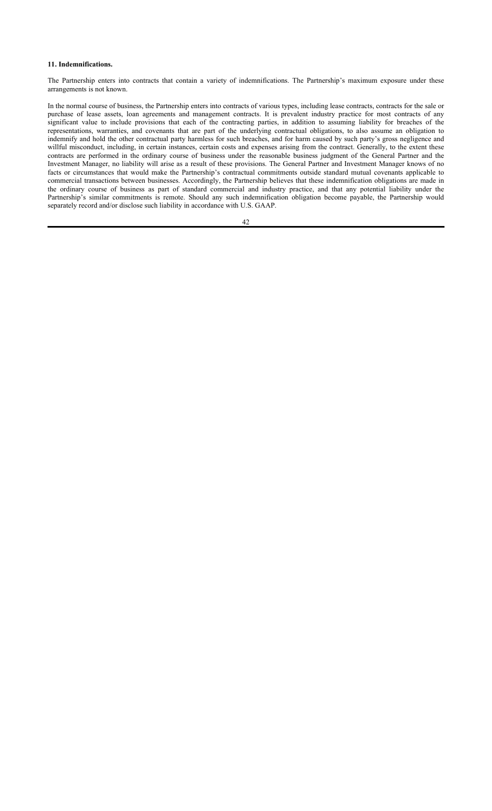## **11. Indemnifications.**

The Partnership enters into contracts that contain a variety of indemnifications. The Partnership's maximum exposure under these arrangements is not known.

In the normal course of business, the Partnership enters into contracts of various types, including lease contracts, contracts for the sale or purchase of lease assets, loan agreements and management contracts. It is prevalent industry practice for most contracts of any significant value to include provisions that each of the contracting parties, in addition to assuming liability for breaches of the representations, warranties, and covenants that are part of the underlying contractual obligations, to also assume an obligation to indemnify and hold the other contractual party harmless for such breaches, and for harm caused by such party's gross negligence and willful misconduct, including, in certain instances, certain costs and expenses arising from the contract. Generally, to the extent these contracts are performed in the ordinary course of business under the reasonable business judgment of the General Partner and the Investment Manager, no liability will arise as a result of these provisions. The General Partner and Investment Manager knows of no facts or circumstances that would make the Partnership's contractual commitments outside standard mutual covenants applicable to commercial transactions between businesses. Accordingly, the Partnership believes that these indemnification obligations are made in the ordinary course of business as part of standard commercial and industry practice, and that any potential liability under the Partnership's similar commitments is remote. Should any such indemnification obligation become payable, the Partnership would separately record and/or disclose such liability in accordance with U.S. GAAP.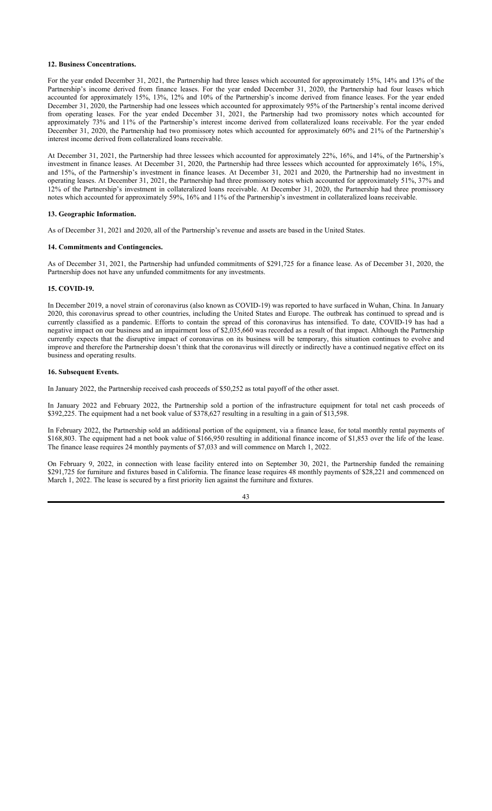# **12. Business Concentrations.**

For the year ended December 31, 2021, the Partnership had three leases which accounted for approximately 15%, 14% and 13% of the Partnership's income derived from finance leases. For the year ended December 31, 2020, the Partnership had four leases which accounted for approximately 15%, 13%, 12% and 10% of the Partnership's income derived from finance leases. For the year ended December 31, 2020, the Partnership had one lessees which accounted for approximately 95% of the Partnership's rental income derived from operating leases. For the year ended December 31, 2021, the Partnership had two promissory notes which accounted for approximately 73% and 11% of the Partnership's interest income derived from collateralized loans receivable. For the year ended December 31, 2020, the Partnership had two promissory notes which accounted for approximately 60% and 21% of the Partnership's interest income derived from collateralized loans receivable.

At December 31, 2021, the Partnership had three lessees which accounted for approximately 22%, 16%, and 14%, of the Partnership's investment in finance leases. At December 31, 2020, the Partnership had three lessees which accounted for approximately 16%, 15%, and 15%, of the Partnership's investment in finance leases. At December 31, 2021 and 2020, the Partnership had no investment in operating leases. At December 31, 2021, the Partnership had three promissory notes which accounted for approximately 51%, 37% and 12% of the Partnership's investment in collateralized loans receivable. At December 31, 2020, the Partnership had three promissory notes which accounted for approximately 59%, 16% and 11% of the Partnership's investment in collateralized loans receivable.

# **13. Geographic Information.**

As of December 31, 2021 and 2020, all of the Partnership's revenue and assets are based in the United States.

### **14. Commitments and Contingencies.**

As of December 31, 2021, the Partnership had unfunded commitments of \$291,725 for a finance lease. As of December 31, 2020, the Partnership does not have any unfunded commitments for any investments.

# **15. COVID-19.**

In December 2019, a novel strain of coronavirus (also known as COVID-19) was reported to have surfaced in Wuhan, China. In January 2020, this coronavirus spread to other countries, including the United States and Europe. The outbreak has continued to spread and is currently classified as a pandemic. Efforts to contain the spread of this coronavirus has intensified. To date, COVID-19 has had a negative impact on our business and an impairment loss of \$2,035,660 was recorded as a result of that impact. Although the Partnership currently expects that the disruptive impact of coronavirus on its business will be temporary, this situation continues to evolve and improve and therefore the Partnership doesn't think that the coronavirus will directly or indirectly have a continued negative effect on its business and operating results.

# **16. Subsequent Events.**

In January 2022, the Partnership received cash proceeds of \$50,252 as total payoff of the other asset.

In January 2022 and February 2022, the Partnership sold a portion of the infrastructure equipment for total net cash proceeds of \$392,225. The equipment had a net book value of \$378,627 resulting in a resulting in a gain of \$13,598.

In February 2022, the Partnership sold an additional portion of the equipment, via a finance lease, for total monthly rental payments of \$168,803. The equipment had a net book value of \$166,950 resulting in additional finance income of \$1,853 over the life of the lease. The finance lease requires 24 monthly payments of \$7,033 and will commence on March 1, 2022.

On February 9, 2022, in connection with lease facility entered into on September 30, 2021, the Partnership funded the remaining \$291,725 for furniture and fixtures based in California. The finance lease requires 48 monthly payments of \$28,221 and commenced on March 1, 2022. The lease is secured by a first priority lien against the furniture and fixtures.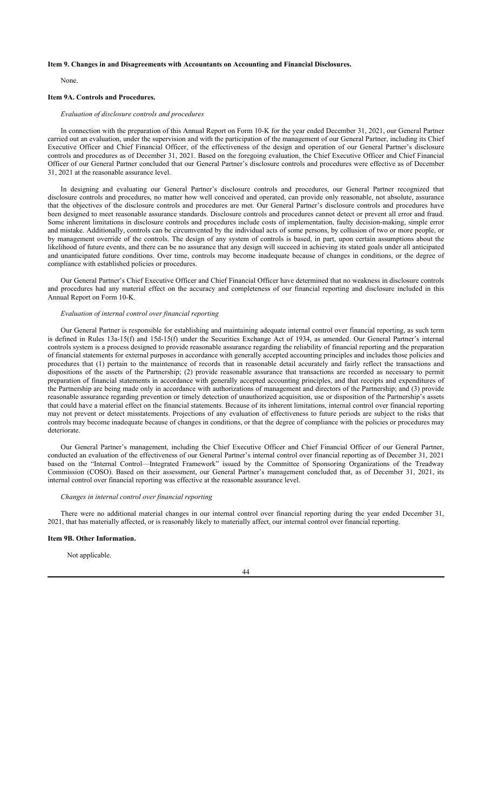# **Item 9. Changes in and Disagreements with Accountants on Accounting and Financial Disclosures.**

None.

# **Item 9A. Controls and Procedures.**

# *Evaluation of disclosure controls and procedures*

In connection with the preparation of this Annual Report on Form 10-K for the year ended December 31, 2021, our General Partner carried out an evaluation, under the supervision and with the participation of the management of our General Partner, including its Chief Executive Officer and Chief Financial Officer, of the effectiveness of the design and operation of our General Partner's disclosure controls and procedures as of December 31, 2021. Based on the foregoing evaluation, the Chief Executive Officer and Chief Financial Officer of our General Partner concluded that our General Partner's disclosure controls and procedures were effective as of December 31, 2021 at the reasonable assurance level.

In designing and evaluating our General Partner's disclosure controls and procedures, our General Partner recognized that disclosure controls and procedures, no matter how well conceived and operated, can provide only reasonable, not absolute, assurance that the objectives of the disclosure controls and procedures are met. Our General Partner's disclosure controls and procedures have been designed to meet reasonable assurance standards. Disclosure controls and procedures cannot detect or prevent all error and fraud. Some inherent limitations in disclosure controls and procedures include costs of implementation, faulty decision-making, simple error and mistake. Additionally, controls can be circumvented by the individual acts of some persons, by collusion of two or more people, or by management override of the controls. The design of any system of controls is based, in part, upon certain assumptions about the likelihood of future events, and there can be no assurance that any design will succeed in achieving its stated goals under all anticipated and unanticipated future conditions. Over time, controls may become inadequate because of changes in conditions, or the degree of compliance with established policies or procedures.

Our General Partner's Chief Executive Officer and Chief Financial Officer have determined that no weakness in disclosure controls and procedures had any material effect on the accuracy and completeness of our financial reporting and disclosure included in this Annual Report on Form 10-K.

# *Evaluation of internal control over financial reporting*

Our General Partner is responsible for establishing and maintaining adequate internal control over financial reporting, as such term is defined in Rules 13a-15(f) and 15d-15(f) under the Securities Exchange Act of 1934, as amended. Our General Partner's internal controls system is a process designed to provide reasonable assurance regarding the reliability of financial reporting and the preparation of financial statements for external purposes in accordance with generally accepted accounting principles and includes those policies and procedures that (1) pertain to the maintenance of records that in reasonable detail accurately and fairly reflect the transactions and dispositions of the assets of the Partnership; (2) provide reasonable assurance that transactions are recorded as necessary to permit preparation of financial statements in accordance with generally accepted accounting principles, and that receipts and expenditures of the Partnership are being made only in accordance with authorizations of management and directors of the Partnership; and (3) provide reasonable assurance regarding prevention or timely detection of unauthorized acquisition, use or disposition of the Partnership's assets that could have a material effect on the financial statements. Because of its inherent limitations, internal control over financial reporting may not prevent or detect misstatements. Projections of any evaluation of effectiveness to future periods are subject to the risks that controls may become inadequate because of changes in conditions, or that the degree of compliance with the policies or procedures may deteriorate.

Our General Partner's management, including the Chief Executive Officer and Chief Financial Officer of our General Partner, conducted an evaluation of the effectiveness of our General Partner's internal control over financial reporting as of December 31, 2021 based on the "Internal Control—Integrated Framework" issued by the Committee of Sponsoring Organizations of the Treadway Commission (COSO). Based on their assessment, our General Partner's management concluded that, as of December 31, 2021, its internal control over financial reporting was effective at the reasonable assurance level.

# *Changes in internal control over financial reporting*

There were no additional material changes in our internal control over financial reporting during the year ended December 31, 2021, that has materially affected, or is reasonably likely to materially affect, our internal control over financial reporting.

#### **Item 9B. Other Information.**

Not applicable.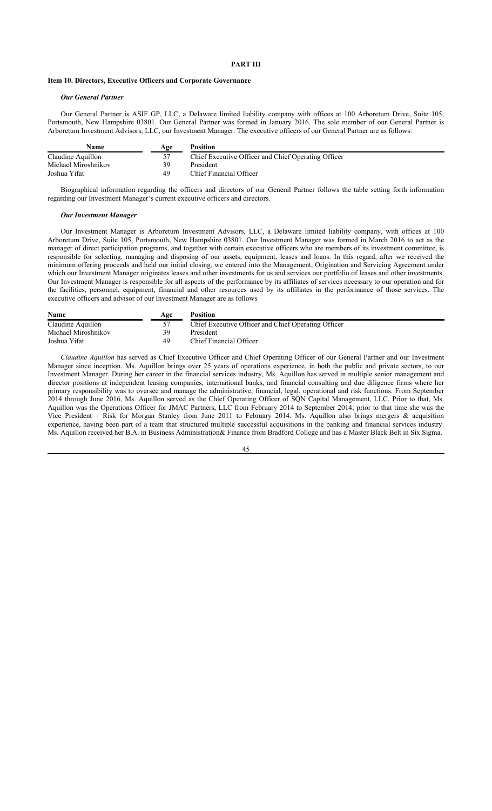### **PART III**

# **Item 10. Directors, Executive Officers and Corporate Governance**

# *Our General Partner*

Our General Partner is ASIF GP, LLC, a Delaware limited liability company with offices at 100 Arboretum Drive, Suite 105, Portsmouth, New Hampshire 03801. Our General Partner was formed in January 2016. The sole member of our General Partner is Arboretum Investment Advisors, LLC, our Investment Manager. The executive officers of our General Partner are as follows:

| Name                | Age | Position                                            |
|---------------------|-----|-----------------------------------------------------|
| Claudine Aquillon   |     | Chief Executive Officer and Chief Operating Officer |
| Michael Miroshnikov | 39  | President                                           |
| Joshua Yifat        | 49  | Chief Financial Officer                             |

Biographical information regarding the officers and directors of our General Partner follows the table setting forth information regarding our Investment Manager's current executive officers and directors.

#### *Our Investment Manager*

Our Investment Manager is Arboretum Investment Advisors, LLC, a Delaware limited liability company, with offices at 100 Arboretum Drive, Suite 105, Portsmouth, New Hampshire 03801. Our Investment Manager was formed in March 2016 to act as the manager of direct participation programs, and together with certain executive officers who are members of its investment committee, is responsible for selecting, managing and disposing of our assets, equipment, leases and loans. In this regard, after we received the minimum offering proceeds and held our initial closing, we entered into the Management, Origination and Servicing Agreement under which our Investment Manager originates leases and other investments for us and services our portfolio of leases and other investments. Our Investment Manager is responsible for all aspects of the performance by its affiliates of services necessary to our operation and for the facilities, personnel, equipment, financial and other resources used by its affiliates in the performance of those services. The executive officers and advisor of our Investment Manager are as follows

| <b>Name</b>         | Age | <b>Position</b>                                     |
|---------------------|-----|-----------------------------------------------------|
| Claudine Aquillon   |     | Chief Executive Officer and Chief Operating Officer |
| Michael Miroshnikov | 39  | President                                           |
| Joshua Yifat        | 49  | Chief Financial Officer                             |

*Claudine Aquillon* has served as Chief Executive Officer and Chief Operating Officer of our General Partner and our Investment Manager since inception. Ms. Aquillon brings over 25 years of operations experience, in both the public and private sectors, to our Investment Manager. During her career in the financial services industry, Ms. Aquillon has served in multiple senior management and director positions at independent leasing companies, international banks, and financial consulting and due diligence firms where her primary responsibility was to oversee and manage the administrative, financial, legal, operational and risk functions. From September 2014 through June 2016, Ms. Aquillon served as the Chief Operating Officer of SQN Capital Management, LLC. Prior to that, Ms. Aquillon was the Operations Officer for JMAC Partners, LLC from February 2014 to September 2014; prior to that time she was the Vice President – Risk for Morgan Stanley from June 2011 to February 2014. Ms. Aquillon also brings mergers & acquisition experience, having been part of a team that structured multiple successful acquisitions in the banking and financial services industry. Ms. Aquillon received her B.A. in Business Administration& Finance from Bradford College and has a Master Black Belt in Six Sigma.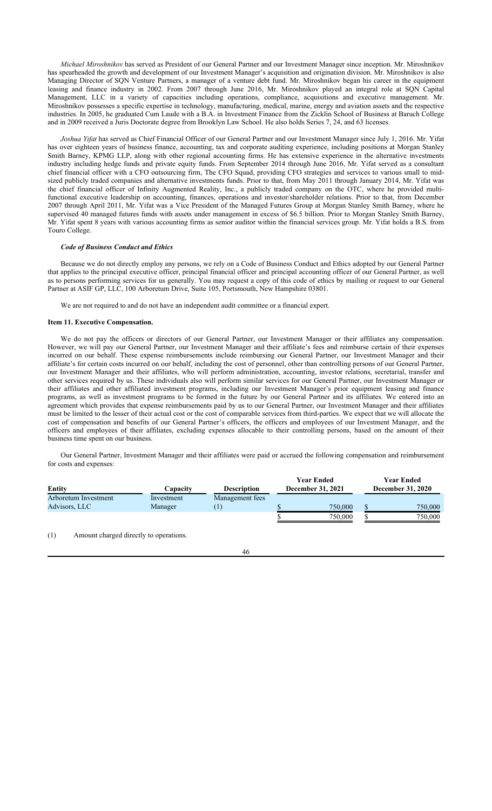*Michael Miroshnikov* has served as President of our General Partner and our Investment Manager since inception. Mr. Miroshnikov has spearheaded the growth and development of our Investment Manager's acquisition and origination division. Mr. Miroshnikov is also Managing Director of SQN Venture Partners, a manager of a venture debt fund. Mr. Miroshnikov began his career in the equipment leasing and finance industry in 2002. From 2007 through June 2016, Mr. Miroshnikov played an integral role at SQN Capital Management, LLC in a variety of capacities including operations, compliance, acquisitions and executive management. Mr. Miroshnikov possesses a specific expertise in technology, manufacturing, medical, marine, energy and aviation assets and the respective industries. In 2005, he graduated Cum Laude with a B.A. in Investment Finance from the Zicklin School of Business at Baruch College and in 2009 received a Juris Doctorate degree from Brooklyn Law School. He also holds Series 7, 24, and 63 licenses.

*Joshua Yifat* has served as Chief Financial Officer of our General Partner and our Investment Manager since July 1, 2016. Mr. Yifat has over eighteen years of business finance, accounting, tax and corporate auditing experience, including positions at Morgan Stanley Smith Barney, KPMG LLP, along with other regional accounting firms. He has extensive experience in the alternative investments industry including hedge funds and private equity funds. From September 2014 through June 2016, Mr. Yifat served as a consultant chief financial officer with a CFO outsourcing firm, The CFO Squad, providing CFO strategies and services to various small to midsized publicly traded companies and alternative investments funds. Prior to that, from May 2011 through January 2014, Mr. Yifat was the chief financial officer of Infinity Augmented Reality, Inc., a publicly traded company on the OTC, where he provided multifunctional executive leadership on accounting, finances, operations and investor/shareholder relations. Prior to that, from December 2007 through April 2011, Mr. Yifat was a Vice President of the Managed Futures Group at Morgan Stanley Smith Barney, where he supervised 40 managed futures funds with assets under management in excess of \$6.5 billion. Prior to Morgan Stanley Smith Barney, Mr. Yifat spent 8 years with various accounting firms as senior auditor within the financial services group. Mr. Yifat holds a B.S. from Touro College.

# *Code of Business Conduct and Ethics*

Because we do not directly employ any persons, we rely on a Code of Business Conduct and Ethics adopted by our General Partner that applies to the principal executive officer, principal financial officer and principal accounting officer of our General Partner, as well as to persons performing services for us generally. You may request a copy of this code of ethics by mailing or request to our General Partner at ASIF GP, LLC, 100 Arboretum Drive, Suite 105, Portsmouth, New Hampshire 03801.

We are not required to and do not have an independent audit committee or a financial expert.

### **Item 11. Executive Compensation.**

We do not pay the officers or directors of our General Partner, our Investment Manager or their affiliates any compensation. However, we will pay our General Partner, our Investment Manager and their affiliate's fees and reimburse certain of their expenses incurred on our behalf. These expense reimbursements include reimbursing our General Partner, our Investment Manager and their affiliate's for certain costs incurred on our behalf, including the cost of personnel, other than controlling persons of our General Partner, our Investment Manager and their affiliates, who will perform administration, accounting, investor relations, secretarial, transfer and other services required by us. These individuals also will perform similar services for our General Partner, our Investment Manager or their affiliates and other affiliated investment programs, including our Investment Manager's prior equipment leasing and finance programs, as well as investment programs to be formed in the future by our General Partner and its affiliates. We entered into an agreement which provides that expense reimbursements paid by us to our General Partner, our Investment Manager and their affiliates must be limited to the lesser of their actual cost or the cost of comparable services from third-parties. We expect that we will allocate the cost of compensation and benefits of our General Partner's officers, the officers and employees of our Investment Manager, and the officers and employees of their affiliates, excluding expenses allocable to their controlling persons, based on the amount of their business time spent on our business.

Our General Partner, Investment Manager and their affiliates were paid or accrued the following compensation and reimbursement for costs and expenses:

| Entity                                | Capacitv              | <b>Description</b> | <b>Year Ended</b><br><b>December 31, 2021</b> | <b>Year Ended</b><br><b>December 31, 2020</b> |
|---------------------------------------|-----------------------|--------------------|-----------------------------------------------|-----------------------------------------------|
| Arboretum Investment<br>Advisors, LLC | Investment<br>Manager | Management fees    | 750,000                                       | 750,000                                       |
|                                       |                       |                    | 750,000                                       | 750,000                                       |

(1) Amount charged directly to operations.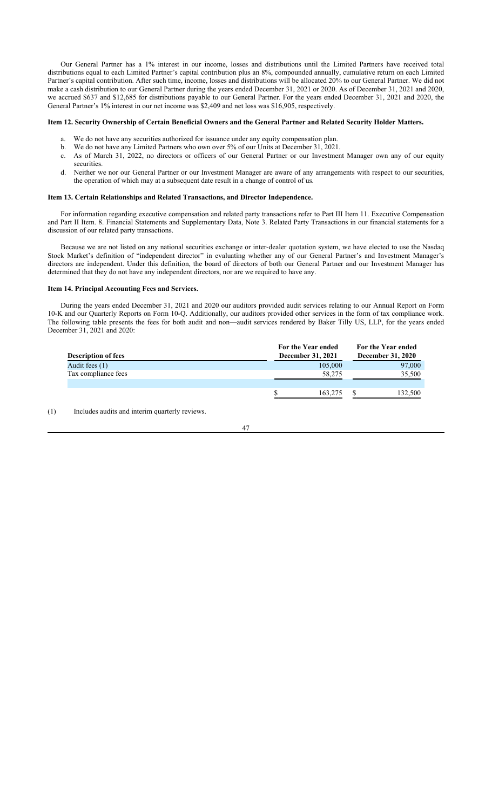Our General Partner has a 1% interest in our income, losses and distributions until the Limited Partners have received total distributions equal to each Limited Partner's capital contribution plus an 8%, compounded annually, cumulative return on each Limited Partner's capital contribution. After such time, income, losses and distributions will be allocated 20% to our General Partner. We did not make a cash distribution to our General Partner during the years ended December 31, 2021 or 2020. As of December 31, 2021 and 2020, we accrued \$637 and \$12,685 for distributions payable to our General Partner. For the years ended December 31, 2021 and 2020, the General Partner's 1% interest in our net income was \$2,409 and net loss was \$16,905, respectively.

### **Item 12. Security Ownership of Certain Beneficial Owners and the General Partner and Related Security Holder Matters.**

- a. We do not have any securities authorized for issuance under any equity compensation plan.
- b. We do not have any Limited Partners who own over 5% of our Units at December 31, 2021.
- c. As of March 31, 2022, no directors or officers of our General Partner or our Investment Manager own any of our equity securities.
- d. Neither we nor our General Partner or our Investment Manager are aware of any arrangements with respect to our securities, the operation of which may at a subsequent date result in a change of control of us.

### **Item 13. Certain Relationships and Related Transactions, and Director Independence.**

For information regarding executive compensation and related party transactions refer to Part III Item 11. Executive Compensation and Part II Item. 8. Financial Statements and Supplementary Data, Note 3. Related Party Transactions in our financial statements for a discussion of our related party transactions.

Because we are not listed on any national securities exchange or inter-dealer quotation system, we have elected to use the Nasdaq Stock Market's definition of "independent director" in evaluating whether any of our General Partner's and Investment Manager's directors are independent. Under this definition, the board of directors of both our General Partner and our Investment Manager has determined that they do not have any independent directors, nor are we required to have any.

# **Item 14. Principal Accounting Fees and Services.**

During the years ended December 31, 2021 and 2020 our auditors provided audit services relating to our Annual Report on Form 10-K and our Quarterly Reports on Form 10-Q. Additionally, our auditors provided other services in the form of tax compliance work. The following table presents the fees for both audit and non—audit services rendered by Baker Tilly US, LLP, for the years ended December 31, 2021 and 2020:

|                            | For the Year ended       |         | For the Year ended       |
|----------------------------|--------------------------|---------|--------------------------|
| <b>Description of fees</b> | <b>December 31, 2021</b> |         | <b>December 31, 2020</b> |
| Audit fees (1)             |                          | 105,000 | 97,000                   |
| Tax compliance fees        |                          | 58,275  | 35,500                   |
|                            |                          |         |                          |
|                            |                          | 163,275 | 132,500                  |

(1) Includes audits and interim quarterly reviews.

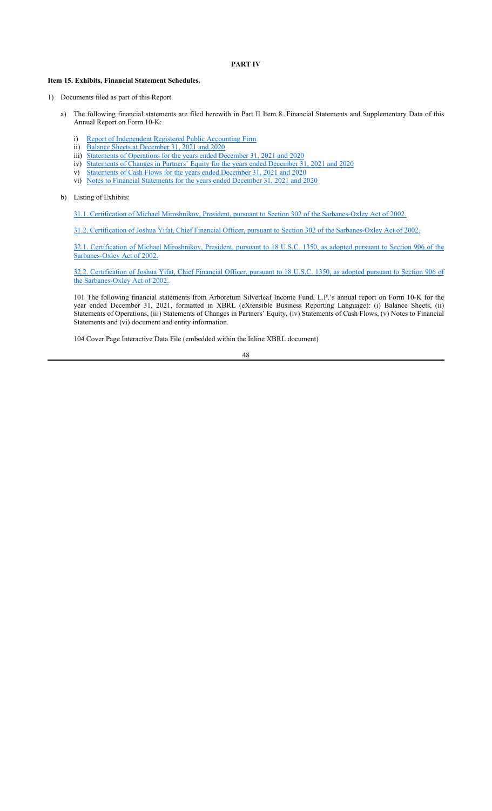# **PART IV**

# **Item 15. Exhibits, Financial Statement Schedules.**

- 1) Documents filed as part of this Report.
	- a) The following financial statements are filed herewith in Part II Item 8. Financial Statements and Supplementary Data of this Annual Report on Form 10-K:
		- i) Report of Independent Registered Public Accounting Firm
		- ii) Balance Sheets at December 31, 2021 and 2020
		- iii) Statements of Operations for the years ended December 31, 2021 and 2020
		- iv) Statements of Changes in Partners' Equity for the years ended December 31, 2021 and 2020
		- v) Statements of Cash Flows for the years ended December 31, 2021 and 2020
		- vi) Notes to Financial Statements for the years ended December 31, 2021 and 2020
	- b) Listing of Exhibits:

31.1. Certification of Michael Miroshnikov, President, pursuant to Section 302 of the Sarbanes-Oxley Act of 2002.

31.2. Certification of Joshua Yifat, Chief Financial Officer, pursuant to Section 302 of the Sarbanes-Oxley Act of 2002.

32.1. Certification of Michael Miroshnikov, President, pursuant to 18 U.S.C. 1350, as adopted pursuant to Section 906 of the Sarbanes-Oxley Act of 2002.

32.2. Certification of Joshua Yifat, Chief Financial Officer, pursuant to 18 U.S.C. 1350, as adopted pursuant to Section 906 of the Sarbanes-Oxley Act of 2002.

101 The following financial statements from Arboretum Silverleaf Income Fund, L.P.'s annual report on Form 10-K for the year ended December 31, 2021, formatted in XBRL (eXtensible Business Reporting Language): (i) Balance Sheets, (ii) Statements of Operations, (iii) Statements of Changes in Partners' Equity, (iv) Statements of Cash Flows, (v) Notes to Financial Statements and (vi) document and entity information.

104 Cover Page Interactive Data File (embedded within the Inline XBRL document)

$$
\boldsymbol{48}
$$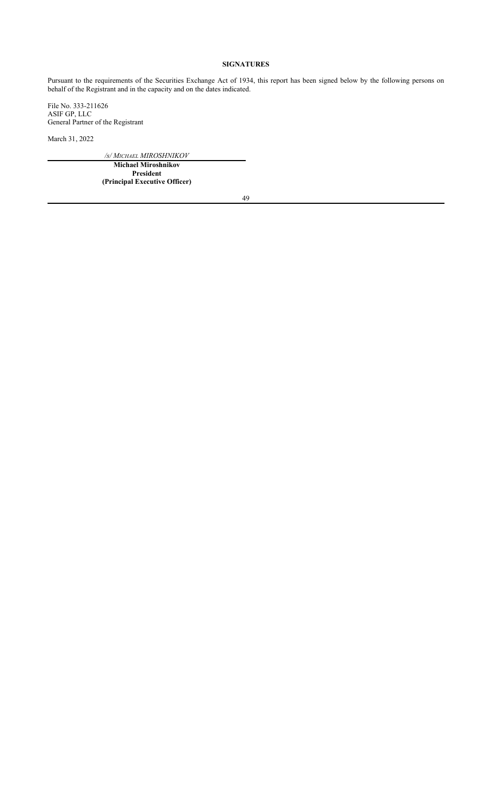# **SIGNATURES**

Pursuant to the requirements of the Securities Exchange Act of 1934, this report has been signed below by the following persons on behalf of the Registrant and in the capacity and on the dates indicated.

File No. 333-211626 ASIF GP, LLC General Partner of the Registrant

March 31, 2022

*/s/ MICHAEL MIROSHNIKOV*

**Michael Miroshnikov President (Principal Executive Officer)**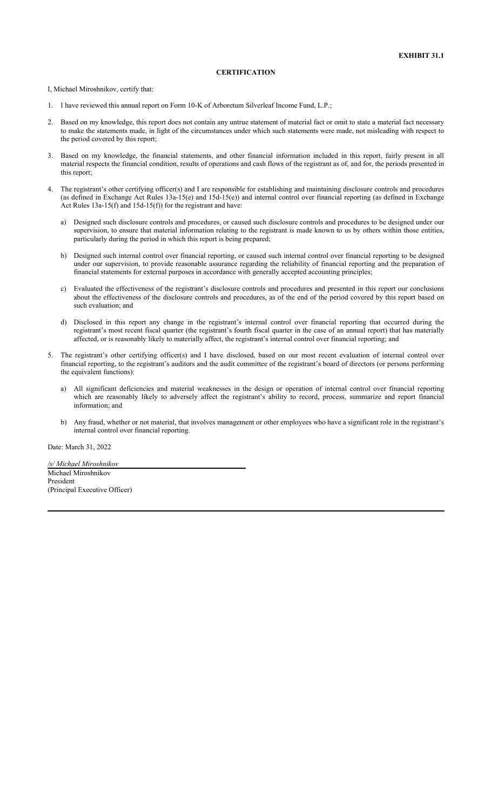# **CERTIFICATION**

I, Michael Miroshnikov, certify that:

- 1. I have reviewed this annual report on Form 10-K of Arboretum Silverleaf Income Fund, L.P.;
- 2. Based on my knowledge, this report does not contain any untrue statement of material fact or omit to state a material fact necessary to make the statements made, in light of the circumstances under which such statements were made, not misleading with respect to the period covered by this report;
- 3. Based on my knowledge, the financial statements, and other financial information included in this report, fairly present in all material respects the financial condition, results of operations and cash flows of the registrant as of, and for, the periods presented in this report;
- 4. The registrant's other certifying officer(s) and I are responsible for establishing and maintaining disclosure controls and procedures (as defined in Exchange Act Rules 13a-15(e) and 15d-15(e)) and internal control over financial reporting (as defined in Exchange Act Rules 13a-15(f) and 15d-15(f)) for the registrant and have:
	- a) Designed such disclosure controls and procedures, or caused such disclosure controls and procedures to be designed under our supervision, to ensure that material information relating to the registrant is made known to us by others within those entities, particularly during the period in which this report is being prepared;
	- b) Designed such internal control over financial reporting, or caused such internal control over financial reporting to be designed under our supervision, to provide reasonable assurance regarding the reliability of financial reporting and the preparation of financial statements for external purposes in accordance with generally accepted accounting principles;
	- c) Evaluated the effectiveness of the registrant's disclosure controls and procedures and presented in this report our conclusions about the effectiveness of the disclosure controls and procedures, as of the end of the period covered by this report based on such evaluation; and
	- d) Disclosed in this report any change in the registrant's internal control over financial reporting that occurred during the registrant's most recent fiscal quarter (the registrant's fourth fiscal quarter in the case of an annual report) that has materially affected, or is reasonably likely to materially affect, the registrant's internal control over financial reporting; and
- 5. The registrant's other certifying officer(s) and I have disclosed, based on our most recent evaluation of internal control over financial reporting, to the registrant's auditors and the audit committee of the registrant's board of directors (or persons performing the equivalent functions):
	- a) All significant deficiencies and material weaknesses in the design or operation of internal control over financial reporting which are reasonably likely to adversely affect the registrant's ability to record, process, summarize and report financial information; and
	- b) Any fraud, whether or not material, that involves management or other employees who have a significant role in the registrant's internal control over financial reporting.

Date: March 31, 2022

*/s/ Michael Miroshnikov* Michael Miroshnikov President (Principal Executive Officer)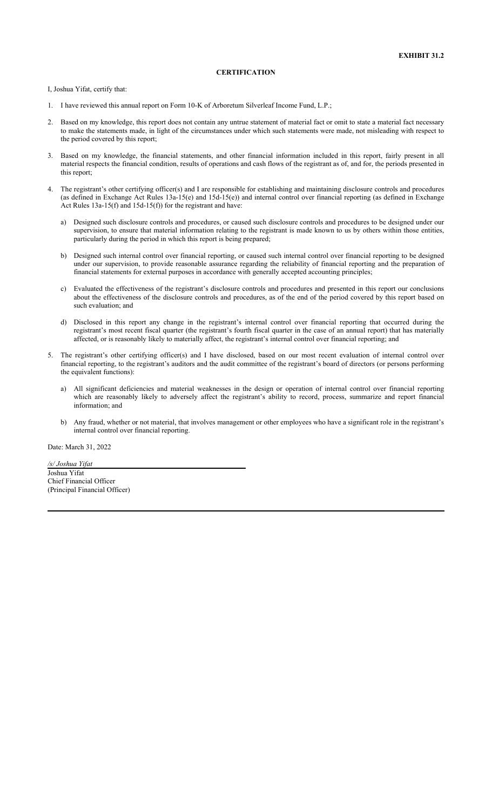# **CERTIFICATION**

I, Joshua Yifat, certify that:

- 1. I have reviewed this annual report on Form 10-K of Arboretum Silverleaf Income Fund, L.P.;
- 2. Based on my knowledge, this report does not contain any untrue statement of material fact or omit to state a material fact necessary to make the statements made, in light of the circumstances under which such statements were made, not misleading with respect to the period covered by this report;
- 3. Based on my knowledge, the financial statements, and other financial information included in this report, fairly present in all material respects the financial condition, results of operations and cash flows of the registrant as of, and for, the periods presented in this report;
- 4. The registrant's other certifying officer(s) and I are responsible for establishing and maintaining disclosure controls and procedures (as defined in Exchange Act Rules 13a-15(e) and 15d-15(e)) and internal control over financial reporting (as defined in Exchange Act Rules 13a-15(f) and 15d-15(f)) for the registrant and have:
	- a) Designed such disclosure controls and procedures, or caused such disclosure controls and procedures to be designed under our supervision, to ensure that material information relating to the registrant is made known to us by others within those entities, particularly during the period in which this report is being prepared;
	- b) Designed such internal control over financial reporting, or caused such internal control over financial reporting to be designed under our supervision, to provide reasonable assurance regarding the reliability of financial reporting and the preparation of financial statements for external purposes in accordance with generally accepted accounting principles;
	- c) Evaluated the effectiveness of the registrant's disclosure controls and procedures and presented in this report our conclusions about the effectiveness of the disclosure controls and procedures, as of the end of the period covered by this report based on such evaluation; and
	- d) Disclosed in this report any change in the registrant's internal control over financial reporting that occurred during the registrant's most recent fiscal quarter (the registrant's fourth fiscal quarter in the case of an annual report) that has materially affected, or is reasonably likely to materially affect, the registrant's internal control over financial reporting; and
- 5. The registrant's other certifying officer(s) and I have disclosed, based on our most recent evaluation of internal control over financial reporting, to the registrant's auditors and the audit committee of the registrant's board of directors (or persons performing the equivalent functions):
	- a) All significant deficiencies and material weaknesses in the design or operation of internal control over financial reporting which are reasonably likely to adversely affect the registrant's ability to record, process, summarize and report financial information; and
	- b) Any fraud, whether or not material, that involves management or other employees who have a significant role in the registrant's internal control over financial reporting.

Date: March 31, 2022

*/s/ Joshua Yifat*  Joshua Yifat Chief Financial Officer (Principal Financial Officer)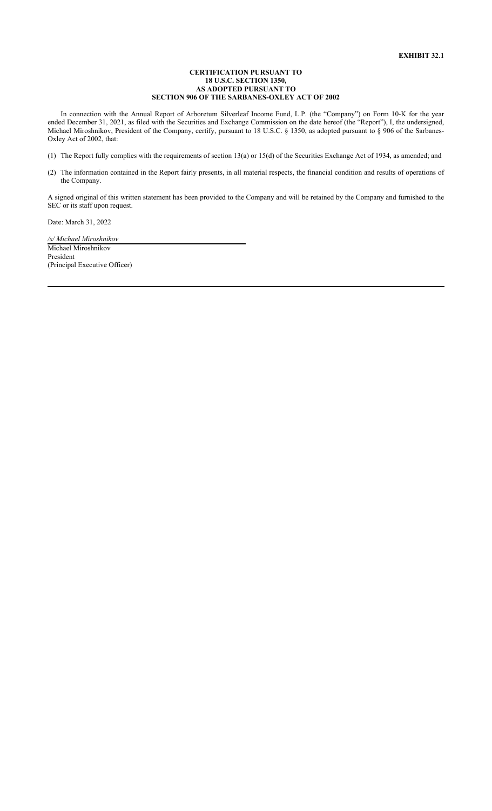### **CERTIFICATION PURSUANT TO 18 U.S.C. SECTION 1350, AS ADOPTED PURSUANT TO SECTION 906 OF THE SARBANES-OXLEY ACT OF 2002**

In connection with the Annual Report of Arboretum Silverleaf Income Fund, L.P. (the "Company") on Form 10-K for the year ended December 31, 2021, as filed with the Securities and Exchange Commission on the date hereof (the "Report"), I, the undersigned, Michael Miroshnikov, President of the Company, certify, pursuant to 18 U.S.C. § 1350, as adopted pursuant to § 906 of the Sarbanes-Oxley Act of 2002, that:

(1) The Report fully complies with the requirements of section 13(a) or 15(d) of the Securities Exchange Act of 1934, as amended; and

(2) The information contained in the Report fairly presents, in all material respects, the financial condition and results of operations of the Company.

A signed original of this written statement has been provided to the Company and will be retained by the Company and furnished to the SEC or its staff upon request.

Date: March 31, 2022

*/s/ Michael Miroshnikov* Michael Miroshnikov President (Principal Executive Officer)